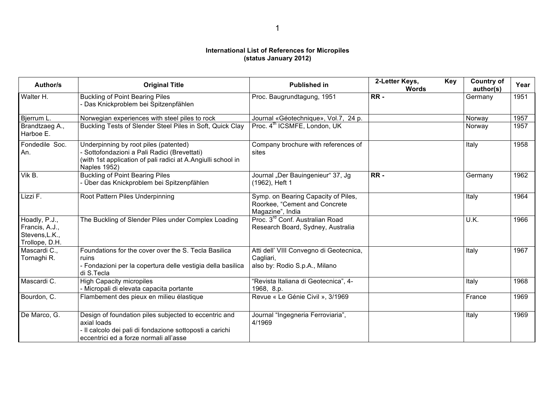## **International List of References for Micropiles (status January 2012)**

| Author/s                                                            | <b>Original Title</b>                                                                                                                                                      | <b>Published in</b>                                                                      | 2-Letter Keys,<br>Key<br><b>Words</b> | <b>Country of</b><br>author(s) | Year |
|---------------------------------------------------------------------|----------------------------------------------------------------------------------------------------------------------------------------------------------------------------|------------------------------------------------------------------------------------------|---------------------------------------|--------------------------------|------|
| Walter H.                                                           | <b>Buckling of Point Bearing Piles</b><br>- Das Knickproblem bei Spitzenpfählen                                                                                            | Proc. Baugrundtagung, 1951                                                               | RR-                                   | Germany                        | 1951 |
| Bjerrum L.                                                          | Norwegian experiences with steel piles to rock                                                                                                                             | Journal «Géotechnique», Vol.7, 24 p.                                                     |                                       | Norway                         | 1957 |
| Brandtzaeg A.,<br>Harboe E.                                         | Buckling Tests of Slender Steel Piles in Soft, Quick Clay                                                                                                                  | Proc. 4 <sup>th</sup> ICSMFE, London, UK                                                 |                                       | Norway                         | 1957 |
| Fondedile Soc.<br>An.                                               | Underpinning by root piles (patented)<br>- Sottofondazioni a Pali Radici (Brevettati)<br>(with 1st application of pali radici at A.Angiulli school in<br>Naples 1952)      | Company brochure with references of<br>sites                                             |                                       | Italy                          | 1958 |
| Vik B.                                                              | <b>Buckling of Point Bearing Piles</b><br>- Über das Knickproblem bei Spitzenpfählen                                                                                       | Journal "Der Bauingenieur" 37, Jg<br>(1962), Heft 1                                      | RR-                                   | Germany                        | 1962 |
| Lizzi F.                                                            | Root Pattern Piles Underpinning                                                                                                                                            | Symp. on Bearing Capacity of Piles,<br>Roorkee, "Cement and Concrete<br>Magazine", India |                                       | Italy                          | 1964 |
| Hoadly, P.J.,<br>Francis, A.J.,<br>Stevens, L.K.,<br>Trollope, D.H. | The Buckling of Slender Piles under Complex Loading                                                                                                                        | Proc. 3 <sup>rd</sup> Conf. Australian Road<br>Research Board, Sydney, Australia         |                                       | U.K.                           | 1966 |
| Mascardi C.,<br>Tornaghi R.                                         | Foundations for the cover over the S. Tecla Basilica<br>ruins<br>- Fondazioni per la copertura delle vestigia della basilica<br>di S.Tecla                                 | Atti dell' VIII Convegno di Geotecnica,<br>Cagliari,<br>also by: Rodio S.p.A., Milano    |                                       | Italy                          | 1967 |
| Mascardi C.                                                         | <b>High Capacity micropiles</b><br>- Micropali di elevata capacita portante                                                                                                | 'Revista Italiana di Geotecnica", 4-<br>1968, 8.p.                                       |                                       | Italy                          | 1968 |
| Bourdon, C.                                                         | Flambement des pieux en milieu élastique                                                                                                                                   | Revue « Le Génie Civil », 3/1969                                                         |                                       | France                         | 1969 |
| De Marco, G.                                                        | Design of foundation piles subjected to eccentric and<br>axial loads<br>- Il calcolo dei pali di fondazione sottoposti a carichi<br>eccentrici ed a forze normali all'asse | Journal "Ingegneria Ferroviaria",<br>4/1969                                              |                                       | Italy                          | 1969 |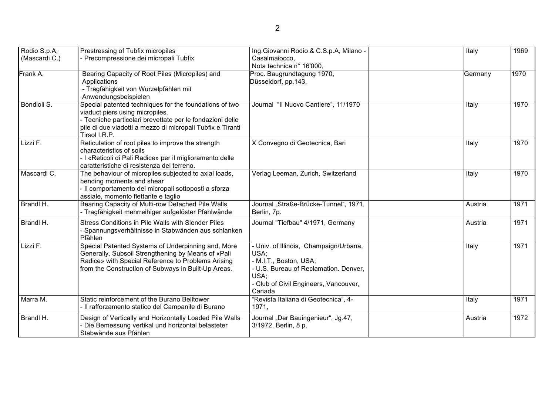| Rodio S.p.A,<br>(Mascardi C.) | Prestressing of Tubfix micropiles<br>- Precompressione dei micropali Tubfix                                                                                                                                                           | Ing.Giovanni Rodio & C.S.p.A, Milano -<br>Casalmaiocco,<br>Nota technica n° 16'000,                                                                                          | Italy   | 1969 |
|-------------------------------|---------------------------------------------------------------------------------------------------------------------------------------------------------------------------------------------------------------------------------------|------------------------------------------------------------------------------------------------------------------------------------------------------------------------------|---------|------|
| Frank A.                      | Bearing Capacity of Root Piles (Micropiles) and<br>Applications<br>- Tragfähigkeit von Wurzelpfählen mit<br>Anwendungsbeispielen                                                                                                      | Proc. Baugrundtagung 1970,<br>Düsseldorf, pp.143,                                                                                                                            | Germany | 1970 |
| Bondioli S.                   | Special patented techniques for the foundations of two<br>viaduct piers using micropiles.<br>- Tecniche particolari brevettate per le fondazioni delle<br>pile di due viadotti a mezzo di micropali Tubfix e Tiranti<br>Tirsol I.R.P. | Journal "Il Nuovo Cantiere", 11/1970                                                                                                                                         | Italy   | 1970 |
| Lizzi F.                      | Reticulation of root piles to improve the strength<br>characteristics of soils<br>- I «Reticoli di Pali Radice» per il miglioramento delle<br>caratteristiche di resistenza del terreno.                                              | X Convegno di Geotecnica, Bari                                                                                                                                               | Italy   | 1970 |
| Mascardi C.                   | The behaviour of micropiles subjected to axial loads,<br>bending moments and shear<br>- Il comportamento dei micropali sottoposti a sforza<br>assiale, momento flettante e taglio                                                     | Verlag Leeman, Zurich, Switzerland                                                                                                                                           | Italy   | 1970 |
| Brandl H.                     | Bearing Capacity of Multi-row Detached Pile Walls<br>- Tragfähigkeit mehrreihiger aufgelöster Pfahlwände                                                                                                                              | Journal "Straße-Brücke-Tunnel", 1971,<br>Berlin, 7p.                                                                                                                         | Austria | 1971 |
| Brandl H.                     | Stress Conditions in Pile Walls with Slender Piles<br>- Spannungsverhältnisse in Stabwänden aus schlanken<br>Pfählen                                                                                                                  | Journal "Tiefbau" 4/1971, Germany                                                                                                                                            | Austria | 1971 |
| Lizzi F.                      | Special Patented Systems of Underpinning and, More<br>Generally, Subsoil Strengthening by Means of «Pali<br>Radice» with Special Reference to Problems Arising<br>from the Construction of Subways in Built-Up Areas.                 | - Univ. of Illinois, Champaign/Urbana,<br>USA;<br>- M.I.T., Boston, USA;<br>- U.S. Bureau of Reclamation. Denver,<br>USA:<br>- Club of Civil Engineers, Vancouver,<br>Canada | Italy   | 1971 |
| Marra M.                      | Static reinforcement of the Burano Belltower<br>- Il rafforzamento statico del Campanile di Burano                                                                                                                                    | "Revista Italiana di Geotecnica", 4-<br>1971,                                                                                                                                | Italy   | 1971 |
| Brandl H.                     | Design of Vertically and Horizontally Loaded Pile Walls<br>- Die Bemessung vertikal und horizontal belasteter<br>Stabwände aus Pfählen                                                                                                | Journal "Der Bauingenieur", Jg.47,<br>3/1972, Berlin, 8 p.                                                                                                                   | Austria | 1972 |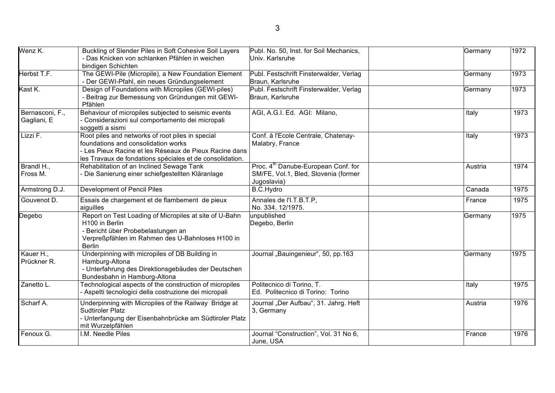| Wenz K.                        | Buckling of Slender Piles in Soft Cohesive Soil Layers<br>- Das Knicken von schlanken Pfählen in weichen<br>bindigen Schichten                                                                              | Publ. No. 50, Inst. for Soil Mechanics,<br>Univ. Karlsruhe                                             | Germany | 1972 |
|--------------------------------|-------------------------------------------------------------------------------------------------------------------------------------------------------------------------------------------------------------|--------------------------------------------------------------------------------------------------------|---------|------|
| Herbst T.F.                    | The GEWI-Pile (Micropile), a New Foundation Element<br>- Der GEWI-Pfahl, ein neues Gründungselement                                                                                                         | Publ. Festschrift Finsterwalder, Verlag<br>Braun, Karlsruhe                                            | Germany | 1973 |
| Kast K.                        | Design of Foundations with Micropiles (GEWI-piles)<br>- Beitrag zur Bemessung von Gründungen mit GEWI-<br>Pfählen                                                                                           | Publ. Festschrift Finsterwalder, Verlag<br>Braun, Karlsruhe                                            | Germany | 1973 |
| Bernasconi, F.,<br>Gagliani, E | Behaviour of micropiles subjected to seismic events<br>Considerazioni sul comportamento dei micropali<br>soggetti a sismi                                                                                   | AGI, A.G.I. Ed. AGI: Milano,                                                                           | Italy   | 1973 |
| Lizzi F.                       | Root piles and networks of root piles in special<br>foundations and consolidation works<br>Les Pieux Racine et les Réseaux de Pieux Racine dans<br>les Travaux de fondations spéciales et de consolidation. | Conf. à l'Ecole Centrale, Chatenay-<br>Malabry, France                                                 | Italy   | 1973 |
| Brandl H.,<br>Fross M.         | Rehabilitation of an Inclined Sewage Tank<br>Die Sanierung einer schiefgestellten Kläranlage                                                                                                                | Proc. 4 <sup>th</sup> Danube-European Conf. for<br>SM/FE, Vol.1, Bled, Slovenia (former<br>Jugoslavia) | Austria | 1974 |
| Armstrong D.J.                 | Development of Pencil Piles                                                                                                                                                                                 | B.C.Hydro                                                                                              | Canada  | 1975 |
| Gouvenot D.                    | Essais de chargement et de flambement de pieux<br>aiguilles                                                                                                                                                 | Annales de l'I.T.B.T.P,<br>No. 334, 12/1975.                                                           | France  | 1975 |
| Degebo                         | Report on Test Loading of Micropiles at site of U-Bahn<br>H100 in Berlin<br>- Bericht über Probebelastungen an<br>Verpreßpfählen im Rahmen des U-Bahnloses H100 in<br><b>Berlin</b>                         | unpublished<br>Degebo, Berlin                                                                          | Germany | 1975 |
| Kauer H.,<br>Prückner R.       | Underpinning with micropiles of DB Building in<br>Hamburg-Altona<br>- Unterfahrung des Direktionsgebäudes der Deutschen<br>Bundesbahn in Hamburg-Altona                                                     | Journal "Bauingenieur", 50, pp.163                                                                     | Germany | 1975 |
| Zanetto L.                     | Technological aspects of the construction of micropiles<br>Aspetti tecnologici della costruzione dei micropali                                                                                              | Politecnico di Torino, T.<br>Ed. Politecnico di Torino: Torino                                         | Italy   | 1975 |
| Scharf A.                      | Underpinning with Micropiles of the Railway Bridge at<br><b>Sudtiroler Platz</b><br>- Unterfangung der Eisenbahnbrücke am Südtiroler Platz<br>mit Wurzelpfählen                                             | Journal "Der Aufbau", 31. Jahrg. Heft<br>3, Germany                                                    | Austria | 1976 |
| Fenoux G.                      | I.M. Needle Piles                                                                                                                                                                                           | Journal "Construction", Vol. 31 No 6,<br>June, USA                                                     | France  | 1976 |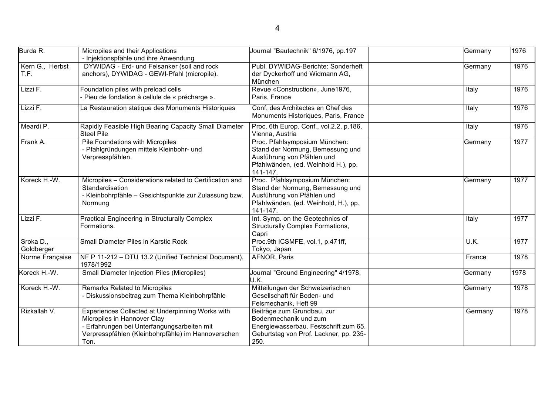| Burda R.                | Micropiles and their Applications                                                                                                                                                            | Journal "Bautechnik" 6/1976, pp.197                                                                                                                 | Germany | 1976 |
|-------------------------|----------------------------------------------------------------------------------------------------------------------------------------------------------------------------------------------|-----------------------------------------------------------------------------------------------------------------------------------------------------|---------|------|
| Kern G., Herbst<br>T.F. | - Injektionspfähle und ihre Anwendung<br>DYWIDAG - Erd- und Felsanker (soil and rock<br>anchors), DYWIDAG - GEWI-Pfahl (micropile).                                                          | Publ. DYWIDAG-Berichte: Sonderheft<br>der Dyckerhoff und Widmann AG,<br>München                                                                     | Germany | 1976 |
| Lizzi F.                | Foundation piles with preload cells<br>- Pieu de fondation à cellule de « précharge ».                                                                                                       | Revue «Construction», June1976,<br>Paris, France                                                                                                    | Italy   | 1976 |
| Lizzi F.                | La Restauration statique des Monuments Historiques                                                                                                                                           | Conf. des Architectes en Chef des<br>Monuments Historiques, Paris, France                                                                           | Italy   | 1976 |
| Meardi P.               | Rapidly Feasible High Bearing Capacity Small Diameter<br><b>Steel Pile</b>                                                                                                                   | Proc. 6th Europ. Conf., vol.2.2, p.186,<br>Vienna, Austria                                                                                          | Italy   | 1976 |
| Frank A.                | <b>Pile Foundations with Micropiles</b><br>- Pfahlgründungen mittels Kleinbohr- und<br>Verpresspfählen.                                                                                      | Proc. Pfahlsymposium München:<br>Stand der Normung, Bemessung und<br>Ausführung von Pfählen und<br>Pfahlwänden, (ed. Weinhold H.), pp.<br>141-147.  | Germany | 1977 |
| Koreck H.-W.            | Micropiles - Considerations related to Certification and<br>Standardisation<br>- Kleinbohrpfähle - Gesichtspunkte zur Zulassung bzw.<br>Normung                                              | Proc. Pfahlsymposium München:<br>Stand der Normung, Bemessung und<br>Ausführung von Pfählen und<br>Pfahlwänden, (ed. Weinhold, H.), pp.<br>141-147. | Germany | 1977 |
| Lizzi F.                | <b>Practical Engineering in Structurally Complex</b><br>Formations.                                                                                                                          | Int. Symp. on the Geotechnics of<br><b>Structurally Complex Formations,</b><br>Capri                                                                | Italy   | 1977 |
| Sroka D.,<br>Goldberger | Small Diameter Piles in Karstic Rock                                                                                                                                                         | Proc.9th ICSMFE, vol.1, p.471ff,<br>Tokyo, Japan                                                                                                    | U.K.    | 1977 |
| Norme Française         | NF P 11-212 - DTU 13.2 (Unified Technical Document),<br>1978/1992                                                                                                                            | AFNOR, Paris                                                                                                                                        | France  | 1978 |
| Koreck H.-W.            | <b>Small Diameter Injection Piles (Micropiles)</b>                                                                                                                                           | Journal "Ground Engineering" 4/1978,<br>U.K.                                                                                                        | Germany | 1978 |
| Koreck H.-W.            | <b>Remarks Related to Micropiles</b><br>- Diskussionsbeitrag zum Thema Kleinbohrpfähle                                                                                                       | Mitteilungen der Schweizerischen<br>Gesellschaft für Boden- und<br>Felsmechanik, Heft 99                                                            | Germany | 1978 |
| Rizkallah V.            | Experiences Collected at Underpinning Works with<br>Micropiles in Hannover Clay<br>- Erfahrungen bei Unterfangungsarbeiten mit<br>Verpresspfählen (Kleinbohrpfähle) im Hannoverschen<br>Ton. | Beiträge zum Grundbau, zur<br>Bodenmechanik und zum<br>Energiewasserbau. Festschrift zum 65.<br>Geburtstag von Prof. Lackner, pp. 235-<br>250.      | Germany | 1978 |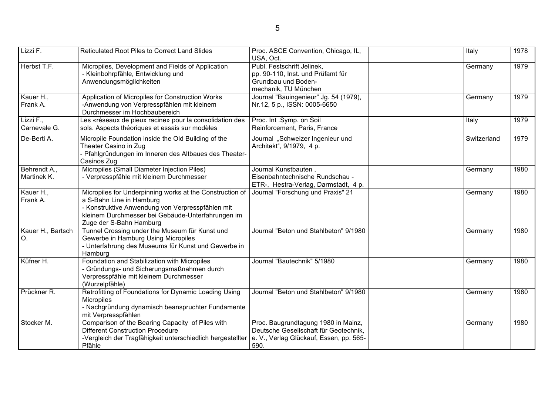| Lizzi F.                    | <b>Reticulated Root Piles to Correct Land Slides</b>                                                                                                                                                                     | Proc. ASCE Convention, Chicago, IL,<br>USA, Oct.                                                                                | Italy       | 1978 |
|-----------------------------|--------------------------------------------------------------------------------------------------------------------------------------------------------------------------------------------------------------------------|---------------------------------------------------------------------------------------------------------------------------------|-------------|------|
| Herbst T.F.                 | Micropiles, Development and Fields of Application<br>- Kleinbohrpfähle, Entwicklung und<br>Anwendungsmöglichkeiten                                                                                                       | Publ. Festschrift Jelinek,<br>pp. 90-110, Inst. und Prüfamt für<br>Grundbau und Boden-<br>mechanik, TU München                  | Germany     | 1979 |
| Kauer H.,<br>Frank A.       | Application of Micropiles for Construction Works<br>-Anwendung von Verpresspfählen mit kleinem<br>Durchmesser im Hochbaubereich                                                                                          | Journal "Bauingenieur" Jg. 54 (1979),<br>Nr.12, 5 p., ISSN: 0005-6650                                                           | Germany     | 1979 |
| Lizzi F.,<br>Carnevale G.   | Les «réseaux de pieux racine» pour la consolidation des<br>sols. Aspects théoriques et essais sur modèles                                                                                                                | Proc. Int .Symp. on Soil<br>Reinforcement, Paris, France                                                                        | Italy       | 1979 |
| De-Berti A.                 | Micropile Foundation inside the Old Building of the<br>Theater Casino in Zug<br>- Pfahlgründungen im Inneren des Altbaues des Theater-<br>Casinos Zug                                                                    | Journal "Schweizer Ingenieur und<br>Architekt", 9/1979, 4 p.                                                                    | Switzerland | 1979 |
| Behrendt A.,<br>Martinek K. | Micropiles (Small Diameter Injection Piles)<br>- Verpresspfähle mit kleinem Durchmesser                                                                                                                                  | Journal Kunstbauten,<br>Eisenbahntechnische Rundschau -<br>ETR-, Hestra-Verlag, Darmstadt, 4 p.                                 | Germany     | 1980 |
| Kauer H.,<br>Frank A.       | Micropiles for Underpinning works at the Construction of<br>a S-Bahn Line in Hamburg<br>- Konstruktive Anwendung von Verpresspfählen mit<br>kleinem Durchmesser bei Gebäude-Unterfahrungen im<br>Zuge der S-Bahn Hamburg | Journal "Forschung und Praxis" 21                                                                                               | Germany     | 1980 |
| Kauer H., Bartsch<br>O.     | Tunnel Crossing under the Museum für Kunst und<br>Gewerbe in Hamburg Using Micropiles<br>- Unterfahrung des Museums für Kunst und Gewerbe in<br>Hamburg                                                                  | Journal "Beton und Stahlbeton" 9/1980                                                                                           | Germany     | 1980 |
| Küfner H.                   | Foundation and Stabilization with Micropiles<br>- Gründungs- und Sicherungsmaßnahmen durch<br>Verpresspfähle mit kleinem Durchmesser<br>(Wurzelpfähle)                                                                   | Journal "Bautechnik" 5/1980                                                                                                     | Germany     | 1980 |
| Prückner R.                 | Retrofitting of Foundations for Dynamic Loading Using<br><b>Micropiles</b><br>- Nachgründung dynamisch beanspruchter Fundamente<br>mit Verpresspfählen                                                                   | Journal "Beton und Stahlbeton" 9/1980                                                                                           | Germany     | 1980 |
| Stocker M.                  | Comparison of the Bearing Capacity of Piles with<br><b>Different Construction Procedure</b><br>-Vergleich der Tragfähigkeit unterschiedlich hergestellter<br>Pfähle                                                      | Proc. Baugrundtagung 1980 in Mainz,<br>Deutsche Gesellschaft für Geotechnik,<br>e. V., Verlag Glückauf, Essen, pp. 565-<br>590. | Germany     | 1980 |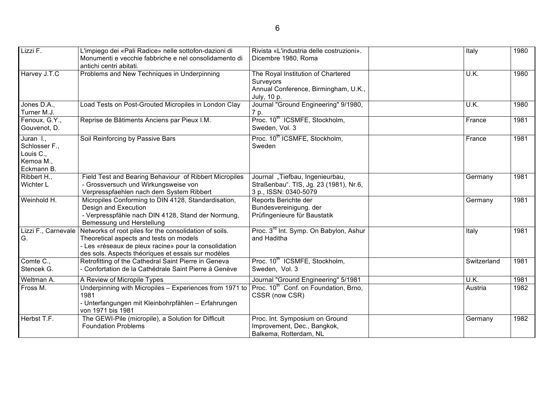| Lizzi F.                                                           | L'impiego dei «Pali Radice» nelle sottofon-dazioni di<br>Monumenti e vecchie fabbriche e nel consolidamento di<br>antichi centri abitati.                                                                      | Rivista «L'industria delle costruzioni».<br>Dicembre 1980, Roma                                        | Italy       | 1980 |
|--------------------------------------------------------------------|----------------------------------------------------------------------------------------------------------------------------------------------------------------------------------------------------------------|--------------------------------------------------------------------------------------------------------|-------------|------|
| Harvey J.T.C                                                       | Problems and New Techniques in Underpinning                                                                                                                                                                    | The Royal Institution of Chartered<br>Surveyors<br>Annual Conference, Birmingham, U.K.,<br>July, 10 p. | U.K.        | 1980 |
| Jones D.A.,<br>Turner M.J.                                         | Load Tests on Post-Grouted Micropiles in London Clay                                                                                                                                                           | Journal "Ground Engineering" 9/1980,<br>7 p.                                                           | U.K.        | 1980 |
| Fenoux, G.Y.,<br>Gouvenot, D.                                      | Reprise de Bâtiments Anciens par Pieux I.M.                                                                                                                                                                    | Proc. 10 <sup>th</sup> ICSMFE, Stockholm,<br>Sweden, Vol. 3                                            | France      | 1981 |
| Juran I.,<br>Schlosser F.,<br>Louis C.,<br>Kemoa M.,<br>Eckmann B. | Soil Reinforcing by Passive Bars                                                                                                                                                                               | Proc. 10 <sup>th</sup> ICSMFE, Stockholm,<br>Sweden                                                    | France      | 1981 |
| Ribbert H.,<br>Wichter L                                           | Field Test and Bearing Behaviour of Ribbert Micropiles<br>- Grossversuch und Wirkungsweise von<br>Verpresspfaehlen nach dem System Ribbert                                                                     | Journal "Tiefbau, Ingenieurbau,<br>Straßenbau". TIS, Jg. 23 (1981), Nr.6,<br>3 p., ISSN: 0340-5079     | Germany     | 1981 |
| Weinhold H.                                                        | Micropiles Conforming to DIN 4128, Standardisation,<br>Design and Execution<br>- Verpresspfähle nach DIN 4128, Stand der Normung,<br>Bemessung und Herstellung                                                 | Reports Berichte der<br>Bundesvereinigung. der<br>Prüfingenieure für Baustatik                         | Germany     | 1981 |
| Lizzi F., Carnevale<br>G.                                          | Networks of root piles for the consolidation of soils.<br>Theoretical aspects and tests on models<br>Les «réseaux de pieux racine» pour la consolidation<br>des sols. Aspects théoriques et essais sur modèles | Proc. 3 <sup>rd</sup> Int. Symp. On Babylon, Ashur<br>and Haditha                                      | Italy       | 1981 |
| Comte C.,<br>Stencek G.                                            | Retrofitting of the Cathedral Saint Pierre in Geneva<br>Confortation de la Cathédrale Saint Pierre à Genève                                                                                                    | Proc. 10 <sup>th</sup> ICSMFE, Stockholm,<br>Sweden, Vol. 3                                            | Switzerland | 1981 |
| Weltman A.                                                         | A Review of Micropile Types                                                                                                                                                                                    | Journal "Ground Engineering" 5/1981                                                                    | U.K.        | 1981 |

CSSR (now CSR)

Proc. Int. Symposium on Ground Improvement, Dec., Bangkok, Balkema, Rotterdam, NL

Austria 1982

Germany 1982

Fross M.  $\blacksquare$  Underpinning with Micropiles – Experiences from 1971 to Proc. 10<sup>th</sup> Conf. on Foundation, Brno,

- Unterfangungen mit Kleinbohrpfählen – Erfahrungen

1981

von 1971 bis 1981

Herbst T.F. **The GEWI-Pile (micropile), a Solution for Difficult** Foundation Problems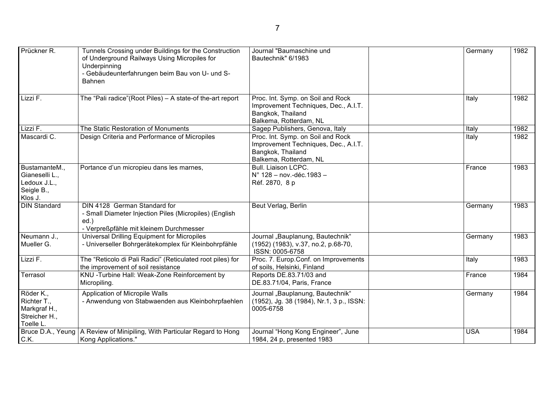| Prückner R.                                                              | Tunnels Crossing under Buildings for the Construction<br>of Underground Railways Using Micropiles for<br>Underpinning<br>- Gebäudeunterfahrungen beim Bau von U- und S-<br><b>Bahnen</b> | Journal "Baumaschine und<br>Bautechnik" 6/1983                                                                           | Germany    | 1982 |
|--------------------------------------------------------------------------|------------------------------------------------------------------------------------------------------------------------------------------------------------------------------------------|--------------------------------------------------------------------------------------------------------------------------|------------|------|
| Lizzi F.                                                                 | The "Pali radice"(Root Piles) - A state-of the-art report                                                                                                                                | Proc. Int. Symp. on Soil and Rock<br>Improvement Techniques, Dec., A.I.T.<br>Bangkok, Thailand<br>Balkema, Rotterdam, NL | Italy      | 1982 |
| Lizzi F.                                                                 | The Static Restoration of Monuments                                                                                                                                                      | Sagep Publishers, Genova, Italy                                                                                          | Italy      | 1982 |
| Mascardi C.                                                              | Design Criteria and Performance of Micropiles                                                                                                                                            | Proc. Int. Symp. on Soil and Rock<br>Improvement Techniques, Dec., A.I.T.<br>Bangkok, Thailand<br>Balkema, Rotterdam, NL | Italy      | 1982 |
| BustamanteM.,<br>Gianeselli L.,<br>Ledoux J.L.,<br>Seigle B.,<br>Klos J. | Portance d'un micropieu dans les marnes,                                                                                                                                                 | Bull. Liaison LCPC.<br>N° 128 - nov.-déc.1983 -<br>Réf. 2870, 8 p                                                        | France     | 1983 |
| <b>DIN Standard</b>                                                      | DIN 4128 German Standard for<br>- Small Diameter Injection Piles (Micropiles) (English<br>ed.)<br>- Verpreßpfähle mit kleinem Durchmesser                                                | Beut Verlag, Berlin                                                                                                      | Germany    | 1983 |
| Neumann J.,<br>Mueller G.                                                | Universal Drilling Equipment for Micropiles<br>- Universeller Bohrgerätekomplex für Kleinbohrpfähle                                                                                      | Journal "Bauplanung, Bautechnik"<br>(1952) (1983), v.37, no.2, p.68-70,<br>ISSN: 0005-6758                               | Germany    | 1983 |
| Lizzi F.                                                                 | The "Reticolo di Pali Radici" (Reticulated root piles) for<br>the improvement of soil resistance                                                                                         | Proc. 7. Europ.Conf. on Improvements<br>of soils, Helsinki, Finland                                                      | Italy      | 1983 |
| Terrasol                                                                 | KNU - Turbine Hall: Weak-Zone Reinforcement by<br>Micropiling.                                                                                                                           | Reports DE.83.71/03 and<br>DE.83.71/04, Paris, France                                                                    | France     | 1984 |
| Röder K.,<br>Richter T.,<br>Markgraf H.,<br>Streicher H.,<br>Toelle L.   | Application of Micropile Walls<br>- Anwendung von Stabwaenden aus Kleinbohrpfaehlen                                                                                                      | Journal "Bauplanung, Bautechnik"<br>(1952), Jg. 38 (1984), Nr.1, 3 p., ISSN:<br>0005-6758                                | Germany    | 1984 |
| Bruce D.A., Yeung<br>C.K.                                                | A Review of Minipiling, With Particular Regard to Hong<br>Kong Applications."                                                                                                            | Journal "Hong Kong Engineer", June<br>1984, 24 p, presented 1983                                                         | <b>USA</b> | 1984 |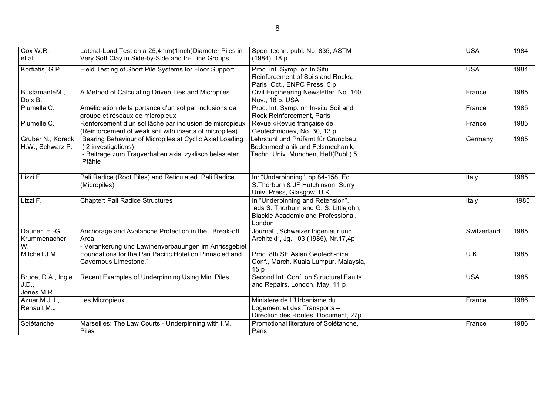| Cox W.R.                                  | Lateral-Load Test on a 25,4mm(1Inch)Diameter Piles in                                                                                             | Spec. techn. publ. No. 835, ASTM                                                                                                 | <b>USA</b>  | 1984 |
|-------------------------------------------|---------------------------------------------------------------------------------------------------------------------------------------------------|----------------------------------------------------------------------------------------------------------------------------------|-------------|------|
| et al.                                    | Very Soft Clay in Side-by-Side and In- Line Groups                                                                                                | $(1984)$ , 18 p.                                                                                                                 |             |      |
| Korfiatis, G.P.                           | Field Testing of Short Pile Systems for Floor Support.                                                                                            | Proc. Int. Symp. on In Situ<br>Reinforcement of Soils and Rocks.<br>Paris, Oct., ENPC Press, 5 p.                                | <b>USA</b>  | 1984 |
| BustamanteM.,<br>Doix B.                  | A Method of Calculating Driven Ties and Micropiles                                                                                                | Civil Engineering Newsletter. No. 140.<br>Nov., 18 p, USA                                                                        | France      | 1985 |
| Plumelle C.                               | Amélioration de la portance d'un sol par inclusions de<br>groupe et réseaux de micropieux                                                         | Proc. Int. Symp. on In-situ Soil and<br>Rock Reinforcement, Paris                                                                | France      | 1985 |
| Plumelle C.                               | Renforcement d'un sol lâche par inclusion de micropieux<br>(Reinforcement of weak soil with inserts of micropiles)                                | Revue «Revue française de<br>Géotechnique», No. 30, 13 p.                                                                        | France      | 1985 |
| Gruber N., Koreck<br>H.W., Schwarz P.     | Bearing Behaviour of Micropiles at Cyclic Axial Loading<br>(2 investigations)<br>- Beiträge zum Tragverhalten axial zyklisch belasteter<br>Pfähle | Lehrstuhl und Prüfamt für Grundbau,<br>Bodenmechanik und Felsmechanik,<br>Techn. Univ. München, Heft(Publ.) 5                    | Germany     | 1985 |
| Lizzi F.                                  | Pali Radice (Root Piles) and Reticulated Pali Radice<br>(Micropiles)                                                                              | In: "Underpinning", pp.84-158, Ed.<br>S. Thorburn & JF Hutchinson, Surry<br>Univ. Press, Glasgow, U.K.                           | Italy       | 1985 |
| Lizzi F.                                  | <b>Chapter: Pali Radice Structures</b>                                                                                                            | In "Underpinning and Retension",<br>eds S. Thorburn and G. S. Littlejohn,<br><b>Blackie Academic and Professional,</b><br>London | Italy       | 1985 |
| Dauner H.-G.,<br>Krummenacher<br>W.       | Anchorage and Avalanche Protection in the Break-off<br>Area<br>- Verankerung und Lawinenverbauungen im Anrissgebiet                               | Journal "Schweizer Ingenieur und<br>Architekt", Jg. 103 (1985), Nr.17,4p                                                         | Switzerland | 1985 |
| Mitchell J.M.                             | Foundations for the Pan Pacific Hotel on Pinnacled and<br>Cavernous Limestone."                                                                   | Proc. 8th SE Asian Geotech-nical<br>Conf., March, Kuala Lumpur, Malaysia,<br>15p                                                 | U.K.        | 1985 |
| Bruce, D.A., Ingle<br>J.D.,<br>Jones M.R. | Recent Examples of Underpinning Using Mini Piles                                                                                                  | Second Int. Conf. on Structural Faults<br>and Repairs, London, May, 11 p                                                         | <b>USA</b>  | 1985 |
| Azuar M.J.J.,<br>Renault M.J.             | Les Micropieux                                                                                                                                    | Ministere de L'Urbanisme du<br>Logement et des Transports -<br>Direction des Routes. Document, 27p.                              | France      | 1986 |
| Solétanche                                | Marseilles: The Law Courts - Underpinning with I.M.<br>Piles                                                                                      | Promotional literature of Solétanche,<br>Paris,                                                                                  | France      | 1986 |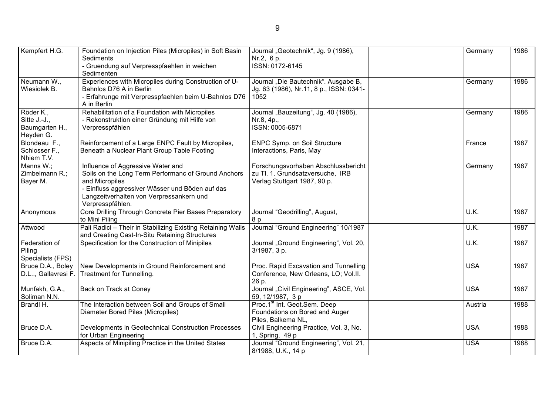| Kempfert H.G.                                            | Foundation on Injection Piles (Micropiles) in Soft Basin<br>Sediments<br>- Gruendung auf Verpresspfaehlen in weichen<br>Sedimenten                                                                                            | Journal "Geotechnik", Jg. 9 (1986),<br>Nr.2, 6 p.<br>ISSN: 0172-6145                                    | Germany     | 1986 |
|----------------------------------------------------------|-------------------------------------------------------------------------------------------------------------------------------------------------------------------------------------------------------------------------------|---------------------------------------------------------------------------------------------------------|-------------|------|
| Neumann W.,<br>Wiesiolek B.                              | Experiences with Micropiles during Construction of U-<br>Bahnlos D76 A in Berlin<br>- Erfahrunge mit Verpresspfaehlen beim U-Bahnlos D76<br>A in Berlin                                                                       | Journal "Die Bautechnik". Ausgabe B,<br>Jg. 63 (1986), Nr.11, 8 p., ISSN: 0341-<br>1052                 | Germany     | 1986 |
| Röder K.,<br>Sitte J.-J.,<br>Baumgarten H.,<br>Heyden G. | Rehabilitation of a Foundation with Micropiles<br>- Rekonstruktion einer Gründung mit Hilfe von<br>Verpresspfählen                                                                                                            | Journal "Bauzeitung", Jg. 40 (1986),<br>Nr.8, 4p.,<br>ISSN: 0005-6871                                   | Germany     | 1986 |
| Blondeau F.,<br>Schlosser F.,<br>Nhiem T.V.              | Reinforcement of a Large ENPC Fault by Micropiles,<br>Beneath a Nuclear Plant Group Table Footing                                                                                                                             | ENPC Symp. on Soil Structure<br>Interactions, Paris, May                                                | France      | 1987 |
| Manns W.;<br>Zimbelmann R.;<br>Bayer M.                  | Influence of Aggressive Water and<br>Soils on the Long Term Performanc of Ground Anchors<br>and Micropiles<br>- Einfluss aggressiver Wässer und Böden auf das<br>Langzeitverhalten von Verpressankern und<br>Verpresspfählen. | Forschungsvorhaben Abschlussbericht<br>zu Tl. 1. Grundsatzversuche, IRB<br>Verlag Stuttgart 1987, 90 p. | Germany     | 1987 |
| Anonymous                                                | Core Drilling Through Concrete Pier Bases Preparatory<br>to Mini Piling                                                                                                                                                       | Journal "Geodrilling", August,<br>8 p                                                                   | <b>U.K.</b> | 1987 |
| Attwood                                                  | Pali Radici - Their in Stabilizing Existing Retaining Walls<br>and Creating Cast-In-Situ Retaining Structures                                                                                                                 | Journal "Ground Engineering" 10/1987                                                                    | <b>U.K.</b> | 1987 |
| Federation of<br>Piling<br>Specialists (FPS)             | Specification for the Construction of Minipiles                                                                                                                                                                               | Journal "Ground Engineering", Vol. 20,<br>3/1987, 3 p.                                                  | <b>U.K.</b> | 1987 |
| Bruce D.A., Boley<br>D.L, Gallavresi F.                  | New Developments in Ground Reinforcement and<br>Treatment for Tunnelling.                                                                                                                                                     | Proc. Rapid Excavation and Tunnelling<br>Conference, New Orleans, LO; Vol.II.<br>26 p.                  | <b>USA</b>  | 1987 |
| Munfakh, G.A.,<br>Soliman N.N.                           | Back on Track at Coney                                                                                                                                                                                                        | Journal "Civil Engineering", ASCE, Vol.<br>59, 12/1987, 3 p                                             | <b>USA</b>  | 1987 |
| Brandl H.                                                | The Interaction between Soil and Groups of Small<br>Diameter Bored Piles (Micropiles)                                                                                                                                         | Proc.1 <sup>st</sup> Int. Geot.Sem. Deep<br>Foundations on Bored and Auger<br>Piles, Balkema NL,        | Austria     | 1988 |
| Bruce D.A.                                               | Developments in Geotechnical Construction Processes<br>for Urban Engineering                                                                                                                                                  | Civil Engineering Practice, Vol. 3, No.<br>1, Spring, 49 p                                              | <b>USA</b>  | 1988 |
| Bruce D.A.                                               | Aspects of Minipiling Practice in the United States                                                                                                                                                                           | Journal "Ground Engineering", Vol. 21,<br>8/1988, U.K., 14 p                                            | <b>USA</b>  | 1988 |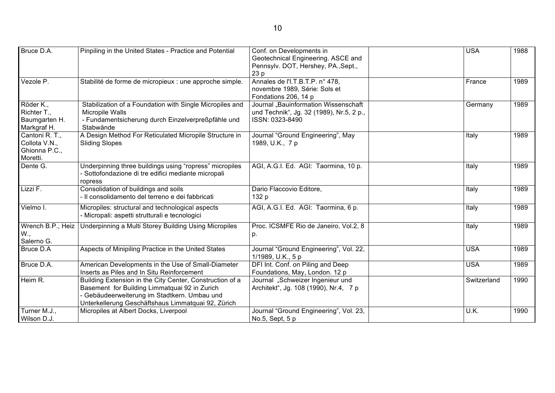| Bruce D.A.                                                   | Pinpiling in the United States - Practice and Potential                                                                                                                                                         | Conf. on Developments in<br>Geotechnical Engineering. ASCE and<br>Pennsylv. DOT, Hershey, PA., Sept.,<br>23p | <b>USA</b>  | 1988 |
|--------------------------------------------------------------|-----------------------------------------------------------------------------------------------------------------------------------------------------------------------------------------------------------------|--------------------------------------------------------------------------------------------------------------|-------------|------|
| Vezole P.                                                    | Stabilité de forme de micropieux : une approche simple.                                                                                                                                                         | Annales de l'I.T.B.T.P. n° 478,<br>novembre 1989, Série: Sols et<br>Fondations 206, 14 p                     | France      | 1989 |
| Röder K.,<br>Richter T.,<br>Baumgarten H.<br>Markgraf H.     | Stabilization of a Foundation with Single Micropiles and<br>Micropile Walls<br>- Fundamentsicherung durch Einzelverpreßpfähle und<br>Stabwände                                                                  | Journal "Bauinformation Wissenschaft<br>und Technik", Jg. 32 (1989), Nr.5, 2 p.,<br>ISSN: 0323-8490          | Germany     | 1989 |
| Cantoni R. T.,<br>Collota V.N.,<br>Ghionna P.C.,<br>Moretti. | A Design Method For Reticulated Micropile Structure in<br><b>Sliding Slopes</b>                                                                                                                                 | Journal "Ground Engineering", May<br>1989, U.K., 7 p                                                         | Italy       | 1989 |
| Dente G.                                                     | Underpinning three buildings using "ropress" micropiles<br>- Sottofondazione di tre edifici mediante micropali<br>ropress                                                                                       | AGI, A.G.I. Ed. AGI: Taormina, 10 p.                                                                         | Italy       | 1989 |
| Lizzi F.                                                     | Consolidation of buildings and soils<br>Il consolidamento del terreno e dei fabbricati                                                                                                                          | Dario Flaccovio Editore,<br>132 p                                                                            | Italy       | 1989 |
| Vielmo I.                                                    | Micropiles: structural and technological aspects<br>- Micropali: aspetti strutturali e tecnologici                                                                                                              | AGI, A.G.I. Ed. AGI: Taormina, 6 p.                                                                          | Italy       | 1989 |
| W.,<br>Salerno G.                                            | Wrench B.P., Heiz   Underpinning a Multi Storey Building Using Micropiles                                                                                                                                       | Proc. ICSMFE Rio de Janeiro, Vol.2, 8<br>p.                                                                  | Italy       | 1989 |
| Bruce D.A                                                    | Aspects of Minipiling Practice in the United States                                                                                                                                                             | Journal "Ground Engineering", Vol. 22,<br>1/1989, U.K., 5 p                                                  | <b>USA</b>  | 1989 |
| Bruce D.A.                                                   | American Developments in the Use of Small-Diameter<br>Inserts as Piles and In Situ Reinforcement                                                                                                                | DFI Int. Conf. on Piling and Deep<br>Foundations, May, London. 12 p                                          | <b>USA</b>  | 1989 |
| Heim R.                                                      | Building Extension in the City Center, Construction of a<br>Basement for Building Limmatquai 92 in Zurich<br>- Gebäudeerweiterung im Stadtkern. Umbau und<br>Unterkellerung Geschäftshaus Limmatquai 92, Zürich | Journal "Schweizer Ingenieur und<br>Architekt", Jg. 108 (1990), Nr.4, 7 p                                    | Switzerland | 1990 |
| Turner M.J.,<br>Wilson D.J.                                  | Micropiles at Albert Docks, Liverpool                                                                                                                                                                           | Journal "Ground Engineering", Vol. 23,<br>No.5, Sept, 5 p                                                    | U.K.        | 1990 |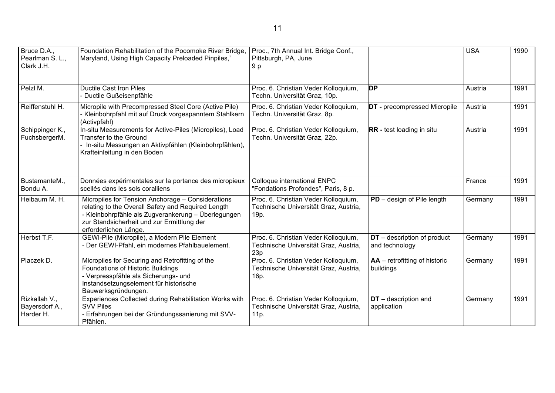| Bruce D.A.,<br>Pearlman S. L.,<br>Clark J.H. | Foundation Rehabilitation of the Pocomoke River Bridge<br>Maryland, Using High Capacity Preloaded Pinpiles,"                                                                                                                          | Proc., 7th Annual Int. Bridge Conf.,<br>Pittsburgh, PA, June<br>9 p                   |                                                 | <b>USA</b> | 1990 |
|----------------------------------------------|---------------------------------------------------------------------------------------------------------------------------------------------------------------------------------------------------------------------------------------|---------------------------------------------------------------------------------------|-------------------------------------------------|------------|------|
| Pelzl M.                                     | Ductile Cast Iron Piles<br>Ductile Gußeisenpfähle                                                                                                                                                                                     | Proc. 6. Christian Veder Kolloquium,<br>Techn. Universität Graz, 10p.                 | <b>DP</b>                                       | Austria    | 1991 |
| Reiffenstuhl H.                              | Micropile with Precompressed Steel Core (Active Pile)<br>Kleinbohrpfahl mit auf Druck vorgespanntem Stahlkern<br>(Activpfahl)                                                                                                         | Proc. 6. Christian Veder Kolloquium,<br>Techn. Universität Graz, 8p.                  | <b>DT</b> - precompressed Micropile             | Austria    | 1991 |
| Schippinger K.,<br>FuchsbergerM.             | In-situ Measurements for Active-Piles (Micropiles), Load<br>Transfer to the Ground<br>- In-situ Messungen an Aktivpfählen (Kleinbohrpfählen),<br>Krafteinleitung in den Boden                                                         | Proc. 6. Christian Veder Kolloquium,<br>Techn. Universität Graz, 22p.                 | <b>RR</b> - test loading in situ                | Austria    | 1991 |
| BustamanteM.,<br>Bondu A.                    | Données expérimentales sur la portance des micropieux<br>scellés dans les sols coralliens                                                                                                                                             | Colloque international ENPC<br>"Fondations Profondes", Paris, 8 p.                    |                                                 | France     | 1991 |
| Heibaum M. H.                                | Micropiles for Tension Anchorage - Considerations<br>relating to the Overall Safety and Required Length<br>- Kleinbohrpfähle als Zugverankerung – Überlegungen<br>zur Standsicherheit und zur Ermittlung der<br>erforderlichen Länge. | Proc. 6. Christian Veder Kolloquium,<br>Technische Universität Graz, Austria,<br>19p. | $PD$ – design of Pile length                    | Germany    | 1991 |
| Herbst T.F.                                  | GEWI-Pile (Micropile), a Modern Pile Element<br>- Der GEWI-Pfahl, ein modernes Pfahlbauelement.                                                                                                                                       | Proc. 6. Christian Veder Kolloquium,<br>Technische Universität Graz, Austria,<br>23p  | $DT$ – description of product<br>and technology | Germany    | 1991 |
| Placzek D.                                   | Micropiles for Securing and Retrofitting of the<br><b>Foundations of Historic Buildings</b><br>- Verpresspfähle als Sicherungs- und<br>Instandsetzungselement für historische<br>Bauwerksgründungen.                                  | Proc. 6. Christian Veder Kolloquium,<br>Technische Universität Graz, Austria,<br>16p. | AA - retrofitting of historic<br>buildings      | Germany    | 1991 |
| Rizkallah V.,<br>Bayersdorf A.,<br>Harder H. | Experiences Collected during Rehabilitation Works with<br><b>SVV Piles</b><br>- Erfahrungen bei der Gründungssanierung mit SVV-<br>Pfählen.                                                                                           | Proc. 6. Christian Veder Kolloquium,<br>Technische Universität Graz, Austria,<br>11p. | $DT$ – description and<br>application           | Germany    | 1991 |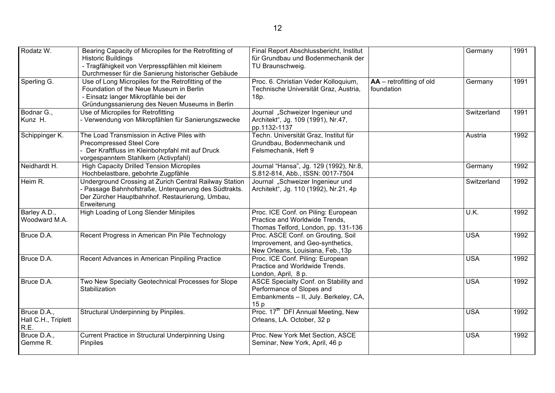| Rodatz W.                                  | Bearing Capacity of Micropiles for the Retrofitting of<br><b>Historic Buildings</b><br>- Tragfähigkeit von Verpresspfählen mit kleinem                                                  | Final Report Abschlussbericht, Institut<br>für Grundbau und Bodenmechanik der                                      |                                          | Germany     | 1991 |
|--------------------------------------------|-----------------------------------------------------------------------------------------------------------------------------------------------------------------------------------------|--------------------------------------------------------------------------------------------------------------------|------------------------------------------|-------------|------|
|                                            | Durchmesser für die Sanierung historischer Gebäude                                                                                                                                      | TU Braunschweig.                                                                                                   |                                          |             |      |
| Sperling G.                                | Use of Long Micropiles for the Retrofitting of the<br>Foundation of the Neue Museum in Berlin<br>- Einsatz langer Mikropfähle bei der<br>Gründungssanierung des Neuen Museums in Berlin | Proc. 6. Christian Veder Kolloquium,<br>Technische Universität Graz, Austria,<br>18p.                              | $AA$ – retrofitting of old<br>foundation | Germany     | 1991 |
| Bodnar G.,<br>Kunz H.                      | Use of Micropiles for Retrofitting<br>- Verwendung von Mikropfählen für Sanierungszwecke                                                                                                | Journal "Schweizer Ingenieur und<br>Architekt", Jg. 109 (1991), Nr.47,<br>pp.1132-1137                             |                                          | Switzerland | 1991 |
| Schippinger K.                             | The Load Transmission in Active Piles with<br>Precompressed Steel Core<br>Der Kraftfluss im Kleinbohrpfahl mit auf Druck<br>vorgespanntem Stahlkern (Activpfahl)                        | Techn. Universität Graz, Institut für<br>Grundbau, Bodenmechanik und<br>Felsmechanik, Heft 9                       |                                          | Austria     | 1992 |
| Neidhardt H.                               | <b>High Capacity Drilled Tension Micropiles</b><br>Hochbelastbare, gebohrte Zugpfähle                                                                                                   | Journal "Hansa", Jg. 129 (1992), Nr.8,<br>S.812-814, Abb., ISSN: 0017-7504                                         |                                          | Germany     | 1992 |
| Heim R.                                    | Underground Crossing at Zurich Central Railway Station<br>- Passage Bahnhofstraße, Unterquerung des Südtrakts.<br>Der Zürcher Hauptbahnhof. Restaurierung, Umbau,<br>Erweiterung        | Journal "Schweizer Ingenieur und<br>Architekt", Jg. 110 (1992), Nr.21, 4p                                          |                                          | Switzerland | 1992 |
| Barley A.D.,<br>Woodward M.A.              | High Loading of Long Slender Minipiles                                                                                                                                                  | Proc. ICE Conf. on Piling: European<br>Practice and Worldwide Trends,<br>Thomas Telford, London, pp. 131-136       |                                          | U.K.        | 1992 |
| Bruce D.A.                                 | Recent Progress in American Pin Pile Technology                                                                                                                                         | Proc. ASCE Conf. on Grouting, Soil<br>Improvement, and Geo-synthetics,<br>New Orleans, Louisiana, Feb., 13p        |                                          | <b>USA</b>  | 1992 |
| Bruce D.A.                                 | Recent Advances in American Pinpiling Practice                                                                                                                                          | Proc. ICE Conf. Piling: European<br>Practice and Worldwide Trends.<br>London, April, 8 p.                          |                                          | <b>USA</b>  | 1992 |
| Bruce D.A.                                 | Two New Specialty Geotechnical Processes for Slope<br>Stabilization                                                                                                                     | ASCE Specialty Conf. on Stability and<br>Performance of Slopes and<br>Embankments - II, July. Berkeley, CA,<br>15p |                                          | <b>USA</b>  | 1992 |
| Bruce D.A.,<br>Hall C.H., Triplett<br>R.E. | Structural Underpinning by Pinpiles.                                                                                                                                                    | Proc. 17 <sup>th</sup> DFI Annual Meeting, New<br>Orleans, LA. October, 32 p                                       |                                          | <b>USA</b>  | 1992 |
| Bruce D.A.,<br>Gemme R.                    | <b>Current Practice in Structural Underpinning Using</b><br>Pinpiles                                                                                                                    | Proc. New York Met Section, ASCE<br>Seminar, New York, April, 46 p                                                 |                                          | <b>USA</b>  | 1992 |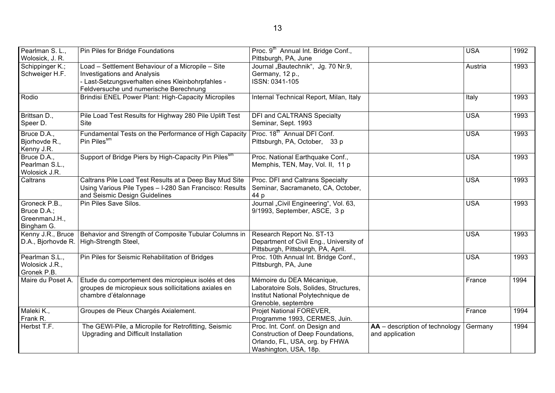| Pearlman S. L.,<br>Wolosick, J. R.                          | Pin Piles for Bridge Foundations                                                                                                                                                       | Proc. 9 <sup>th</sup> Annual Int. Bridge Conf.,<br>Pittsburgh, PA, June                                                          |                                                   | <b>USA</b> | 1992 |
|-------------------------------------------------------------|----------------------------------------------------------------------------------------------------------------------------------------------------------------------------------------|----------------------------------------------------------------------------------------------------------------------------------|---------------------------------------------------|------------|------|
| Schippinger K.;<br>Schweiger H.F.                           | Load - Settlement Behaviour of a Micropile - Site<br><b>Investigations and Analysis</b><br>- Last-Setzungsverhalten eines Kleinbohrpfahles -<br>Feldversuche und numerische Berechnung | Journal "Bautechnik", Jg. 70 Nr.9,<br>Germany, 12 p.,<br>ISSN: 0341-105                                                          |                                                   | Austria    | 1993 |
| Rodio                                                       | Brindisi ENEL Power Plant: High-Capacity Micropiles                                                                                                                                    | Internal Technical Report, Milan, Italy                                                                                          |                                                   | Italy      | 1993 |
| Brittsan D.,<br>Speer D.                                    | Pile Load Test Results for Highway 280 Pile Uplift Test<br><b>Site</b>                                                                                                                 | DFI and CALTRANS Specialty<br>Seminar, Sept. 1993                                                                                |                                                   | <b>USA</b> | 1993 |
| Bruce D.A.,<br>Bjorhovde R.,<br>Kenny J.R.                  | Fundamental Tests on the Performance of High Capacity<br>Pin Piles <sup>sm</sup>                                                                                                       | Proc. 18 <sup>th</sup> Annual DFI Conf.<br>Pittsburgh, PA, October, 33 p                                                         |                                                   | <b>USA</b> | 1993 |
| Bruce D.A.,<br>Pearlman S.L.,<br>Wolosick J.R.              | Support of Bridge Piers by High-Capacity Pin Pilessm                                                                                                                                   | Proc. National Earthquake Conf.,<br>Memphis, TEN, May, Vol. II, 11 p                                                             |                                                   | <b>USA</b> | 1993 |
| Caltrans                                                    | Caltrans Pile Load Test Results at a Deep Bay Mud Site<br>Using Various Pile Types - I-280 San Francisco: Results<br>and Seismic Design Guidelines                                     | Proc. DFI and Caltrans Specialty<br>Seminar, Sacramaneto, CA, October,<br>44 p                                                   |                                                   | <b>USA</b> | 1993 |
| Groneck P.B.,<br>Bruce D.A.;<br>GreenmanJ.H.,<br>Bingham G. | Pin Piles Save Silos.                                                                                                                                                                  | Journal "Civil Engineering", Vol. 63,<br>9/1993, September, ASCE, 3 p                                                            |                                                   | <b>USA</b> | 1993 |
| Kenny J.R., Bruce<br>D.A., Bjorhovde R.                     | Behavior and Strength of Composite Tubular Columns in<br>High-Strength Steel,                                                                                                          | Research Report No. ST-13<br>Department of Civil Eng., University of<br>Pittsburgh, Pittsburgh, PA, April.                       |                                                   | <b>USA</b> | 1993 |
| Pearlman S.L.,<br>Wolosick J.R.,<br>Gronek P.B.             | Pin Piles for Seismic Rehabilitation of Bridges                                                                                                                                        | Proc. 10th Annual Int. Bridge Conf.,<br>Pittsburgh, PA, June                                                                     |                                                   | <b>USA</b> | 1993 |
| Maire du Poset A.                                           | Etude du comportement des micropieux isolés et des<br>groupes de micropieux sous sollicitations axiales en<br>chambre d'étalonnage                                                     | Mémoire du DEA Mécanique,<br>Laboratoire Sols, Solides, Structures,<br>Institut National Polytechnique de<br>Grenoble, septembre |                                                   | France     | 1994 |
| Maleki K.,<br>Frank R.                                      | Groupes de Pieux Chargés Axialement.                                                                                                                                                   | Projet National FOREVER,<br>Programme 1993, CERMES, Juin.                                                                        |                                                   | France     | 1994 |
| Herbst T.F.                                                 | The GEWI-Pile, a Micropile for Retrofitting, Seismic<br>Upgrading and Difficult Installation                                                                                           | Proc. Int. Conf. on Design and<br>Construction of Deep Foundations,<br>Orlando, FL, USA, org. by FHWA<br>Washington, USA, 18p.   | AA - description of technology<br>and application | Germany    | 1994 |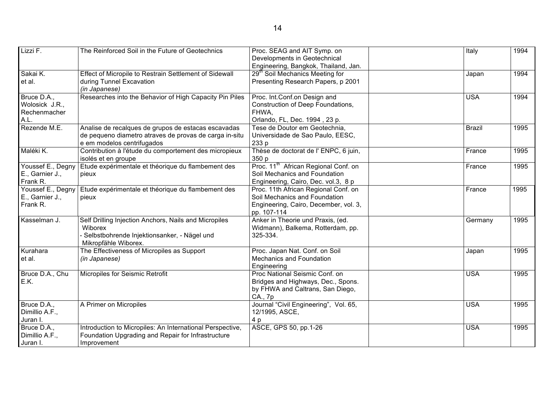| Lizzi F.          | The Reinforced Soil in the Future of Geotechnics          | Proc. SEAG and AIT Symp. on                      | Italy         | 1994 |
|-------------------|-----------------------------------------------------------|--------------------------------------------------|---------------|------|
|                   |                                                           | Developments in Geotechnical                     |               |      |
|                   |                                                           | Engineering, Bangkok, Thailand, Jan.             |               |      |
| Sakai K.          | Effect of Micropile to Restrain Settlement of Sidewall    | 29 <sup>th</sup> Soil Mechanics Meeting for      | Japan         | 1994 |
| et al.            | during Tunnel Excavation                                  | Presenting Research Papers, p 2001               |               |      |
|                   | (in Japanese)                                             |                                                  |               |      |
| Bruce D.A.,       | Researches into the Behavior of High Capacity Pin Piles   | Proc. Int.Conf.on Design and                     | <b>USA</b>    | 1994 |
| Wolosick J.R.,    |                                                           | Construction of Deep Foundations,                |               |      |
| Rechenmacher      |                                                           | FHWA,                                            |               |      |
| A.L.              |                                                           | Orlando, FL, Dec. 1994, 23 p.                    |               |      |
| Rezende M.E.      | Analise de recalques de grupos de estacas escavadas       | Tese de Doutor em Geotechnia,                    | <b>Brazil</b> | 1995 |
|                   | de pequeno diametro atraves de provas de carga in-situ    | Universidade de Sao Paulo, EESC,                 |               |      |
|                   | e em modelos centrifugados                                | 233 p                                            |               |      |
| Maléki K.         | Contribution à l'étude du comportement des micropieux     | Thèse de doctorat de l'ENPC, 6 juin,             | France        | 1995 |
|                   | isolés et en groupe                                       | 350 p                                            |               |      |
| Youssef E., Degny | Etude expérimentale et théorique du flambement des        | Proc. 11 <sup>th</sup> African Regional Conf. on | France        | 1995 |
| E., Garnier J.,   | pieux                                                     | Soil Mechanics and Foundation                    |               |      |
| Frank R.          |                                                           | Engineering, Cairo, Dec. vol.3, 8 p              |               |      |
| Youssef E., Degny | Etude expérimentale et théorique du flambement des        | Proc. 11th African Regional Conf. on             | France        | 1995 |
| E., Garnier J.,   | pieux                                                     | Soil Mechanics and Foundation                    |               |      |
| Frank R.          |                                                           | Engineering, Cairo, December, vol. 3,            |               |      |
|                   |                                                           | pp. 107-114                                      |               |      |
| Kasselman J.      | Self Drilling Injection Anchors, Nails and Micropiles     | Anker in Theorie und Praxis, (ed.                | Germany       | 1995 |
|                   | Wiborex                                                   | Widmann), Balkema, Rotterdam, pp.                |               |      |
|                   | - Selbstbohrende Injektionsanker, - Nägel und             | 325-334.                                         |               |      |
|                   | Mikropfähle Wiborex.                                      |                                                  |               |      |
| Kurahara          | The Effectiveness of Micropiles as Support                | Proc. Japan Nat. Conf. on Soil                   | Japan         | 1995 |
| et al.            | (in Japanese)                                             | Mechanics and Foundation                         |               |      |
|                   |                                                           | Engineering                                      |               |      |
| Bruce D.A., Chu   | Micropiles for Seismic Retrofit                           | Proc National Seismic Conf. on                   | <b>USA</b>    | 1995 |
| E.K.              |                                                           | Bridges and Highways, Dec., Spons.               |               |      |
|                   |                                                           | by FHWA and Caltrans, San Diego,                 |               |      |
|                   |                                                           | CA., 7p                                          |               |      |
| Bruce D.A.,       | A Primer on Micropiles                                    | Journal "Civil Engineering", Vol. 65,            | <b>USA</b>    | 1995 |
| Dimillio A.F.,    |                                                           | 12/1995, ASCE,                                   |               |      |
| Juran I.          |                                                           | 4p                                               |               |      |
| Bruce D.A.,       | Introduction to Micropiles: An International Perspective, | ASCE, GPS 50, pp.1-26                            | <b>USA</b>    | 1995 |
| Dimillio A.F.,    | Foundation Upgrading and Repair for Infrastructure        |                                                  |               |      |
| Juran I.          | Improvement                                               |                                                  |               |      |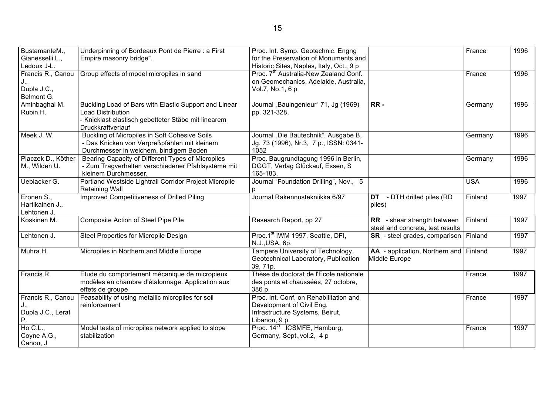| BustamanteM.,<br>Gianesselli L.,<br>Ledoux J-L.       | Underpinning of Bordeaux Pont de Pierre : a First<br>Empire masonry bridge".                                                                                  | Proc. Int. Symp. Geotechnic. Engng<br>for the Preservation of Monuments and<br>Historic Sites, Naples, Italy, Oct., 9 p |                                                                        | France     | 1996 |
|-------------------------------------------------------|---------------------------------------------------------------------------------------------------------------------------------------------------------------|-------------------------------------------------------------------------------------------------------------------------|------------------------------------------------------------------------|------------|------|
| Francis R., Canou<br>J.,<br>Dupla J.C.,<br>Belmont G. | Group effects of model micropiles in sand                                                                                                                     | Proc. 7 <sup>th</sup> Australia-New Zealand Conf.<br>on Geomechanics, Adelaide, Australia,<br>Vol.7, No.1, 6 p          |                                                                        | France     | 1996 |
| Aminbaghai M.<br>Rubin H.                             | Buckling Load of Bars with Elastic Support and Linear<br><b>Load Distribution</b><br>- Knicklast elastisch gebetteter Stäbe mit linearem<br>Druckkraftverlauf | Journal "Bauingenieur" 71, Jg (1969)<br>pp. 321-328,                                                                    | RR-                                                                    | Germany    | 1996 |
| Meek J.W.                                             | Buckling of Micropiles in Soft Cohesive Soils<br>- Das Knicken von Verpreßpfählen mit kleinem<br>Durchmesser in weichem, bindigem Boden                       | Journal "Die Bautechnik". Ausgabe B,<br>Jg. 73 (1996), Nr.3, 7 p., ISSN: 0341-<br>1052                                  |                                                                        | Germany    | 1996 |
| Placzek D., Köther<br>M., Wilden U.                   | Bearing Capacity of Different Types of Micropiles<br>- Zum Tragverhalten verschiedener Pfahlsysteme mit<br>kleinem Durchmesser,                               | Proc. Baugrundtagung 1996 in Berlin,<br>DGGT, Verlag Glückauf, Essen, S<br>165-183.                                     |                                                                        | Germany    | 1996 |
| Ueblacker G.                                          | Portland Westside Lightrail Corridor Project Micropile<br><b>Retaining Wall</b>                                                                               | Journal "Foundation Drilling", Nov., 5                                                                                  |                                                                        | <b>USA</b> | 1996 |
| Eronen S.,<br>Hartikainen J.,<br>Lehtonen J.          | Improved Competitiveness of Drilled Piling                                                                                                                    | Journal Rakennustekniikka 6/97                                                                                          | <b>DT</b> - DTH drilled piles (RD<br>piles)                            | Finland    | 1997 |
| Koskinen M.                                           | Composite Action of Steel Pipe Pile                                                                                                                           | Research Report, pp 27                                                                                                  | <b>RR</b> - shear strength between<br>steel and concrete, test results | Finland    | 1997 |
| Lehtonen J.                                           | Steel Properties for Micropile Design                                                                                                                         | Proc.1 <sup>st</sup> IWM 1997, Seattle, DFI,<br>N.J., USA, 6p.                                                          | <b>SR</b> - steel grades, comparison                                   | Finland    | 1997 |
| Muhra H.                                              | Micropiles in Northern and Middle Europe                                                                                                                      | Tampere University of Technology,<br>Geotechnical Laboratory, Publication<br>39, 71p.                                   | AA - application, Northern and Finland<br>Middle Europe                |            | 1997 |
| Francis R.                                            | Etude du comportement mécanique de micropieux<br>modèles en chambre d'étalonnage. Application aux<br>effets de groupe                                         | Thèse de doctorat de l'Ecole nationale<br>des ponts et chaussées, 27 octobre,<br>386 p.                                 |                                                                        | France     | 1997 |
| Francis R., Canou<br>Dupla J.C., Lerat<br>Р.          | Feasability of using metallic micropiles for soil<br>reinforcement                                                                                            | Proc. Int. Conf. on Rehabilitation and<br>Development of Civil Eng.<br>Infrastructure Systems, Beirut,<br>Libanon, 9 p  |                                                                        | France     | 1997 |
| Ho C.L.,<br>Coyne A.G.,<br>Canou, J                   | Model tests of micropiles network applied to slope<br>stabilization                                                                                           | Proc. 14 <sup>th</sup> ICSMFE, Hamburg,<br>Germany, Sept., vol.2, 4 p                                                   |                                                                        | France     | 1997 |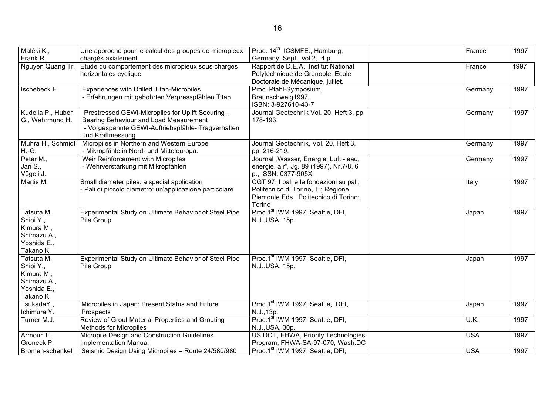| Maléki K.,              | Une approche pour le calcul des groupes de micropieux   | Proc. 14 <sup>th</sup> ICSMFE., Hamburg,     | France     | 1997 |
|-------------------------|---------------------------------------------------------|----------------------------------------------|------------|------|
| Frank R.                | chargés axialement                                      | Germany, Sept., vol.2, 4 p                   |            |      |
| Nguyen Quang Tri        | Etude du comportement des micropieux sous charges       | Rapport de D.E.A., Institut National         | France     | 1997 |
|                         | horizontales cyclique                                   | Polytechnique de Grenoble, Ecole             |            |      |
|                         |                                                         | Doctorale de Mécanique, juillet.             |            |      |
| Ischebeck E.            | Experiences with Drilled Titan-Micropiles               | Proc. Pfahl-Symposium,                       | Germany    | 1997 |
|                         | - Erfahrungen mit gebohrten Verpresspfählen Titan       | Braunschweig1997,                            |            |      |
|                         |                                                         | ISBN: 3-927610-43-7                          |            |      |
| Kudella P., Huber       | Prestressed GEWI-Micropiles for Uplift Securing -       | Journal Geotechnik Vol. 20, Heft 3, pp       | Germany    | 1997 |
| G., Wahrmund H.         | Bearing Behaviour and Load Measurement                  | 178-193.                                     |            |      |
|                         | - Vorgespannte GEWI-Auftriebspfähle- Tragverhalten      |                                              |            |      |
|                         | und Kraftmessung                                        |                                              |            |      |
| Muhra H., Schmidt       | Micropiles in Northern and Western Europe               | Journal Geotechnik, Vol. 20, Heft 3,         | Germany    | 1997 |
| $H.-G.$                 | - Mikropfähle in Nord- und Mitteleuropa.                | pp. 216-219.                                 |            |      |
| Peter M.,               | Weir Reinforcement with Micropiles                      | Journal "Wasser, Energie, Luft - eau,        | Germany    | 1997 |
| Jan S.,                 | - Wehrverstärkung mit Mikropfählen                      | energie, air", Jg. 89 (1997), Nr.7/8, 6      |            |      |
| Vögeli J.               |                                                         | p., ISSN: 0377-905X                          |            |      |
| Martis M.               | Small diameter piles: a special application             | CGT 97. I pali e le fondazioni su pali;      | Italy      | 1997 |
|                         | - Pali di piccolo diametro: un'applicazione particolare | Politecnico di Torino, T.; Regione           |            |      |
|                         |                                                         | Piemonte Eds. Politecnico di Torino:         |            |      |
|                         |                                                         | Torino                                       |            |      |
| Tatsuta M.,             | Experimental Study on Ultimate Behavior of Steel Pipe   | Proc.1 <sup>st</sup> IWM 1997, Seattle, DFI, | Japan      | 1997 |
| Shioi Y.,               | Pile Group                                              | N.J., USA, 15p.                              |            |      |
| Kimura M.,              |                                                         |                                              |            |      |
| Shimazu A.,             |                                                         |                                              |            |      |
| Yoshida E.,             |                                                         |                                              |            |      |
| Takano K.               |                                                         |                                              |            |      |
| Tatsuta M.,             | Experimental Study on Ultimate Behavior of Steel Pipe   | Proc.1 <sup>st</sup> IWM 1997, Seattle, DFI, | Japan      | 1997 |
| Shioi Y.,               | Pile Group                                              | N.J., USA, 15p.                              |            |      |
| Kimura M.,              |                                                         |                                              |            |      |
| Shimazu A.,             |                                                         |                                              |            |      |
| Yoshida E.,             |                                                         |                                              |            |      |
| Takano K.<br>TsukadaY., | Micropiles in Japan: Present Status and Future          | Proc.1 <sup>st</sup> IWM 1997, Seattle, DFI, |            | 1997 |
| Ichimura Y.             | Prospects                                               | N.J., 13p.                                   | Japan      |      |
| Turner M.J.             | Review of Grout Material Properties and Grouting        | Proc.1 <sup>st</sup> IWM 1997, Seattle, DFI, | U.K.       | 1997 |
|                         | <b>Methods for Micropiles</b>                           | N.J., USA, 30p.                              |            |      |
| Armour T.,              | Micropile Design and Construction Guidelines            | US DOT, FHWA, Priority Technologies          | <b>USA</b> | 1997 |
| Groneck P.              | <b>Implementation Manual</b>                            | Program, FHWA-SA-97-070, Wash.DC             |            |      |
| Bromen-schenkel         | Seismic Design Using Micropiles - Route 24/580/980      | Proc.1 <sup>st</sup> IWM 1997, Seattle, DFI, | <b>USA</b> | 1997 |
|                         |                                                         |                                              |            |      |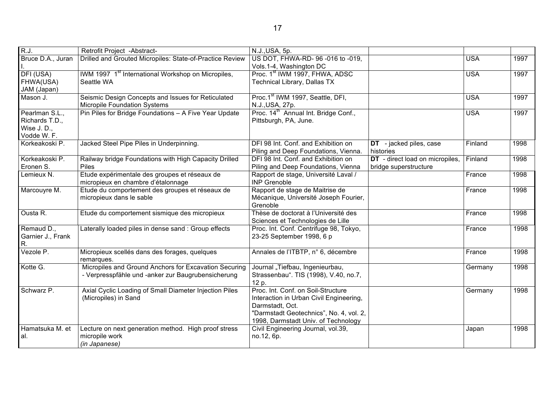| R.J.                                                          | Retrofit Project -Abstract-                                                                                 | N.J., USA, 5p.                                                                                                                                                                     |                                                          |            |      |
|---------------------------------------------------------------|-------------------------------------------------------------------------------------------------------------|------------------------------------------------------------------------------------------------------------------------------------------------------------------------------------|----------------------------------------------------------|------------|------|
| Bruce D.A., Juran                                             | Drilled and Grouted Micropiles: State-of-Practice Review                                                    | US DOT, FHWA-RD-96-016 to -019,<br>Vols.1-4, Washington DC                                                                                                                         |                                                          | <b>USA</b> | 1997 |
| DFI (USA)<br>FHWA(USA)<br>JAM (Japan)                         | IWM 1997 1 <sup>st</sup> International Workshop on Micropiles,<br>Seattle WA                                | Proc. 1 <sup>st</sup> IWM 1997, FHWA, ADSC<br><b>Technical Library, Dallas TX</b>                                                                                                  |                                                          | <b>USA</b> | 1997 |
| Mason J.                                                      | Seismic Design Concepts and Issues for Reticulated<br><b>Micropile Foundation Systems</b>                   | Proc.1 <sup>st</sup> IWM 1997, Seattle, DFI,<br>N.J., USA, 27p.                                                                                                                    |                                                          | <b>USA</b> | 1997 |
| Pearlman S.L.,<br>Richards T.D.,<br>Wise J.D.,<br>Vodde W. F. | Pin Piles for Bridge Foundations - A Five Year Update                                                       | Proc. 14 <sup>th</sup> Annual Int. Bridge Conf.,<br>Pittsburgh, PA, June.                                                                                                          |                                                          | <b>USA</b> | 1997 |
| Korkeakoski P.                                                | Jacked Steel Pipe Piles in Underpinning.                                                                    | DFI 98 Int. Conf. and Exhibition on<br>Piling and Deep Foundations, Vienna.                                                                                                        | DT - jacked piles, case<br>histories                     | Finland    | 1998 |
| Korkeakoski P.<br>Eronen S.                                   | Railway bridge Foundations with High Capacity Drilled<br><b>Piles</b>                                       | DFI 98 Int. Conf. and Exhibition on<br>Piling and Deep Foundations, Vienna                                                                                                         | DT - direct load on micropiles,<br>bridge superstructure | Finland    | 1998 |
| Lemieux N.                                                    | Etude expérimentale des groupes et réseaux de<br>micropieux en chambre d'étalonnage                         | Rapport de stage, Université Laval /<br><b>INP Grenoble</b>                                                                                                                        |                                                          | France     | 1998 |
| Marcouyre M.                                                  | Etude du comportement des groupes et réseaux de<br>micropieux dans le sable                                 | Rapport de stage de Maitrise de<br>Mécanique, Université Joseph Fourier,<br>Grenoble                                                                                               |                                                          | France     | 1998 |
| Ousta R.                                                      | Etude du comportement sismique des micropieux                                                               | Thèse de doctorat à l'Université des<br>Sciences et Technologies de Lille                                                                                                          |                                                          | France     | 1998 |
| Remaud D.,<br>Garnier J., Frank<br>R.                         | Laterally loaded piles in dense sand : Group effects                                                        | Proc. Int. Conf. Centrifuge 98, Tokyo,<br>23-25 September 1998, 6 p                                                                                                                |                                                          | France     | 1998 |
| Vezole P.                                                     | Micropieux scellés dans des forages, quelques<br>remarques.                                                 | Annales de l'ITBTP, n° 6, décembre                                                                                                                                                 |                                                          | France     | 1998 |
| Kotte G.                                                      | Micropiles and Ground Anchors for Excavation Securing<br>- Verpresspfähle und -anker zur Baugrubensicherung | Journal "Tiefbau, Ingenieurbau,<br>Strassenbau". TIS (1998), V.40, no.7,<br>12 p.                                                                                                  |                                                          | Germany    | 1998 |
| Schwarz P.                                                    | Axial Cyclic Loading of Small Diameter Injection Piles<br>(Micropiles) in Sand                              | Proc. Int. Conf. on Soil-Structure<br>Interaction in Urban Civil Engineering,<br>Darmstadt, Oct.<br>"Darmstadt Geotechnics", No. 4, vol. 2,<br>1998, Darmstadt Univ. of Technology |                                                          | Germany    | 1998 |
| Hamatsuka M. et<br>al.                                        | Lecture on next generation method. High proof stress<br>micropile work<br>(in Japanese)                     | Civil Engineering Journal, vol.39,<br>no.12, 6p.                                                                                                                                   |                                                          | Japan      | 1998 |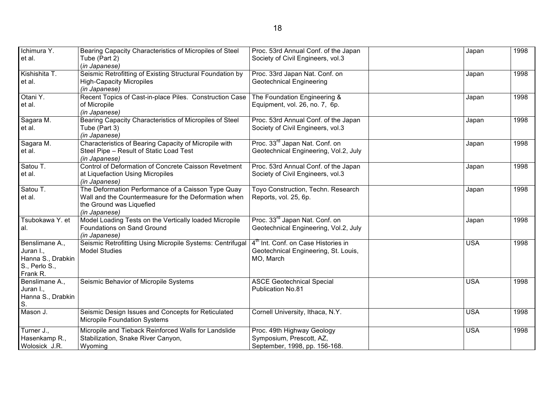| Ichimura Y.<br>et al.                                                         | Bearing Capacity Characteristics of Micropiles of Steel<br>Tube (Part 2)<br>(in Japanese)                                                               | Proc. 53rd Annual Conf. of the Japan<br>Society of Civil Engineers, vol.3                            | Japan      | 1998 |
|-------------------------------------------------------------------------------|---------------------------------------------------------------------------------------------------------------------------------------------------------|------------------------------------------------------------------------------------------------------|------------|------|
| Kishishita T.<br>et al.                                                       | Seismic Retrofitting of Existing Structural Foundation by<br><b>High-Capacity Micropiles</b><br>(in Japanese)                                           | Proc. 33rd Japan Nat. Conf. on<br><b>Geotechnical Engineering</b>                                    | Japan      | 1998 |
| Otani Y.<br>et al.                                                            | Recent Topics of Cast-in-place Piles. Construction Case<br>of Micropile<br>(in Japanese)                                                                | The Foundation Engineering &<br>Equipment, vol. 26, no. 7, 6p.                                       | Japan      | 1998 |
| Sagara M.<br>et al.                                                           | Bearing Capacity Characteristics of Micropiles of Steel<br>Tube (Part 3)<br>(in Japanese)                                                               | Proc. 53rd Annual Conf. of the Japan<br>Society of Civil Engineers, vol.3                            | Japan      | 1998 |
| Sagara M.<br>et al.                                                           | Characteristics of Bearing Capacity of Micropile with<br>Steel Pipe - Result of Static Load Test<br>(in Japanese)                                       | Proc. 33 <sup>rd</sup> Japan Nat. Conf. on<br>Geotechnical Engineering, Vol.2, July                  | Japan      | 1998 |
| Satou T.<br>et al.                                                            | Control of Deformation of Concrete Caisson Revetment<br>at Liquefaction Using Micropiles<br>(in Japanese)                                               | Proc. 53rd Annual Conf. of the Japan<br>Society of Civil Engineers, vol.3                            | Japan      | 1998 |
| Satou T.<br>et al.                                                            | The Deformation Performance of a Caisson Type Quay<br>Wall and the Countermeasure for the Deformation when<br>the Ground was Liquefied<br>(in Japanese) | Toyo Construction, Techn. Research<br>Reports, vol. 25, 6p.                                          | Japan      | 1998 |
| Tsubokawa Y. et<br>al.                                                        | Model Loading Tests on the Vertically loaded Micropile<br>Foundations on Sand Ground<br>(in Japanese)                                                   | Proc. 33 <sup>rd</sup> Japan Nat. Conf. on<br>Geotechnical Engineering, Vol.2, July                  | Japan      | 1998 |
| Benslimane A.,<br>Juran I.,<br>Hanna S., Drabkin<br>S., Perlo S.,<br>Frank R. | Seismic Retrofitting Using Micropile Systems: Centrifugal<br><b>Model Studies</b>                                                                       | 4 <sup>th</sup> Int. Conf. on Case Histories in<br>Geotechnical Engineering, St. Louis,<br>MO, March | <b>USA</b> | 1998 |
| Benslimane A.,<br>Juran I.,<br>Hanna S., Drabkin<br>S.                        | Seismic Behavior of Micropile Systems                                                                                                                   | <b>ASCE Geotechnical Special</b><br><b>Publication No.81</b>                                         | <b>USA</b> | 1998 |
| Mason J.                                                                      | Seismic Design Issues and Concepts for Reticulated<br><b>Micropile Foundation Systems</b>                                                               | Cornell University, Ithaca, N.Y.                                                                     | <b>USA</b> | 1998 |
| Turner J.,<br>Hasenkamp R.,<br>Wolosick J.R.                                  | Micropile and Tieback Reinforced Walls for Landslide<br>Stabilization, Snake River Canyon,<br>Wyoming                                                   | Proc. 49th Highway Geology<br>Symposium, Prescott, AZ,<br>September, 1998, pp. 156-168.              | <b>USA</b> | 1998 |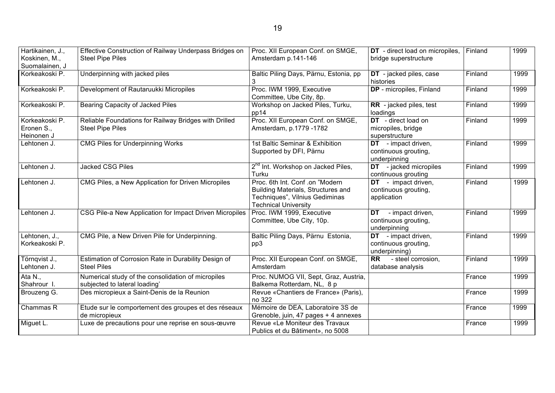| Hartikainen, J.,<br>Koskinen, M.,<br>Suomalainen, J | Effective Construction of Railway Underpass Bridges on<br><b>Steel Pipe Piles</b>   | Proc. XII European Conf. on SMGE,<br>Amsterdam p.141-146                                                                               | DT - direct load on micropiles,<br>bridge superstructure            | Finland | 1999 |
|-----------------------------------------------------|-------------------------------------------------------------------------------------|----------------------------------------------------------------------------------------------------------------------------------------|---------------------------------------------------------------------|---------|------|
| Korkeakoski P.                                      | Underpinning with jacked piles                                                      | Baltic Piling Days, Pärnu, Estonia, pp                                                                                                 | DT - jacked piles, case<br>histories                                | Finland | 1999 |
| Korkeakoski P.                                      | Development of Rautaruukki Micropiles                                               | Proc. IWM 1999, Executive<br>Committee, Ube City, 8p.                                                                                  | DP - micropiles, Finland                                            | Finland | 1999 |
| Korkeakoski P.                                      | Bearing Capacity of Jacked Piles                                                    | Workshop on Jacked Piles, Turku,<br>pp14                                                                                               | RR - jacked piles, test<br>loadings                                 | Finland | 1999 |
| Korkeakoski P.<br>Eronen S.,<br>Heinonen J          | Reliable Foundations for Railway Bridges with Drilled<br><b>Steel Pipe Piles</b>    | Proc. XII European Conf. on SMGE,<br>Amsterdam, p.1779 -1782                                                                           | DT - direct load on<br>micropiles, bridge<br>superstructure         | Finland | 1999 |
| Lehtonen J.                                         | <b>CMG Piles for Underpinning Works</b>                                             | 1st Baltic Seminar & Exhibition<br>Supported by DFI, Pärnu                                                                             | DT - impact driven,<br>continuous grouting,<br>underpinning         | Finland | 1999 |
| Lehtonen J.                                         | <b>Jacked CSG Piles</b>                                                             | 2 <sup>nd</sup> Int. Workshop on Jacked Piles,<br>Turku                                                                                | <b>DT</b> - jacked micropiles<br>continuous grouting                | Finland | 1999 |
| Lehtonen J.                                         | CMG Piles, a New Application for Driven Micropiles                                  | Proc. 6th Int. Conf .on "Modern<br>Building Materials, Structures and<br>Techniques", Vilnius Gediminas<br><b>Technical University</b> | DT - impact driven,<br>continuous grouting,<br>application          | Finland | 1999 |
| Lehtonen J.                                         | CSG Pile-a New Application for Impact Driven Micropiles                             | Proc. IWM 1999, Executive<br>Committee, Ube City, 10p.                                                                                 | <b>DT</b> - impact driven,<br>continuous grouting,<br>underpinning  | Finland | 1999 |
| Lehtonen, J.,<br>Korkeakoski P.                     | CMG Pile, a New Driven Pile for Underpinning.                                       | Baltic Piling Days, Pärnu Estonia,<br>pp3                                                                                              | <b>DT</b> - impact driven,<br>continuous grouting,<br>underpinning) | Finland | 1999 |
| Törngvist J.,<br>Lehtonen J.                        | Estimation of Corrosion Rate in Durability Design of<br><b>Steel Piles</b>          | Proc. XII European Conf. on SMGE,<br>Amsterdam                                                                                         | - steel corrosion,<br><b>RR</b><br>database analysis                | Finland | 1999 |
| Ata N.,<br>Shahrour I.                              | Numerical study of the consolidation of micropiles<br>subjected to lateral loading' | Proc. NUMOG VII, Sept, Graz, Austria,<br>Balkema Rotterdam, NL, 8 p                                                                    |                                                                     | France  | 1999 |
| Brouzeng G.                                         | Des micropieux a Saint-Denis de la Reunion                                          | Revue «Chantiers de France» (Paris),<br>no 322                                                                                         |                                                                     | France  | 1999 |
| Chammas R                                           | Etude sur le comportement des groupes et des réseaux<br>de micropieux               | Mémoire de DEA, Laboratoire 3S de<br>Grenoble, juin, 47 pages + 4 annexes                                                              |                                                                     | France  | 1999 |
| Miguet L.                                           | Luxe de precautions pour une reprise en sous-œuvre                                  | Revue «Le Moniteur des Travaux<br>Publics et du Bâtiment», no 5008                                                                     |                                                                     | France  | 1999 |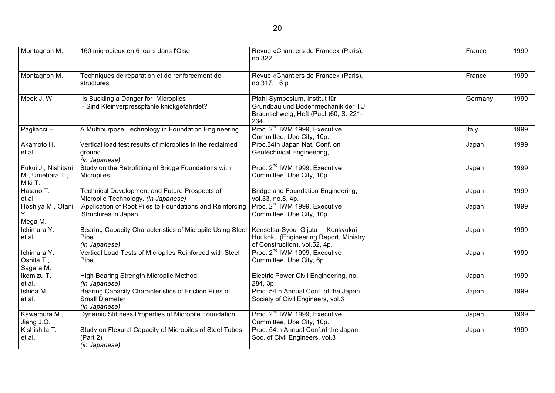| Montagnon M.                                      | 160 micropieux en 6 jours dans l'Oise                                                    | Revue «Chantiers de France» (Paris),<br>no 322                                                                      | France  | 1999 |
|---------------------------------------------------|------------------------------------------------------------------------------------------|---------------------------------------------------------------------------------------------------------------------|---------|------|
| Montagnon M.                                      | Techniques de reparation et de renforcement de<br>structures                             | Revue «Chantiers de France» (Paris),<br>no 317, 6 p                                                                 | France  | 1999 |
| Meek J.W.                                         | Is Buckling a Danger for Micropiles<br>- Sind Kleinverpresspfähle knickgefährdet?        | Pfahl-Symposium, Institut für<br>Grundbau und Bodenmechanik der TU<br>Braunschweig, Heft (Publ.) 60, S. 221-<br>234 | Germany | 1999 |
| Pagliacci F.                                      | A Multipurpose Technology in Foundation Engineering                                      | Proc. 2 <sup>nd</sup> IWM 1999, Executive<br>Committee, Ube City, 10p.                                              | Italy   | 1999 |
| Akamoto H.<br>et al.                              | Vertical load test results of micropiles in the reclaimed<br>ground<br>(in Japanese)     | Proc.34th Japan Nat. Conf. on<br>Geotechnical Engineering,                                                          | Japan   | 1999 |
| Fukui J., Nishitani<br>M., Umebara T.,<br>Miki T. | Study on the Retrofitting of Bridge Foundations with<br><b>Micropiles</b>                | Proc. 2 <sup>nd</sup> IWM 1999, Executive<br>Committee, Ube City, 10p.                                              | Japan   | 1999 |
| Hatano T.<br>et al                                | Technical Development and Future Prospects of<br>Micropile Technology. (in Japanese)     | Bridge and Foundation Engineering,<br>vol.33, no.8, 4p.                                                             | Japan   | 1999 |
| Hoshiya M., Otani<br>Y.,<br>Mega M.               | Application of Root Piles to Foundations and Reinforcing<br>Structures in Japan          | Proc. 2 <sup>nd</sup> IWM 1999, Executive<br>Committee, Ube City, 10p.                                              | Japan   | 1999 |
| Ichimura Y.<br>et al.                             | Bearing Capacity Characteristics of Micropile Using Steel<br>Pipe.<br>(in Japanese)      | Kensetsu-Syou Gijutu Kenkyukai<br>Houkoku (Engineering Report, Ministry                                             | Japan   | 1999 |
| Ichimura Y.,<br>Oshita T.,<br>Sagara M.           | Vertical Load Tests of Micropiles Reinforced with Steel<br>Pipe                          | of Construction), vol.52, 4p.<br>Proc. $2^{nd}$ IWM 1999, Executive<br>Committee, Ube City, 6p.                     | Japan   | 1999 |
| Ikemizu T.<br>et al.                              | High Bearing Strength Micropile Method.<br>(in Japanese)                                 | Electric Power Civil Engineering, no.<br>284, 3p.                                                                   | Japan   | 1999 |
| Ishida M.<br>et al.                               | Bearing Capacity Characteristics of Friction Piles of<br>Small Diameter<br>(in Japanese) | Proc. 54th Annual Conf. of the Japan<br>Society of Civil Engineers, vol.3                                           | Japan   | 1999 |
| Kawamura M.,<br>Jiang J.Q.                        | Dynamic Stiffness Properties of Micropile Foundation                                     | Proc. 2 <sup>nd</sup> IWM 1999, Executive<br>Committee, Ube City, 10p.                                              | Japan   | 1999 |
| Kishishita T.<br>et al.                           | Study on Flexural Capacity of Micropiles of Steel Tubes.<br>(Part 2)<br>(in Japanese)    | Proc. 54th Annual Conf.of the Japan<br>Soc. of Civil Engineers, vol.3                                               | Japan   | 1999 |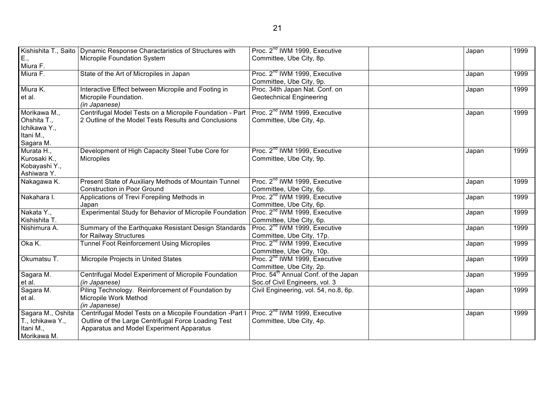|                   | Kishishita T., Saito   Dynamic Response Charactaristics of Structures with | Proc. 2 <sup>nd</sup> IWM 1999, Executive        | Japan | 1999 |
|-------------------|----------------------------------------------------------------------------|--------------------------------------------------|-------|------|
| E.,               | Micropile Foundation System                                                | Committee, Ube City, 8p.                         |       |      |
| Miura F.          |                                                                            |                                                  |       |      |
| Miura F.          | State of the Art of Micropiles in Japan                                    | Proc. 2 <sup>nd</sup> IWM 1999, Executive        | Japan | 1999 |
|                   |                                                                            | Committee, Ube City, 9p.                         |       |      |
| Miura K.          | Interactive Effect between Micropile and Footing in                        | Proc. 34th Japan Nat. Conf. on                   | Japan | 1999 |
| et al.            | Micropile Foundation.                                                      | <b>Geotechnical Engineering</b>                  |       |      |
|                   | (in Japanese)                                                              |                                                  |       |      |
| Morikawa M.,      | Centrifugal Model Tests on a Micropile Foundation - Part                   | Proc. 2 <sup>nd</sup> IWM 1999, Executive        | Japan | 1999 |
| Ohshita T.,       | 2 Outline of the Model Tests Results and Conclusions                       | Committee, Ube City, 4p.                         |       |      |
| Ichikawa Y.,      |                                                                            |                                                  |       |      |
| Itani M.,         |                                                                            |                                                  |       |      |
| Sagara M.         |                                                                            |                                                  |       |      |
| Murata H.,        | Development of High Capacity Steel Tube Core for                           | Proc. 2 <sup>nd</sup> IWM 1999, Executive        | Japan | 1999 |
| Kurosaki K.,      | <b>Micropiles</b>                                                          | Committee, Ube City, 9p.                         |       |      |
| Kobayashi Y.,     |                                                                            |                                                  |       |      |
| Ashiwara Y.       |                                                                            |                                                  |       |      |
| Nakagawa K.       | Present State of Auxiliary Methods of Mountain Tunnel                      | Proc. 2 <sup>nd</sup> IWM 1999, Executive        | Japan | 1999 |
|                   | <b>Construction in Poor Ground</b>                                         | Committee, Ube City, 6p.                         |       |      |
| Nakahara I.       | Applications of Trevi Forepiling Methods in                                | Proc. 2 <sup>nd</sup> IWM 1999, Executive        | Japan | 1999 |
|                   | Japan                                                                      | Committee, Ube City, 6p.                         |       |      |
| Nakata Y.,        | Experimental Study for Behavior of Micropile Foundation                    | Proc. 2 <sup>nd</sup> IWM 1999, Executive        | Japan | 1999 |
| Kishishita T.     |                                                                            | Committee, Ube City, 6p.                         |       |      |
| Nishimura A.      | Summary of the Earthquake Resistant Design Standards                       | Proc. 2 <sup>nd</sup> IWM 1999, Executive        | Japan | 1999 |
|                   | for Railway Structures                                                     | Committee, Ube City, 17p.                        |       |      |
| Oka K.            | <b>Tunnel Foot Reinforcement Using Micropiles</b>                          | Proc. 2 <sup>nd</sup> IWM 1999, Executive        | Japan | 1999 |
|                   |                                                                            | Committee, Ube City, 10p.                        |       |      |
| Okumatsu T.       | Micropile Projects in United States                                        | Proc. 2 <sup>nd</sup> IWM 1999, Executive        | Japan | 1999 |
|                   |                                                                            | Committee, Ube City, 2p.                         |       |      |
| Sagara M.         | Centrifugal Model Experiment of Micropile Foundation                       | Proc. 54 <sup>th</sup> Annual Conf. of the Japan | Japan | 1999 |
| et al.            | (in Japanese)                                                              | Soc.of Civil Engineers, vol. 3                   |       |      |
| Sagara M.         | Piling Technology. Reinforcement of Foundation by                          | Civil Engineering, vol. 54, no.8, 6p.            | Japan | 1999 |
| et al.            | Micropile Work Method                                                      |                                                  |       |      |
|                   | (in Japanese)                                                              |                                                  |       |      |
| Sagara M., Oshita | Centrifugal Model Tests on a Micopile Foundation -Part I                   | Proc. 2 <sup>nd</sup> IWM 1999, Executive        | Japan | 1999 |
| T., Ichikawa Y.,  | Outline of the Large Centrifugal Force Loading Test                        | Committee, Ube City, 4p.                         |       |      |
| Itani M.,         | Apparatus and Model Experiment Apparatus                                   |                                                  |       |      |
| Morikawa M.       |                                                                            |                                                  |       |      |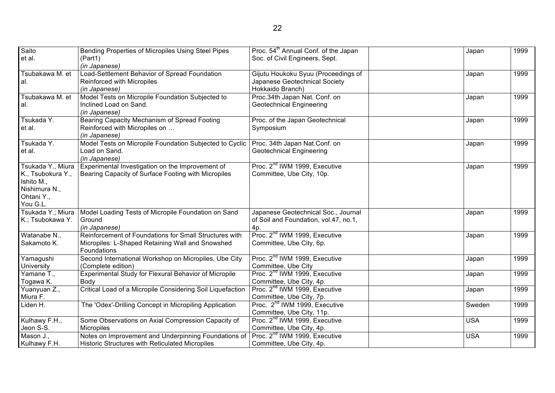| Saito             | Bending Properties of Micropiles Using Steel Pipes         | Proc. 54 <sup>th</sup> Annual Conf. of the Japan | Japan      | 1999 |
|-------------------|------------------------------------------------------------|--------------------------------------------------|------------|------|
| et al.            | (Part1)                                                    | Soc. of Civil Engineers, Sept.                   |            |      |
|                   | (in Japanese)                                              |                                                  |            |      |
| Tsubakawa M. et   | Load-Settlement Behavior of Spread Foundation              | Gijutu Houkoku Syuu (Proceedings of              | Japan      | 1999 |
| al.               | Reinforced with Micropiles                                 | Japanese Geotechnical Society                    |            |      |
|                   | (in Japanese)                                              | Hokkaido Branch)                                 |            |      |
| Tsubakawa M. et   | Model Tests on Micropile Foundation Subjected to           | Proc.34th Japan Nat. Conf. on                    | Japan      | 1999 |
| al.               | Inclined Load on Sand.                                     | <b>Geotechnical Engineering</b>                  |            |      |
|                   | (in Japanese)                                              |                                                  |            |      |
| Tsukada Y.        | Bearing Capacity Mechanism of Spread Footing               | Proc. of the Japan Geotechnical                  | Japan      | 1999 |
| et al.            | Reinforced with Micropiles on                              | Symposium                                        |            |      |
|                   | (in Japanese)                                              |                                                  |            |      |
| Tsukada Y.        | Model Tests on Micropile Foundation Subjected to Cyclic    | Proc. 34th Japan Nat.Conf. on                    | Japan      | 1999 |
| et al.            | Load on Sand.                                              | <b>Geotechnical Engineering</b>                  |            |      |
|                   | (in Japanese)                                              |                                                  |            |      |
| Tsukada Y., Miura | Experimental Investigation on the Improvement of           | Proc. 2 <sup>nd</sup> IWM 1999, Executive        | Japan      | 1999 |
| K., Tsubokura Y., | Bearing Capacity of Surface Footing with Micropiles        | Committee, Ube City, 10p.                        |            |      |
| Ishito M.,        |                                                            |                                                  |            |      |
| Nishimura N.,     |                                                            |                                                  |            |      |
| Ohtani Y.,        |                                                            |                                                  |            |      |
| You G.L.          |                                                            |                                                  |            |      |
| Tsukada Y.; Miura | Model Loading Tests of Micropile Foundation on Sand        | Japanese Geotechnical Soc., Journal              | Japan      | 1999 |
| K.; Tsubokawa Y.  | Ground                                                     | of Soil and Foundation, vol.47, no.1,            |            |      |
|                   | (in Japanese)                                              | 4p.                                              |            |      |
| Watanabe N.,      | Reinforcement of Foundations for Small Structures with     | Proc. 2 <sup>nd</sup> IWM 1999, Executive        | Japan      | 1999 |
| Sakamoto K.       | Micropiles: L-Shaped Retaining Wall and Snowshed           | Committee, Ube City, 6p.                         |            |      |
|                   | Foundations                                                |                                                  |            |      |
| Yamagushi         | Second International Workshop on Micropiles, Ube City      | Proc. 2 <sup>nd</sup> IWM 1999, Executive        | Japan      | 1999 |
| University        | (Complete edition)                                         | Committee, Ube City                              |            |      |
| Yamane T.,        | Experimental Study for Flexural Behavior of Micropile      | Proc. 2 <sup>nd</sup> IWM 1999, Executive        | Japan      | 1999 |
| Togawa K.         | Body                                                       | Committee, Ube City, 4p.                         |            |      |
| Yuanyuan Z.,      | Critical Load of a Micropile Considering Soil Liquefaction | Proc. 2 <sup>nd</sup> IWM 1999, Executive        | Japan      | 1999 |
| Miura F.          |                                                            | Committee, Ube City, 7p.                         |            |      |
| Liden $H$ .       | The 'Odex'-Drilling Concept in Micropiling Application     | Proc. 2 <sup>nd</sup> IWM 1999, Executive        | Sweden     | 1999 |
|                   |                                                            | Committee, Ube City, 11p.                        |            |      |
| Kulhawy F.H.,     | Some Observations on Axial Compression Capacity of         | Proc. 2 <sup>nd</sup> IWM 1999, Executive        | <b>USA</b> | 1999 |
| Jeon S-S.         | <b>Micropiles</b>                                          | Committee, Ube City, 4p.                         |            |      |
| Mason J.,         | Notes on Improvement and Underpinning Foundations of       | Proc. 2 <sup>nd</sup> IWM 1999, Executive        | <b>USA</b> | 1999 |
| Kulhawy F.H.      | <b>Historic Structures with Reticulated Micropiles</b>     | Committee, Ube City, 4p.                         |            |      |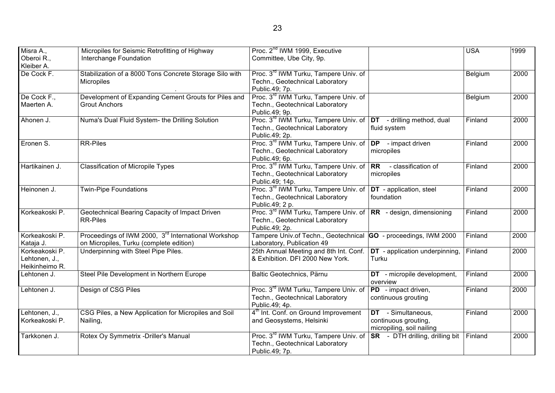| Misra A.,<br>Oberoi R.,<br>Kleiber A.             | Micropiles for Seismic Retrofitting of Highway<br>Interchange Foundation                                   | Proc. 2 <sup>nd</sup> IWM 1999, Executive<br>Committee, Ube City, 9p.                                   |                                                                         | <b>USA</b> | 1999 |
|---------------------------------------------------|------------------------------------------------------------------------------------------------------------|---------------------------------------------------------------------------------------------------------|-------------------------------------------------------------------------|------------|------|
| De Cock F.                                        | Stabilization of a 8000 Tons Concrete Storage Silo with<br><b>Micropiles</b>                               | Proc. 3 <sup>rd</sup> IWM Turku, Tampere Univ. of<br>Techn., Geotechnical Laboratory<br>Public.49; 7p.  |                                                                         | Belgium    | 2000 |
| De Cock F.,<br>Maerten A.                         | Development of Expanding Cement Grouts for Piles and<br><b>Grout Anchors</b>                               | Proc. 3 <sup>rd</sup> IWM Turku, Tampere Univ. of<br>Techn., Geotechnical Laboratory<br>Public.49; 9p.  |                                                                         | Belgium    | 2000 |
| Ahonen J.                                         | Numa's Dual Fluid System- the Drilling Solution                                                            | Proc. 3 <sup>rd</sup> IWM Turku, Tampere Univ. of<br>Techn., Geotechnical Laboratory<br>Public.49; 2p.  | <b>DT</b> - drilling method, dual<br>fluid system                       | Finland    | 2000 |
| Eronen S.                                         | <b>RR-Piles</b>                                                                                            | Proc. 3 <sup>rd</sup> IWM Turku, Tampere Univ. of<br>Techn., Geotechnical Laboratory<br>Public.49; 6p.  | <b>DP</b> - impact driven<br>micropiles                                 | Finland    | 2000 |
| Hartikainen J.                                    | <b>Classification of Micropile Types</b>                                                                   | Proc. 3 <sup>rd</sup> IWM Turku, Tampere Univ. of<br>Techn., Geotechnical Laboratory<br>Public.49; 14p. | RR - classification of<br>micropiles                                    | Finland    | 2000 |
| Heinonen J.                                       | <b>Twin-Pipe Foundations</b>                                                                               | Proc. 3 <sup>rd</sup> IWM Turku, Tampere Univ. of<br>Techn., Geotechnical Laboratory<br>Public.49; 2 p. | <b>DT</b> - application, steel<br>foundation                            | Finland    | 2000 |
| Korkeakoski P.                                    | Geotechnical Bearing Capacity of Impact Driven<br><b>RR-Piles</b>                                          | Proc. 3 <sup>rd</sup> IWM Turku, Tampere Univ. of<br>Techn., Geotechnical Laboratory<br>Public.49; 2p.  | $\overline{\mathsf{RR}}$ - design, dimensioning                         | Finland    | 2000 |
| Korkeakoski P.<br>Kataja J.                       | Proceedings of IWM 2000, 3 <sup>rd</sup> International Workshop<br>on Micropiles, Turku (complete edition) | Tampere Univ.of Techn., Geotechnical<br>Laboratory, Publication 49                                      | GO - proceedings, IWM 2000                                              | Finland    | 2000 |
| Korkeakoski P.<br>Lehtonen, J.,<br>Heikinheimo R. | Underpinning with Steel Pipe Piles.                                                                        | 25th Annual Meeting and 8th Int. Conf.<br>& Exhibition. DFI 2000 New York.                              | DT - application underpinning,<br>Turku                                 | Finland    | 2000 |
| Lehtonen J.                                       | Steel Pile Development in Northern Europe                                                                  | Baltic Geotechnics, Pärnu                                                                               | DT - micropile development,<br>overview                                 | Finland    | 2000 |
| Lehtonen J.                                       | Design of CSG Piles                                                                                        | Proc. 3 <sup>rd</sup> IWM Turku, Tampere Univ. of<br>Techn., Geotechnical Laboratory<br>Public.49; 4p.  | PD - impact driven,<br>continuous grouting                              | Finland    | 2000 |
| Lehtonen, J.,<br>Korkeakoski P.                   | CSG Piles, a New Application for Micropiles and Soil<br>Nailing,                                           | 4 <sup>th</sup> Int. Conf. on Ground Improvement<br>and Geosystems, Helsinki                            | DT - Simultaneous,<br>continuous grouting,<br>micropiling, soil nailing | Finland    | 2000 |
| Tarkkonen J.                                      | Rotex Oy Symmetrix -Driller's Manual                                                                       | Proc. 3 <sup>rd</sup> IWM Turku, Tampere Univ. of<br>Techn., Geotechnical Laboratory<br>Public.49; 7p.  | <b>SR</b> - DTH drilling, drilling bit Finland                          |            | 2000 |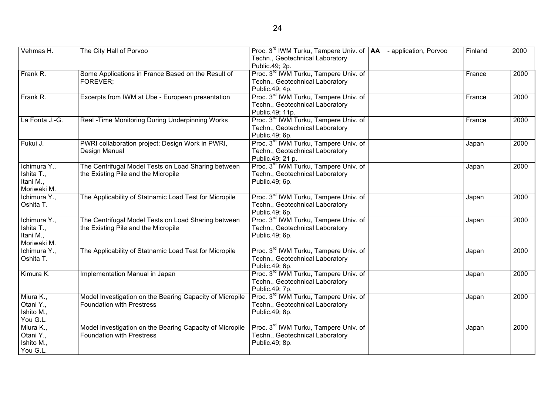| Vehmas H.      | The City Hall of Porvoo                                  | Proc. 3 <sup>rd</sup> IWM Turku, Tampere Univ. of   AA - application, Porvoo | Finland | 2000 |
|----------------|----------------------------------------------------------|------------------------------------------------------------------------------|---------|------|
|                |                                                          | Techn., Geotechnical Laboratory                                              |         |      |
|                |                                                          | Public.49; 2p.                                                               |         |      |
| Frank R.       | Some Applications in France Based on the Result of       | Proc. 3 <sup>rd</sup> IWM Turku, Tampere Univ. of                            | France  | 2000 |
|                | <b>FOREVER:</b>                                          | Techn., Geotechnical Laboratory                                              |         |      |
|                |                                                          | Public.49; 4p.                                                               |         |      |
| Frank R.       | Excerpts from IWM at Ube - European presentation         | Proc. 3 <sup>rd</sup> IWM Turku, Tampere Univ. of                            | France  | 2000 |
|                |                                                          | Techn., Geotechnical Laboratory                                              |         |      |
|                |                                                          | Public.49; 11p.                                                              |         |      |
| La Fonta J.-G. | Real - Time Monitoring During Underpinning Works         | Proc. 3 <sup>rd</sup> IWM Turku, Tampere Univ. of                            | France  | 2000 |
|                |                                                          | Techn., Geotechnical Laboratory                                              |         |      |
|                |                                                          | Public.49; 6p.                                                               |         |      |
| Fukui J.       | PWRI collaboration project; Design Work in PWRI,         | Proc. 3 <sup>rd</sup> IWM Turku, Tampere Univ. of                            | Japan   | 2000 |
|                | Design Manual                                            | Techn., Geotechnical Laboratory                                              |         |      |
|                |                                                          | Public.49; 21 p.                                                             |         |      |
| Ichimura Y.,   | The Centrifugal Model Tests on Load Sharing between      | Proc. 3 <sup>rd</sup> IWM Turku, Tampere Univ. of                            | Japan   | 2000 |
| Ishita T.,     | the Existing Pile and the Micropile                      | Techn., Geotechnical Laboratory                                              |         |      |
| Itani M.,      |                                                          | Public.49; 6p.                                                               |         |      |
| Moriwaki M.    |                                                          |                                                                              |         |      |
| Ichimura Y.,   | The Applicability of Statnamic Load Test for Micropile   | Proc. 3 <sup>rd</sup> IWM Turku, Tampere Univ. of                            | Japan   | 2000 |
| Oshita T.      |                                                          | Techn., Geotechnical Laboratory                                              |         |      |
|                |                                                          | Public.49; 6p.                                                               |         |      |
| Ichimura Y.,   | The Centrifugal Model Tests on Load Sharing between      | Proc. 3 <sup>rd</sup> IWM Turku, Tampere Univ. of                            | Japan   | 2000 |
| Ishita T.,     | the Existing Pile and the Micropile                      | Techn., Geotechnical Laboratory                                              |         |      |
| Itani M.,      |                                                          | Public.49; 6p.                                                               |         |      |
| Moriwaki M.    |                                                          |                                                                              |         |      |
| Ichimura Y.,   | The Applicability of Statnamic Load Test for Micropile   | Proc. 3 <sup>rd</sup> IWM Turku, Tampere Univ. of                            | Japan   | 2000 |
| Oshita T.      |                                                          | Techn., Geotechnical Laboratory                                              |         |      |
|                |                                                          | Public.49; 6p.                                                               |         |      |
| Kimura K.      | Implementation Manual in Japan                           | Proc. 3 <sup>rd</sup> IWM Turku, Tampere Univ. of                            | Japan   | 2000 |
|                |                                                          | Techn., Geotechnical Laboratory                                              |         |      |
|                |                                                          | Public.49; 7p.                                                               |         |      |
| Miura K.,      | Model Investigation on the Bearing Capacity of Micropile | Proc. 3 <sup>rd</sup> IWM Turku, Tampere Univ. of                            | Japan   | 2000 |
| Otani Y.,      | <b>Foundation with Prestress</b>                         | Techn., Geotechnical Laboratory                                              |         |      |
| Ishito M.,     |                                                          | Public.49; 8p.                                                               |         |      |
| You G.L.       |                                                          |                                                                              |         |      |
| Miura K.,      | Model Investigation on the Bearing Capacity of Micropile | Proc. 3 <sup>rd</sup> IWM Turku, Tampere Univ. of                            | Japan   | 2000 |
| Otani Y.,      | <b>Foundation with Prestress</b>                         | Techn., Geotechnical Laboratory                                              |         |      |
| Ishito M.,     |                                                          | Public.49; 8p.                                                               |         |      |
| You G.L.       |                                                          |                                                                              |         |      |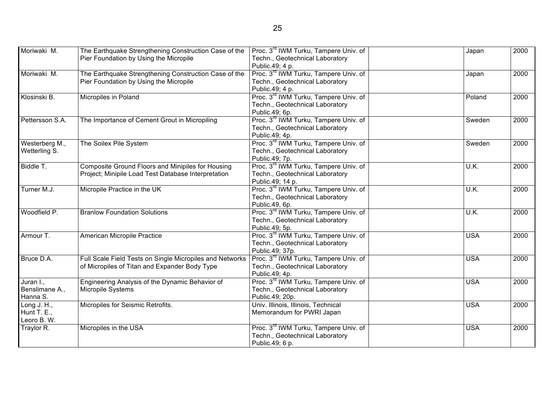| Moriwaki M.     | The Earthquake Strengthening Construction Case of the<br>Pier Foundation by Using the Micropile | Proc. 3 <sup>rd</sup> IWM Turku, Tampere Univ. of<br>Techn., Geotechnical Laboratory | Japan      | 2000 |
|-----------------|-------------------------------------------------------------------------------------------------|--------------------------------------------------------------------------------------|------------|------|
| Moriwaki M.     |                                                                                                 | Public.49; 4 p.<br>Proc. 3 <sup>rd</sup> IWM Turku, Tampere Univ. of                 |            |      |
|                 | The Earthquake Strengthening Construction Case of the                                           |                                                                                      | Japan      | 2000 |
|                 | Pier Foundation by Using the Micropile                                                          | Techn., Geotechnical Laboratory                                                      |            |      |
|                 |                                                                                                 | Public.49; 4 p.                                                                      |            |      |
| Klosinski B.    | Micropiles in Poland                                                                            | Proc. 3 <sup>rd</sup> IWM Turku, Tampere Univ. of                                    | Poland     | 2000 |
|                 |                                                                                                 | Techn., Geotechnical Laboratory                                                      |            |      |
|                 |                                                                                                 | Public.49; 6p.                                                                       |            |      |
| Pettersson S.A. | The Importance of Cement Grout in Micropiling                                                   | Proc. 3 <sup>rd</sup> IWM Turku, Tampere Univ. of                                    | Sweden     | 2000 |
|                 |                                                                                                 | Techn., Geotechnical Laboratory                                                      |            |      |
|                 |                                                                                                 | Public.49; 4p.                                                                       |            |      |
| Westerberg M.,  | The Soilex Pile System                                                                          | Proc. 3 <sup>rd</sup> IWM Turku, Tampere Univ. of                                    | Sweden     | 2000 |
| Wetterling S.   |                                                                                                 | Techn., Geotechnical Laboratory                                                      |            |      |
|                 |                                                                                                 | Public.49; 7p.                                                                       |            |      |
| Biddle T.       | Composite Ground Floors and Minipiles for Housing                                               | Proc. 3 <sup>rd</sup> IWM Turku, Tampere Univ. of                                    | U.K.       | 2000 |
|                 | Project; Minipile Load Test Database Interpretation                                             | Techn., Geotechnical Laboratory                                                      |            |      |
|                 |                                                                                                 | Public.49; 14 p.                                                                     |            |      |
| Turner M.J.     | Micropile Practice in the UK                                                                    | Proc. 3 <sup>rd</sup> IWM Turku, Tampere Univ. of                                    | U.K.       | 2000 |
|                 |                                                                                                 | Techn., Geotechnical Laboratory                                                      |            |      |
|                 |                                                                                                 | Public.49, 6p.                                                                       |            |      |
| Woodfield P.    | <b>Branlow Foundation Solutions</b>                                                             | Proc. 3 <sup>rd</sup> IWM Turku, Tampere Univ. of                                    | U.K.       | 2000 |
|                 |                                                                                                 | Techn., Geotechnical Laboratory                                                      |            |      |
|                 |                                                                                                 | Public.49; 5p.                                                                       |            |      |
| Armour T.       | American Micropile Practice                                                                     | Proc. 3 <sup>rd</sup> IWM Turku, Tampere Univ. of                                    | <b>USA</b> | 2000 |
|                 |                                                                                                 | Techn., Geotechnical Laboratory                                                      |            |      |
|                 |                                                                                                 | Public.49; 37p.                                                                      |            |      |
| Bruce D.A.      | Full Scale Field Tests on Single Micropiles and Networks                                        | Proc. 3 <sup>rd</sup> IWM Turku, Tampere Univ. of                                    | <b>USA</b> | 2000 |
|                 | of Micropiles of Titan and Expander Body Type                                                   | Techn., Geotechnical Laboratory                                                      |            |      |
|                 |                                                                                                 | Public.49; 4p.                                                                       |            |      |
| Juran I.,       | Engineering Analysis of the Dynamic Behavior of                                                 | Proc. 3 <sup>rd</sup> IWM Turku, Tampere Univ. of                                    | <b>USA</b> | 2000 |
| Benslimane A.,  | Micropile Systems                                                                               | Techn., Geotechnical Laboratory                                                      |            |      |
| Hanna S.        |                                                                                                 | Public.49; 20p.                                                                      |            |      |
| Long J. H.,     | Micropiles for Seismic Retrofits.                                                               | Univ. Illinois, Illinois, Technical                                                  | <b>USA</b> | 2000 |
| Hunt T. E.,     |                                                                                                 | Memorandum for PWRI Japan                                                            |            |      |
| Leoro B. W.     |                                                                                                 |                                                                                      |            |      |
| Traylor R.      | Micropiles in the USA                                                                           | Proc. 3 <sup>rd</sup> IWM Turku, Tampere Univ. of                                    | <b>USA</b> | 2000 |
|                 |                                                                                                 | Techn., Geotechnical Laboratory                                                      |            |      |
|                 |                                                                                                 | Public.49; 6 p.                                                                      |            |      |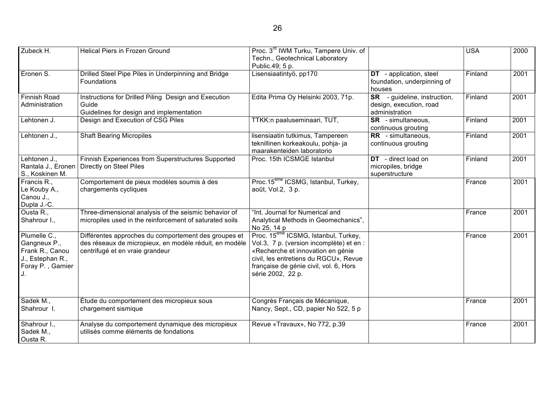| Zubeck H.                                                                                | Helical Piers in Frozen Ground                                                                                                                    | Proc. 3 <sup>rd</sup> IWM Turku, Tampere Univ. of<br>Techn., Geotechnical Laboratory<br>Public.49; 5 p.                                                                                                                                   |                                                                              | <b>USA</b> | 2000 |
|------------------------------------------------------------------------------------------|---------------------------------------------------------------------------------------------------------------------------------------------------|-------------------------------------------------------------------------------------------------------------------------------------------------------------------------------------------------------------------------------------------|------------------------------------------------------------------------------|------------|------|
| Eronen S.                                                                                | Drilled Steel Pipe Piles in Underpinning and Bridge<br><b>Foundations</b>                                                                         | Lisensiaatintyö, pp170                                                                                                                                                                                                                    | <b>DT</b> - application, steel<br>foundation, underpinning of<br>houses      | Finland    | 2001 |
| <b>Finnish Road</b><br>Administration                                                    | Instructions for Drilled Piling Design and Execution<br>Guide<br>Guidelines for design and implementation                                         | Edita Prima Oy Helsinki 2003, 71p.                                                                                                                                                                                                        | - guideline, instruction,<br>SR<br>design, execution, road<br>administration | Finland    | 2001 |
| Lehtonen J.                                                                              | Design and Execution of CSG Piles                                                                                                                 | TTKK:n paaluseminaari, TUT,                                                                                                                                                                                                               | <b>SR</b> - simultaneous,<br>continuous grouting                             | Finland    | 2001 |
| Lehtonen J.,                                                                             | <b>Shaft Bearing Micropiles</b>                                                                                                                   | lisensiaatin tutkimus, Tampereen<br>teknillinen korkeakoulu, pohja- ja<br>maarakenteiden laboratorio                                                                                                                                      | RR - simultaneous,<br>continuous grouting                                    | Finland    | 2001 |
| Lehtonen J.,<br>Rantala J., Eronen<br>S., Koskinen M.                                    | Finnish Experiences from Superstructures Supported<br>Directly on Steel Piles                                                                     | Proc. 15th ICSMGE Istanbul                                                                                                                                                                                                                | DT - direct load on<br>micropiles, bridge<br>superstructure                  | Finland    | 2001 |
| Francis R.,<br>Le Kouby A.,<br>Canou J.,<br>Dupla J.-C.                                  | Comportement de pieux modèles soumis à des<br>chargements cycliques                                                                               | Proc.15 <sup>eme</sup> ICSMG, Istanbul, Turkey,<br>août, Vol.2, 3 p.                                                                                                                                                                      |                                                                              | France     | 2001 |
| Ousta R.,<br>Shahrour I.,                                                                | Three-dimensional analysis of the seismic behavior of<br>micropiles used in the reinforcement of saturated soils                                  | "Int. Journal for Numerical and<br>Analytical Methods in Geomechanics",<br>No 25, 14 p                                                                                                                                                    |                                                                              | France     | 2001 |
| Plumelle C.,<br>Gangneux P.,<br>Frank R., Canou<br>J., Estephan R.,<br>Foray P., Garnier | Différentes approches du comportement des groupes et<br>des réseaux de micropieux, en modèle réduit, en modèle<br>centrifugé et en vraie grandeur | Proc. 15 <sup>eme</sup> ICSMG, Istanbul, Turkey,<br>Vol.3, 7 p. (version incomplète) et en :<br>«Recherche et innovation en génie<br>civil, les entretiens du RGCU», Revue<br>française de génie civil, vol. 6, Hors<br>série 2002, 22 p. |                                                                              | France     | 2001 |

Congrès Français de Mécanique, Nancy, Sept., CD, papier No 522, 5 p

Revue «Travaux», No 772, p.39 France 2001

France 2001

Sadek M., Shahrour<sup>1</sup>.

Shahrour I., Sadek M., Ousta R.

Étude du comportement des micropieux sous

utilisés comme éléments de fondations

Analyse du comportement dynamique des micropieux

chargement sismique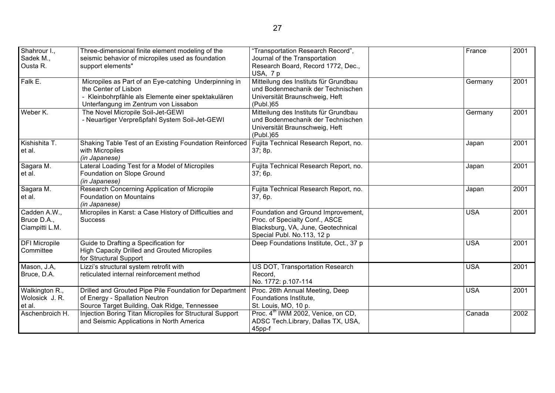| Shahrour I.,         | Three-dimensional finite element modeling of the                                          | 'Transportation Research Record",              | France     | 2001 |
|----------------------|-------------------------------------------------------------------------------------------|------------------------------------------------|------------|------|
| Sadek M.,            | seismic behavior of micropiles used as foundation                                         | Journal of the Transportation                  |            |      |
| Ousta R.             | support elements"                                                                         | Research Board, Record 1772, Dec.,             |            |      |
|                      |                                                                                           | USA, 7 p                                       |            |      |
| Falk E.              | Micropiles as Part of an Eye-catching Underpinning in                                     | Mitteilung des Instituts für Grundbau          | Germany    | 2001 |
|                      | the Center of Lisbon                                                                      | und Bodenmechanik der Technischen              |            |      |
|                      | - Kleinbohrpfähle als Elemente einer spektakulären                                        | Universität Braunschweig, Heft                 |            |      |
|                      | Unterfangung im Zentrum von Lissabon                                                      | (Publ.) 65                                     |            |      |
| Weber K.             | The Novel Micropile Soil-Jet-GEWI                                                         | Mitteilung des Instituts für Grundbau          | Germany    | 2001 |
|                      | - Neuartiger Verpreßpfahl System Soil-Jet-GEWI                                            | und Bodenmechanik der Technischen              |            |      |
|                      |                                                                                           | Universität Braunschweig, Heft                 |            |      |
|                      |                                                                                           | (Publ.) 65                                     |            |      |
| Kishishita T.        | Shaking Table Test of an Existing Foundation Reinforced                                   | Fujita Technical Research Report, no.          | Japan      | 2001 |
| et al.               | with Micropiles                                                                           | 37; 8p.                                        |            |      |
|                      | (in Japanese)                                                                             |                                                |            |      |
| Sagara M.            | Lateral Loading Test for a Model of Micropiles                                            | Fujita Technical Research Report, no.          | Japan      | 2001 |
| et al.               | Foundation on Slope Ground                                                                | 37; 6p.                                        |            |      |
|                      | (in Japanese)                                                                             |                                                |            |      |
| Sagara M.            | Research Concerning Application of Micropile                                              | Fujita Technical Research Report, no.          | Japan      | 2001 |
| et al.               | <b>Foundation on Mountains</b>                                                            | 37, 6p.                                        |            |      |
|                      | (in Japanese)                                                                             |                                                |            |      |
| Cadden A.W.,         | Micropiles in Karst: a Case History of Difficulties and                                   | Foundation and Ground Improvement,             | <b>USA</b> | 2001 |
| Bruce D.A.,          | <b>Success</b>                                                                            | Proc. of Specialty Conf., ASCE                 |            |      |
| Ciampitti L.M.       |                                                                                           | Blacksburg, VA, June, Geotechnical             |            |      |
|                      |                                                                                           | Special Publ. No.113, 12 p                     |            |      |
| <b>DFI Micropile</b> | Guide to Drafting a Specification for                                                     | Deep Foundations Institute, Oct., 37 p         | <b>USA</b> | 2001 |
| Committee            | <b>High Capacity Drilled and Grouted Micropiles</b>                                       |                                                |            |      |
|                      | for Structural Support                                                                    |                                                |            |      |
| Mason, J.A,          | Lizzi's structural system retrofit with                                                   | US DOT, Transportation Research                | <b>USA</b> | 2001 |
| Bruce, D.A.          | reticulated internal reinforcement method                                                 | Record,                                        |            |      |
|                      |                                                                                           | No. 1772: p.107-114                            |            |      |
| Walkington R.,       | Drilled and Grouted Pipe Pile Foundation for Department   Proc. 26th Annual Meeting, Deep |                                                | <b>USA</b> | 2001 |
| Wolosick J. R.       | of Energy - Spallation Neutron                                                            | Foundations Institute,                         |            |      |
| et al.               | Source Target Building, Oak Ridge, Tennessee                                              | St. Louis, MO, 10 p.                           |            |      |
| Aschenbroich H.      | Injection Boring Titan Micropiles for Structural Support                                  | Proc. 4 <sup>th</sup> IWM 2002, Venice, on CD, | Canada     | 2002 |
|                      | and Seismic Applications in North America                                                 | ADSC Tech.Library, Dallas TX, USA,             |            |      |
|                      |                                                                                           | 45pp-f                                         |            |      |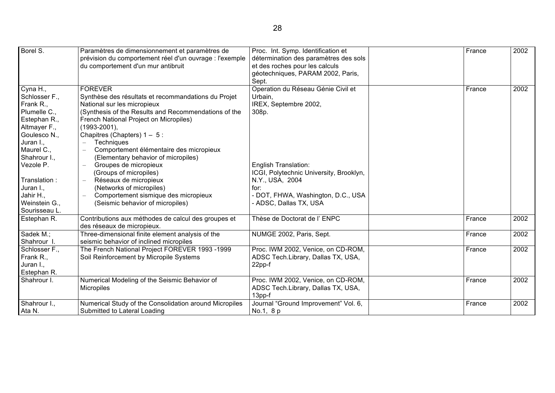| Borel S.      | Paramètres de dimensionnement et paramètres de          | Proc. Int. Symp. Identification et      | France | 2002 |
|---------------|---------------------------------------------------------|-----------------------------------------|--------|------|
|               | prévision du comportement réel d'un ouvrage : l'exemple | détermination des paramètres des sols   |        |      |
|               | du comportement d'un mur antibruit                      | et des roches pour les calculs          |        |      |
|               |                                                         | géotechniques, PARAM 2002, Paris,       |        |      |
|               |                                                         | Sept.                                   |        |      |
| Cyna H.,      | <b>FOREVER</b>                                          | Operation du Réseau Génie Civil et      | France | 2002 |
| Schlosser F., | Synthèse des résultats et recommandations du Projet     | Urbain,                                 |        |      |
| Frank R.,     | National sur les micropieux                             | IREX, Septembre 2002,                   |        |      |
| Plumelle C.,  | (Synthesis of the Results and Recommendations of the    | 308p.                                   |        |      |
| Estephan R.,  | French National Project on Micropiles)                  |                                         |        |      |
| Altmayer F.,  | $(1993 - 2001)$ ,                                       |                                         |        |      |
| Goulesco N.,  | Chapitres (Chapters) $1 - 5$ :                          |                                         |        |      |
| Juran I.,     | Techniques<br>$\equiv$                                  |                                         |        |      |
| Maurel C.,    | Comportement élémentaire des micropieux                 |                                         |        |      |
| Shahrour I.,  | (Elementary behavior of micropiles)                     |                                         |        |      |
| Vezole P.     | Groupes de micropieux                                   | <b>English Translation:</b>             |        |      |
|               | (Groups of micropiles)                                  | ICGI, Polytechnic University, Brooklyn, |        |      |
| Translation:  | Réseaux de micropieux<br>$\overline{\phantom{m}}$       | N.Y., USA, 2004                         |        |      |
| Juran I.,     | (Networks of micropiles)                                | for:                                    |        |      |
| Jahir H.,     | Comportement sismique des micropieux                    | - DOT, FHWA, Washington, D.C., USA      |        |      |
| Weinstein G., | (Seismic behavior of micropiles)                        | - ADSC, Dallas TX, USA                  |        |      |
| Sourisseau L. |                                                         |                                         |        |      |
| Estephan R.   | Contributions aux méthodes de calcul des groupes et     | Thèse de Doctorat de l'ENPC             | France | 2002 |
|               | des réseaux de micropieux.                              |                                         |        |      |
| Sadek M.;     | Three-dimensional finite element analysis of the        | NUMGE 2002, Paris, Sept.                | France | 2002 |
| Shahrour I.   | seismic behavior of inclined micropiles                 |                                         |        |      |
| Schlosser F., | The French National Project FOREVER 1993 -1999          | Proc. IWM 2002, Venice, on CD-ROM,      | France | 2002 |
| Frank R.,     | Soil Reinforcement by Micropile Systems                 | ADSC Tech.Library, Dallas TX, USA,      |        |      |
| Juran I.,     |                                                         | 22pp-f                                  |        |      |
| Estephan R.   |                                                         |                                         |        |      |
| Shahrour I.   | Numerical Modeling of the Seismic Behavior of           | Proc. IWM 2002, Venice, on CD-ROM,      | France | 2002 |
|               | Micropiles                                              | ADSC Tech.Library, Dallas TX, USA,      |        |      |
|               |                                                         | 13pp-f                                  |        |      |
| Shahrour I.,  | Numerical Study of the Consolidation around Micropiles  | Journal "Ground Improvement" Vol. 6,    | France | 2002 |
| Ata N.        | Submitted to Lateral Loading                            | No.1, 8 p                               |        |      |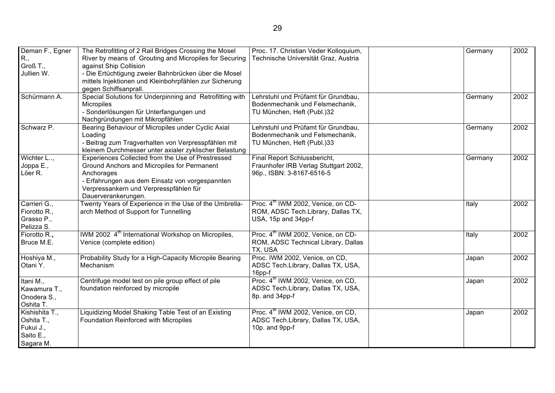| Deman F., Egner<br>R.,<br>Groß T.,                                  | The Retrofitting of 2 Rail Bridges Crossing the Mosel<br>River by means of Grouting and Micropiles for Securing<br>against Ship Collision                                                                                          | Proc. 17. Christian Veder Kolloquium,<br>Technische Universität Graz, Austria                               | Germany | 2002 |
|---------------------------------------------------------------------|------------------------------------------------------------------------------------------------------------------------------------------------------------------------------------------------------------------------------------|-------------------------------------------------------------------------------------------------------------|---------|------|
| Jullien W.                                                          | - Die Ertüchtigung zweier Bahnbrücken über die Mosel<br>mittels Injektionen und Kleinbohrpfählen zur Sicherung<br>gegen Schiffsanprall.                                                                                            |                                                                                                             |         |      |
| Schürmann A.                                                        | Special Solutions for Underpinning and Retrofitting with<br><b>Micropiles</b><br>- Sonderlösungen für Unterfangungen und<br>Nachgründungen mit Mikropfählen                                                                        | Lehrstuhl und Prüfamt für Grundbau,<br>Bodenmechanik und Felsmechanik,<br>TU München, Heft (Publ.)32        | Germany | 2002 |
| Schwarz P.                                                          | Bearing Behaviour of Micropiles under Cyclic Axial<br>Loading<br>- Beitrag zum Tragverhalten von Verpresspfählen mit<br>kleinem Durchmesser unter axialer zyklischer Belastung                                                     | Lehrstuhl und Prüfamt für Grundbau,<br>Bodenmechanik und Felsmechanik,<br>TU München, Heft (Publ.)33        | Germany | 2002 |
| Wichter L,<br>Joppa E.,<br>Löer R.                                  | Experiences Collected from the Use of Prestressed<br>Ground Anchors and Micropiles for Permanent<br>Anchorages<br>- Erfahrungen aus dem Einsatz von vorgespannten<br>Verpressankern und Verpresspfählen für<br>Dauerverankerungen. | Final Report Schlussbericht,<br>Fraunhofer IRB Verlag Stuttgart 2002,<br>96p., ISBN: 3-8167-6516-5          | Germany | 2002 |
| Carrieri G.,<br>Fiorotto R.,<br>Grasso P.,<br>Pelizza S.            | Twenty Years of Experience in the Use of the Umbrella-<br>arch Method of Support for Tunnelling                                                                                                                                    | Proc. 4 <sup>th</sup> IWM 2002, Venice, on CD-<br>ROM, ADSC Tech.Library, Dallas TX,<br>USA, 15p and 34pp-f | Italy   | 2002 |
| Fiorotto R.,<br>Bruce M.E.                                          | IWM 2002 4 <sup>th</sup> International Workshop on Micropiles,<br>Venice (complete edition)                                                                                                                                        | Proc. 4 <sup>th</sup> IWM 2002, Venice, on CD-<br>ROM, ADSC Technical Library, Dallas<br>TX, USA            | Italy   | 2002 |
| Hoshiya M.,<br>Otani Y.                                             | Probability Study for a High-Capacity Micropile Bearing<br>Mechanism                                                                                                                                                               | Proc. IWM 2002, Venice, on CD,<br>ADSC Tech.Library, Dallas TX, USA,<br>16pp-f                              | Japan   | 2002 |
| Itani M.,<br>Kawamura T.,<br>Onodera S.,<br>Oshita T.               | Centrifuge model test on pile group effect of pile<br>foundation reinforced by micropile                                                                                                                                           | Proc. 4 <sup>th</sup> IWM 2002, Venice, on CD,<br>ADSC Tech.Library, Dallas TX, USA,<br>8p. and 34pp-f      | Japan   | 2002 |
| Kishishita T.,<br>Oshita T.,<br>Fukui J.,<br>Saito E.,<br>Sagara M. | Liquidizing Model Shaking Table Test of an Existing<br>Foundation Reinforced with Micropiles                                                                                                                                       | Proc. 4 <sup>th</sup> IWM 2002, Venice, on CD,<br>ADSC Tech.Library, Dallas TX, USA,<br>10p. and 9pp-f      | Japan   | 2002 |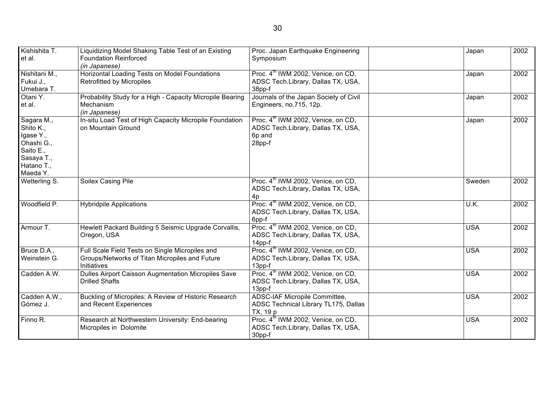| Kishishita T.<br>et al.                                                                                 | Liquidizing Model Shaking Table Test of an Existing<br><b>Foundation Reinforced</b><br>(in Japanese)             | Proc. Japan Earthquake Engineering<br>Symposium                                                          | Japan      | 2002 |
|---------------------------------------------------------------------------------------------------------|------------------------------------------------------------------------------------------------------------------|----------------------------------------------------------------------------------------------------------|------------|------|
| Nishitani M.,<br>Fukui J.,<br>Umebara T.                                                                | Horizontal Loading Tests on Model Foundations<br><b>Retrofitted by Micropiles</b>                                | Proc. 4 <sup>th</sup> IWM 2002, Venice, on CD,<br>ADSC Tech.Library, Dallas TX, USA,<br>38pp-f           | Japan      | 2002 |
| Otani Y.<br>et al.                                                                                      | Probability Study for a High - Capacity Micropile Bearing<br>Mechanism<br>(in Japanese)                          | Journals of the Japan Society of Civil<br>Engineers, no.715, 12p.                                        | Japan      | 2002 |
| Sagara M.,<br>Shito K.,<br>Igase Y.,<br>Ohashi G.,<br>Saito E.,<br>Sasaya T.,<br>Hatano T.,<br>Maeda Y. | In-situ Load Test of High Capacity Micropile Foundation<br>on Mountain Ground                                    | Proc. 4 <sup>th</sup> IWM 2002, Venice, on CD,<br>ADSC Tech.Library, Dallas TX, USA,<br>6p and<br>28pp-f | Japan      | 2002 |
| Wetterling S.                                                                                           | Soilex Casing Pile                                                                                               | Proc. 4 <sup>th</sup> IWM 2002, Venice, on CD,<br>ADSC Tech.Library, Dallas TX, USA,<br>4p               | Sweden     | 2002 |
| Woodfield P.                                                                                            | <b>Hybridpile Applications</b>                                                                                   | Proc. 4 <sup>th</sup> IWM 2002, Venice, on CD,<br>ADSC Tech.Library, Dallas TX, USA,<br>6pp-f            | U.K.       | 2002 |
| Armour T.                                                                                               | Hewlett Packard Building 5 Seismic Upgrade Corvallis,<br>Oregon, USA                                             | Proc. 4 <sup>th</sup> IWM 2002, Venice, on CD,<br>ADSC Tech.Library, Dallas TX, USA,<br>14pp-f           | <b>USA</b> | 2002 |
| Bruce D.A.,<br>Weinstein G.                                                                             | Full Scale Field Tests on Single Micropiles and<br>Groups/Networks of Titan Micropiles and Future<br>Initiatives | Proc. 4 <sup>th</sup> IWM 2002, Venice, on CD,<br>ADSC Tech.Library, Dallas TX, USA,<br>13pp-f           | <b>USA</b> | 2002 |
| Cadden A.W.                                                                                             | Dulles Airport Caisson Augmentation Micropiles Save<br><b>Drilled Shafts</b>                                     | Proc. 4 <sup>th</sup> IWM 2002, Venice, on CD,<br>ADSC Tech.Library, Dallas TX, USA,<br>13pp-f           | <b>USA</b> | 2002 |
| Cadden A.W.,<br>Gómez J.                                                                                | Buckling of Micropiles: A Review of Historic Research<br>and Recent Experiences                                  | <b>ADSC-IAF Micropile Committee,</b><br>ADSC Technical Library TL175, Dallas<br>TX, 19 p                 | <b>USA</b> | 2002 |
| Finno R.                                                                                                | Research at Northwestern University: End-bearing<br>Micropiles in Dolomite                                       | Proc. 4 <sup>th</sup> IWM 2002, Venice, on CD,<br>ADSC Tech.Library, Dallas TX, USA,<br>30pp-f           | <b>USA</b> | 2002 |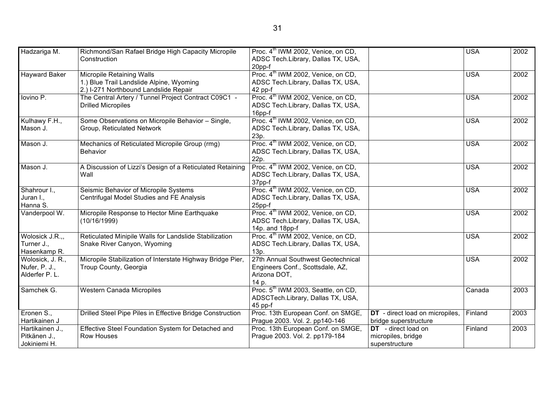| Hadzariga M.         | Richmond/San Rafael Bridge High Capacity Micropile         | Proc. 4 <sup>th</sup> IWM 2002, Venice, on CD,                    |                                 | <b>USA</b> | 2002 |
|----------------------|------------------------------------------------------------|-------------------------------------------------------------------|---------------------------------|------------|------|
|                      | Construction                                               | ADSC Tech.Library, Dallas TX, USA,                                |                                 |            |      |
|                      |                                                            | 20pp-f                                                            |                                 |            |      |
| <b>Hayward Baker</b> | <b>Micropile Retaining Walls</b>                           | Proc. 4 <sup>th</sup> IWM 2002, Venice, on CD,                    |                                 | <b>USA</b> | 2002 |
|                      | 1.) Blue Trail Landslide Alpine, Wyoming                   | ADSC Tech.Library, Dallas TX, USA,                                |                                 |            |      |
|                      | 2.) I-271 Northbound Landslide Repair                      | 42 pp-f                                                           |                                 |            |      |
| lovino P.            | The Central Artery / Tunnel Project Contract C09C1 -       | Proc. 4 <sup>th</sup> IWM 2002, Venice, on CD,                    |                                 | <b>USA</b> | 2002 |
|                      | <b>Drilled Micropiles</b>                                  | ADSC Tech.Library, Dallas TX, USA,                                |                                 |            |      |
|                      |                                                            | 16pp-f                                                            |                                 |            |      |
| Kulhawy F.H.,        | Some Observations on Micropile Behavior - Single,          | Proc. 4 <sup>th</sup> IWM 2002, Venice, on CD,                    |                                 | <b>USA</b> | 2002 |
| Mason J.             | Group, Reticulated Network                                 | ADSC Tech.Library, Dallas TX, USA,                                |                                 |            |      |
|                      |                                                            | 23p.                                                              |                                 |            |      |
| Mason J.             | Mechanics of Reticulated Micropile Group (rmg)             | Proc. 4 <sup>th</sup> IWM 2002, Venice, on CD,                    |                                 | <b>USA</b> | 2002 |
|                      | <b>Behavior</b>                                            | ADSC Tech.Library, Dallas TX, USA,                                |                                 |            |      |
|                      |                                                            | 22p.                                                              |                                 |            |      |
| Mason J.             | A Discussion of Lizzi's Design of a Reticulated Retaining  | Proc. 4 <sup>th</sup> IWM 2002, Venice, on CD,                    |                                 | <b>USA</b> | 2002 |
|                      | Wall                                                       | ADSC Tech.Library, Dallas TX, USA,                                |                                 |            |      |
|                      |                                                            | 37pp-f                                                            |                                 |            |      |
| Shahrour I.,         | Seismic Behavior of Micropile Systems                      | Proc. 4 <sup>th</sup> IWM 2002, Venice, on CD,                    |                                 | <b>USA</b> | 2002 |
| Juran I.,            | Centrifugal Model Studies and FE Analysis                  | ADSC Tech.Library, Dallas TX, USA,                                |                                 |            |      |
| Hanna S.             |                                                            | 25pp-f                                                            |                                 |            |      |
| Vanderpool W.        | Micropile Response to Hector Mine Earthquake               | Proc. 4 <sup>th</sup> IWM 2002, Venice, on CD,                    |                                 | <b>USA</b> | 2002 |
|                      | (10/16/1999)                                               | ADSC Tech.Library, Dallas TX, USA,                                |                                 |            |      |
|                      |                                                            |                                                                   |                                 |            |      |
| Wolosick J.R.,,      | Reticulated Minipile Walls for Landslide Stabilization     | 14p. and 18pp-f<br>Proc. 4 <sup>th</sup> IWM 2002, Venice, on CD, |                                 | <b>USA</b> | 2002 |
|                      |                                                            |                                                                   |                                 |            |      |
| Turner J.,           | Snake River Canyon, Wyoming                                | ADSC Tech.Library, Dallas TX, USA,                                |                                 |            |      |
| Hasenkamp R.         |                                                            | 13p.                                                              |                                 |            |      |
| Wolosick, J. R.,     | Micropile Stabilization of Interstate Highway Bridge Pier, | 27th Annual Southwest Geotechnical                                |                                 | <b>USA</b> | 2002 |
| Nufer, P. J.,        | Troup County, Georgia                                      | Engineers Conf., Scottsdale, AZ,                                  |                                 |            |      |
| Alderfer P. L.       |                                                            | Arizona DOT,                                                      |                                 |            |      |
|                      |                                                            | 14 p.                                                             |                                 |            |      |
| Samchek G.           | <b>Western Canada Micropiles</b>                           | Proc. 5 <sup>th</sup> IWM 2003, Seattle, on CD,                   |                                 | Canada     | 2003 |
|                      |                                                            | ADSCTech.Library, Dallas TX, USA,                                 |                                 |            |      |
|                      |                                                            | 45 pp-f                                                           |                                 |            |      |
| Eronen S.,           | Drilled Steel Pipe Piles in Effective Bridge Construction  | Proc. 13th European Conf. on SMGE,                                | DT - direct load on micropiles, | Finland    | 2003 |
| Hartikainen J        |                                                            | Prague 2003. Vol. 2. pp140-146                                    | bridge superstructure           |            |      |
| Hartikainen J.,      | Effective Steel Foundation System for Detached and         | Proc. 13th European Conf. on SMGE,                                | DT - direct load on             | Finland    | 2003 |
| Pitkänen J.,         | <b>Row Houses</b>                                          | Prague 2003. Vol. 2. pp179-184                                    | micropiles, bridge              |            |      |
| Jokiniemi H.         |                                                            |                                                                   | superstructure                  |            |      |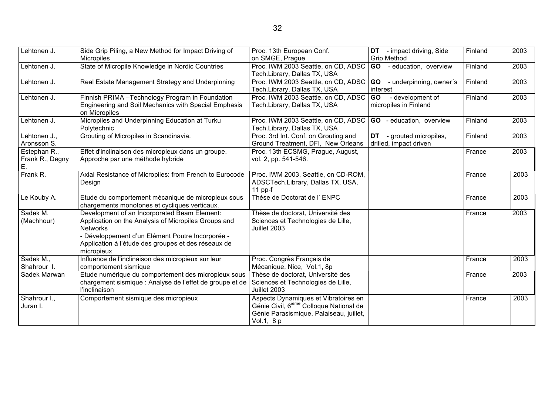| Lehtonen J.                           | Side Grip Piling, a New Method for Impact Driving of<br>Micropiles                                                                                                                                                                               | Proc. 13th European Conf.<br>on SMGE, Prague                                                                                                         | <b>DT</b> - impact driving, Side<br><b>Grip Method</b> | Finland | 2003 |
|---------------------------------------|--------------------------------------------------------------------------------------------------------------------------------------------------------------------------------------------------------------------------------------------------|------------------------------------------------------------------------------------------------------------------------------------------------------|--------------------------------------------------------|---------|------|
| Lehtonen J.                           | State of Micropile Knowledge in Nordic Countries                                                                                                                                                                                                 | Proc. IWM 2003 Seattle, on CD, ADSC<br>Tech.Library, Dallas TX, USA                                                                                  | GO - education, overview                               | Finland | 2003 |
| Lehtonen J.                           | Real Estate Management Strategy and Underpinning                                                                                                                                                                                                 | Proc. IWM 2003 Seattle, on CD, ADSC<br>Tech.Library, Dallas TX, USA                                                                                  | <b>GO</b> - underpinning, owner's<br>interest          | Finland | 2003 |
| Lehtonen J.                           | Finnish PRIMA - Technology Program in Foundation<br>Engineering and Soil Mechanics with Special Emphasis<br>on Micropiles                                                                                                                        | Proc. IWM 2003 Seattle, on CD, ADSC<br>Tech.Library, Dallas TX, USA                                                                                  | - development of<br><b>GO</b><br>micropiles in Finland | Finland | 2003 |
| Lehtonen J.                           | Micropiles and Underpinning Education at Turku<br>Polytechnic                                                                                                                                                                                    | Proc. IWM 2003 Seattle, on CD, ADSC<br>Tech.Library, Dallas TX, USA                                                                                  | GO - education, overview                               | Finland | 2003 |
| Lehtonen J.,<br>Aronsson S.           | Grouting of Micropiles in Scandinavia.                                                                                                                                                                                                           | Proc. 3rd Int. Conf. on Grouting and<br>Ground Treatment, DFI, New Orleans                                                                           | - grouted micropiles,<br>DT<br>drilled, impact driven  | Finland | 2003 |
| Estephan R.,<br>Frank R., Degny<br>Е. | Effet d'inclinaison des micropieux dans un groupe.<br>Approche par une méthode hybride                                                                                                                                                           | Proc. 13th ECSMG, Prague, August,<br>vol. 2, pp. 541-546.                                                                                            |                                                        | France  | 2003 |
| Frank R.                              | Axial Resistance of Micropiles: from French to Eurocode<br>Design                                                                                                                                                                                | Proc. IWM 2003, Seattle, on CD-ROM,<br>ADSCTech.Library, Dallas TX, USA,<br>$11$ pp-f                                                                |                                                        | France  | 2003 |
| Le Kouby A.                           | Etude du comportement mécanique de micropieux sous<br>chargements monotones et cycliques verticaux.                                                                                                                                              | Thèse de Doctorat de l'ENPC                                                                                                                          |                                                        | France  | 2003 |
| Sadek M.<br>(Machhour)                | Development of an Incorporated Beam Element:<br>Application on the Analysis of Micropiles Groups and<br><b>Networks</b><br>- Développement d'un Elément Poutre Incorporée -<br>Application à l'étude des groupes et des réseaux de<br>micropieux | Thèse de doctorat, Université des<br>Sciences et Technologies de Lille,<br>Juillet 2003                                                              |                                                        | France  | 2003 |
| Sadek M.,<br>Shahrour I.              | Influence de l'inclinaison des micropieux sur leur<br>comportement sismique                                                                                                                                                                      | Proc. Congrès Français de<br>Mécanique, Nice, Vol.1, 8p                                                                                              |                                                        | France  | 2003 |
| Sadek Marwan                          | Etude numérique du comportement des micropieux sous<br>chargement sismique : Analyse de l'effet de groupe et de<br>l'inclinaison                                                                                                                 | Thèse de doctorat, Université des<br>Sciences et Technologies de Lille,<br>Juillet 2003                                                              |                                                        | France  | 2003 |
| Shahrour I.,<br>Juran I.              | Comportement sismique des micropieux                                                                                                                                                                                                             | Aspects Dynamiques et Vibratoires en<br>Génie Civil, 6 <sup>ième</sup> Colloque National de<br>Génie Parasismique, Palaiseau, juillet,<br>Vol.1, 8 p |                                                        | France  | 2003 |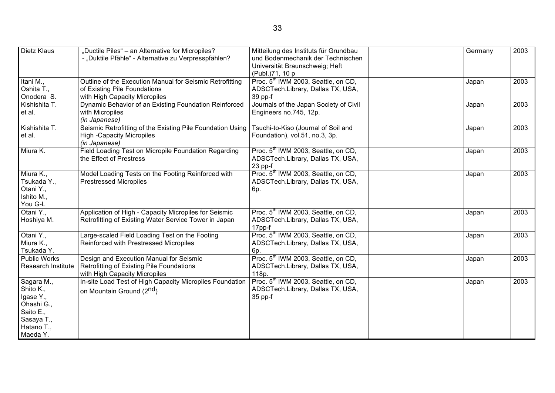| Dietz Klaus               | "Ductile Piles" - an Alternative for Micropiles?           | Mitteilung des Instituts für Grundbau           | Germany | 2003 |
|---------------------------|------------------------------------------------------------|-------------------------------------------------|---------|------|
|                           | - "Duktile Pfähle" - Alternative zu Verpresspfählen?       | und Bodenmechanik der Technischen               |         |      |
|                           |                                                            | Universität Braunschweig; Heft                  |         |      |
|                           |                                                            | (Publ.)71, 10 p                                 |         |      |
| Itani M.,                 | Outline of the Execution Manual for Seismic Retrofitting   | Proc. 5 <sup>th</sup> IWM 2003, Seattle, on CD, | Japan   | 2003 |
| Oshita T.,                | of Existing Pile Foundations                               | ADSCTech.Library, Dallas TX, USA,               |         |      |
| Onodera S.                | with High Capacity Micropiles                              | $39$ pp-f                                       |         |      |
| Kishishita T.             | Dynamic Behavior of an Existing Foundation Reinforced      | Journals of the Japan Society of Civil          | Japan   | 2003 |
| et al.                    | with Micropiles                                            | Engineers no.745, 12p.                          |         |      |
|                           | (in Japanese)                                              |                                                 |         |      |
| Kishishita T.             | Seismic Retrofitting of the Existing Pile Foundation Using | Tsuchi-to-Kiso (Journal of Soil and             | Japan   | 2003 |
| et al.                    | <b>High -Capacity Micropiles</b>                           | Foundation), vol.51, no.3, 3p.                  |         |      |
|                           | (in Japanese)                                              |                                                 |         |      |
| Miura K.                  | Field Loading Test on Micropile Foundation Regarding       | Proc. 5 <sup>th</sup> IWM 2003, Seattle, on CD, | Japan   | 2003 |
|                           | the Effect of Prestress                                    | ADSCTech.Library, Dallas TX, USA,               |         |      |
|                           |                                                            | $23$ pp- $f$                                    |         |      |
| Miura K.,                 | Model Loading Tests on the Footing Reinforced with         | Proc. 5 <sup>th</sup> IWM 2003, Seattle, on CD, | Japan   | 2003 |
| Tsukada Y.,               | <b>Prestressed Micropiles</b>                              | ADSCTech.Library, Dallas TX, USA,               |         |      |
| Otani Y.,                 |                                                            | 6p.                                             |         |      |
| Ishito M.,                |                                                            |                                                 |         |      |
| You G-L                   |                                                            |                                                 |         |      |
| Otani Y.,                 | Application of High - Capacity Micropiles for Seismic      | Proc. 5 <sup>th</sup> IWM 2003, Seattle, on CD, | Japan   | 2003 |
| Hoshiya M.                | Retrofitting of Existing Water Service Tower in Japan      | ADSCTech.Library, Dallas TX, USA,               |         |      |
|                           |                                                            | 17pp-f                                          |         |      |
| Otani Y.,                 | Large-scaled Field Loading Test on the Footing             | Proc. 5 <sup>th</sup> IWM 2003, Seattle, on CD, | Japan   | 2003 |
| Miura K.,                 | Reinforced with Prestressed Micropiles                     | ADSCTech.Library, Dallas TX, USA,               |         |      |
| Tsukada Y.                |                                                            | 6p.                                             |         |      |
| <b>Public Works</b>       | Design and Execution Manual for Seismic                    | Proc. 5 <sup>th</sup> IWM 2003, Seattle, on CD, | Japan   | 2003 |
| <b>Research Institute</b> | Retrofitting of Existing Pile Foundations                  | ADSCTech.Library, Dallas TX, USA,               |         |      |
|                           | with High Capacity Micropiles                              | 118p.                                           |         |      |
| Sagara M.,                | In-site Load Test of High Capacity Micropiles Foundation   | Proc. $5^{\text{th}}$ IWM 2003, Seattle, on CD, | Japan   | 2003 |
| Shito K.,                 | on Mountain Ground (2 <sup>nd</sup> )                      | ADSCTech.Library, Dallas TX, USA,               |         |      |
| Igase Y.,                 |                                                            | 35 pp-f                                         |         |      |
| Ohashi G.,                |                                                            |                                                 |         |      |
| Saito E.,                 |                                                            |                                                 |         |      |
| Sasaya T.,                |                                                            |                                                 |         |      |
| Hatano T.,                |                                                            |                                                 |         |      |

Maeda Y.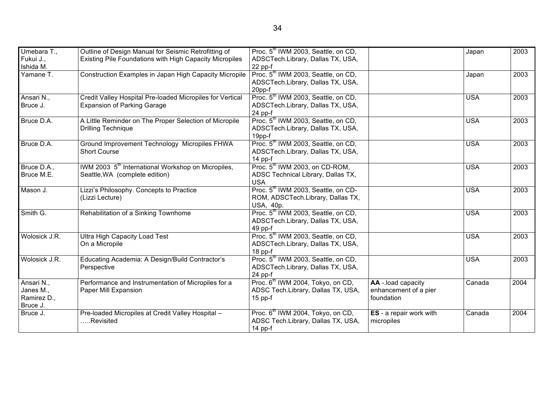| Umebara T.,   | Outline of Design Manual for Seismic Retrofitting of           | Proc. 5 <sup>th</sup> IWM 2003, Seattle, on CD, |                         | Japan      | 2003 |
|---------------|----------------------------------------------------------------|-------------------------------------------------|-------------------------|------------|------|
| Fukui J.,     | Existing Pile Foundations with High Capacity Micropiles        | ADSCTech.Library, Dallas TX, USA,               |                         |            |      |
| Ishida M.     |                                                                | $22$ pp- $f$                                    |                         |            |      |
| Yamane T.     | Construction Examples in Japan High Capacity Micropile         | Proc. 5 <sup>th</sup> IWM 2003, Seattle, on CD, |                         | Japan      | 2003 |
|               |                                                                | ADSCTech.Library, Dallas TX, USA,               |                         |            |      |
|               |                                                                | 20pp-f                                          |                         |            |      |
| Ansari N.,    | Credit Valley Hospital Pre-loaded Micropiles for Vertical      | Proc. 5 <sup>th</sup> IWM 2003, Seattle, on CD, |                         | <b>USA</b> | 2003 |
| Bruce J.      | <b>Expansion of Parking Garage</b>                             | ADSCTech.Library, Dallas TX, USA,               |                         |            |      |
|               |                                                                | 24 pp-f                                         |                         |            |      |
| Bruce D.A.    | A Little Reminder on The Proper Selection of Micropile         | Proc. 5 <sup>th</sup> IWM 2003, Seattle, on CD, |                         | <b>USA</b> | 2003 |
|               | <b>Drilling Technique</b>                                      | ADSCTech.Library, Dallas TX, USA,               |                         |            |      |
|               |                                                                | 19pp-f                                          |                         |            |      |
| Bruce D.A.    | Ground Improvement Technology Micropiles FHWA                  | Proc. 5 <sup>th</sup> IWM 2003, Seattle, on CD, |                         | <b>USA</b> | 2003 |
|               | <b>Short Course</b>                                            | ADSCTech.Library, Dallas TX, USA,               |                         |            |      |
|               |                                                                | $14$ pp-f                                       |                         |            |      |
| Bruce D.A.,   | IWM 2003 5 <sup>th</sup> International Workshop on Micropiles, | Proc. 5 <sup>th</sup> IWM 2003, on CD-ROM,      |                         | <b>USA</b> | 2003 |
| Bruce M.E.    | Seattle, WA (complete edition)                                 | ADSC Technical Library, Dallas TX,              |                         |            |      |
|               |                                                                | <b>USA</b>                                      |                         |            |      |
| Mason J.      | Lizzi's Philosophy. Concepts to Practice                       | Proc. 5 <sup>th</sup> IWM 2003, Seattle, on CD- |                         | <b>USA</b> | 2003 |
|               | (Lizzi Lecture)                                                | ROM, ADSCTech.Library, Dallas TX,               |                         |            |      |
|               |                                                                | USA, 40p.                                       |                         |            |      |
| Smith G.      | Rehabilitation of a Sinking Townhome                           | Proc. 5 <sup>th</sup> IWM 2003, Seattle, on CD, |                         | <b>USA</b> | 2003 |
|               |                                                                | ADSCTech.Library, Dallas TX, USA,               |                         |            |      |
|               |                                                                | 49 pp-f                                         |                         |            |      |
| Wolosick J.R. | <b>Ultra High Capacity Load Test</b>                           | Proc. 5 <sup>th</sup> IWM 2003, Seattle, on CD, |                         | <b>USA</b> | 2003 |
|               | On a Micropile                                                 | ADSCTech.Library, Dallas TX, USA,               |                         |            |      |
|               |                                                                | $18$ pp- $f$                                    |                         |            |      |
| Wolosick J.R. | Educating Academia: A Design/Build Contractor's                | Proc. 5 <sup>th</sup> IWM 2003, Seattle, on CD, |                         | <b>USA</b> | 2003 |
|               | Perspective                                                    | ADSCTech.Library, Dallas TX, USA,               |                         |            |      |
|               |                                                                | 24 pp-f                                         |                         |            |      |
| Ansari N.,    | Performance and Instrumentation of Micropiles for a            | Proc. 6 <sup>th</sup> IWM 2004, Tokyo, on CD,   | AA -. load capacity     | Canada     | 2004 |
| Janes M.,     | Paper Mill Expansion                                           | ADSC Tech.Library, Dallas TX, USA,              | enhancement of a pier   |            |      |
| Ramirez D.,   |                                                                | $15$ pp-f                                       | foundation              |            |      |
| Bruce J.      |                                                                |                                                 |                         |            |      |
| Bruce J.      | Pre-loaded Micropiles at Credit Valley Hospital -              | Proc. 6 <sup>th</sup> IWM 2004, Tokyo, on CD,   | ES - a repair work with | Canada     | 2004 |
|               | Revisited                                                      | ADSC Tech.Library, Dallas TX, USA,              | micropiles              |            |      |
|               |                                                                | 14 pp-f                                         |                         |            |      |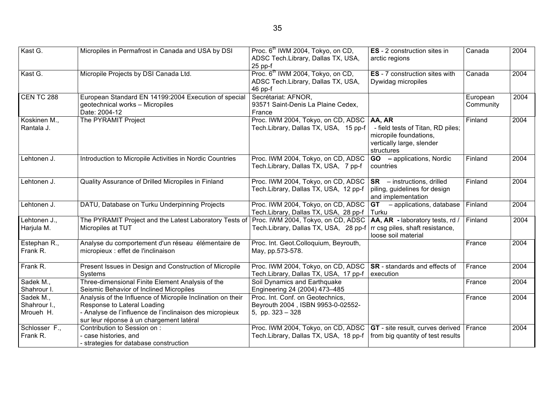| Kast G.                                | Micropiles in Permafrost in Canada and USA by DSI                                                                                                                                                  | Proc. 6 <sup>th</sup> IWM 2004, Tokyo, on CD,<br>ADSC Tech.Library, Dallas TX, USA,<br>$25$ pp- $f$ | ES - 2 construction sites in<br>arctic regions                                                                   | Canada                | 2004 |
|----------------------------------------|----------------------------------------------------------------------------------------------------------------------------------------------------------------------------------------------------|-----------------------------------------------------------------------------------------------------|------------------------------------------------------------------------------------------------------------------|-----------------------|------|
| Kast G.                                | Micropile Projects by DSI Canada Ltd.                                                                                                                                                              | Proc. 6 <sup>th</sup> IWM 2004, Tokyo, on CD,<br>ADSC Tech.Library, Dallas TX, USA,<br>$46$ pp-f    | <b>ES</b> - 7 construction sites with<br>Dywidag micropiles                                                      | Canada                | 2004 |
| CEN TC 288                             | European Standard EN 14199:2004 Execution of special<br>geotechnical works - Micropiles<br>Date: 2004-12                                                                                           | Secrétariat: AFNOR,<br>93571 Saint-Denis La Plaine Cedex,<br>France                                 |                                                                                                                  | European<br>Community | 2004 |
| Koskinen M.,<br>Rantala J.             | The PYRAMIT Project                                                                                                                                                                                | Proc. IWM 2004, Tokyo, on CD, ADSC<br>Tech.Library, Dallas TX, USA, 15 pp-f                         | AA, AR<br>- field tests of Titan, RD piles;<br>micropile foundations,<br>vertically large, slender<br>structures | Finland               | 2004 |
| Lehtonen J.                            | Introduction to Micropile Activities in Nordic Countries                                                                                                                                           | Proc. IWM 2004, Tokyo, on CD, ADSC<br>Tech.Library, Dallas TX, USA, 7 pp-f                          | <b>GO</b> - applications, Nordic<br>countries                                                                    | Finland               | 2004 |
| Lehtonen J.                            | Quality Assurance of Drilled Micropiles in Finland                                                                                                                                                 | Proc. IWM 2004, Tokyo, on CD, ADSC<br>Tech.Library, Dallas TX, USA, 12 pp-f                         | $\overline{\text{SR}}$ – instructions, drilled<br>piling, guidelines for design<br>and implementation            | Finland               | 2004 |
| Lehtonen J.                            | DATU, Database on Turku Underpinning Projects                                                                                                                                                      | Proc. IWM 2004, Tokyo, on CD, ADSC<br>Tech.Library, Dallas TX, USA, 28 pp-f                         | $GT$ – applications, database<br>Turku                                                                           | Finland               | 2004 |
| Lehtonen J.,<br>Harjula M.             | The PYRAMIT Project and the Latest Laboratory Tests of<br>Micropiles at TUT                                                                                                                        | Proc. IWM 2004, Tokyo, on CD, ADSC<br>Tech.Library, Dallas TX, USA, 28 pp-f                         | AA, AR - laboratory tests, rd /<br>rr csg piles, shaft resistance,<br>loose soil material                        | Finland               | 2004 |
| Estephan R.,<br>Frank R.               | Analyse du comportement d'un réseau élémentaire de<br>micropieux : effet de l'inclinaison                                                                                                          | Proc. Int. Geot.Colloquium, Beyrouth,<br>May, pp.573-578.                                           |                                                                                                                  | France                | 2004 |
| Frank R.                               | Present Issues in Design and Construction of Micropile<br>Systems                                                                                                                                  | Proc. IWM 2004, Tokyo, on CD, ADSC<br>Tech.Library, Dallas TX, USA, 17 pp-f                         | SR - standards and effects of<br>execution                                                                       | France                | 2004 |
| Sadek M.,<br>Shahrour I.               | Three-dimensional Finite Element Analysis of the<br>Seismic Behavior of Inclined Micropiles                                                                                                        | Soil Dynamics and Earthquake<br>Engineering 24 (2004) 473-485                                       |                                                                                                                  | France                | 2004 |
| Sadek M.,<br>Shahrour I.,<br>Mroueh H. | Analysis of the Influence of Micropile Inclination on their<br>Response to Lateral Loading<br>- Analyse de l'influence de l'inclinaison des micropieux<br>sur leur réponse à un chargement latéral | Proc. Int. Conf. on Geotechnics,<br>Beyrouth 2004, ISBN 9953-0-02552-<br>5, pp. $323 - 328$         |                                                                                                                  | France                | 2004 |
| Schlosser F.,<br>Frank R.              | Contribution to Session on :<br>- case histories, and<br>- strategies for database construction                                                                                                    | Proc. IWM 2004, Tokyo, on CD, ADSC<br>Tech.Library, Dallas TX, USA, 18 pp-f                         | <b>GT</b> - site result, curves derived France<br>from big quantity of test results                              |                       | 2004 |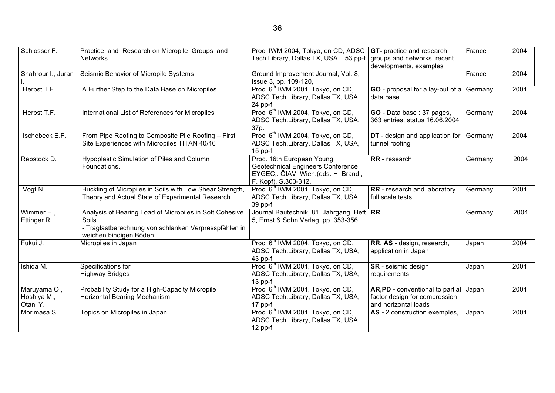| Schlosser F.                            | Practice and Research on Micropile Groups and<br><b>Networks</b>                                                                                    | Proc. IWM 2004, Tokyo, on CD, ADSC<br>Tech.Library, Dallas TX, USA, 53 pp-f                                                          | GT- practice and research,<br>groups and networks, recent<br>developments, examples       | France  | 2004 |
|-----------------------------------------|-----------------------------------------------------------------------------------------------------------------------------------------------------|--------------------------------------------------------------------------------------------------------------------------------------|-------------------------------------------------------------------------------------------|---------|------|
| Shahrour I., Juran                      | Seismic Behavior of Micropile Systems                                                                                                               | Ground Improvement Journal, Vol. 8,<br>Issue 3, pp. 109-120,                                                                         |                                                                                           | France  | 2004 |
| Herbst T.F.                             | A Further Step to the Data Base on Micropiles                                                                                                       | Proc. 6 <sup>th</sup> IWM 2004, Tokyo, on CD,<br>ADSC Tech.Library, Dallas TX, USA,<br>24 pp-f                                       | GO - proposal for a lay-out of a $\sqrt{G}$ Germany<br>data base                          |         | 2004 |
| Herbst T.F.                             | International List of References for Micropiles                                                                                                     | Proc. 6 <sup>th</sup> IWM 2004, Tokyo, on CD,<br>ADSC Tech.Library, Dallas TX, USA,<br>37p.                                          | <b>GO</b> - Data base: 37 pages,<br>363 entries, status 16.06.2004                        | Germany | 2004 |
| Ischebeck E.F.                          | From Pipe Roofing to Composite Pile Roofing - First<br>Site Experiences with Micropiles TITAN 40/16                                                 | Proc. 6 <sup>th</sup> IWM 2004, Tokyo, on CD,<br>ADSC Tech.Library, Dallas TX, USA,<br>$15$ pp-f                                     | DT - design and application for<br>tunnel roofing                                         | Germany | 2004 |
| Rebstock D.                             | Hypoplastic Simulation of Piles and Column<br>Foundations.                                                                                          | Proc. 16th European Young<br><b>Geotechnical Engineers Conference</b><br>EYGEC,. ÖIAV, Wien.(eds. H. Brandl,<br>F. Kopf), S.303-312. | RR - research                                                                             | Germany | 2004 |
| Vogt N.                                 | Buckling of Micropiles in Soils with Low Shear Strength,<br>Theory and Actual State of Experimental Research                                        | Proc. 6 <sup>th</sup> IWM 2004, Tokyo, on CD,<br>ADSC Tech.Library, Dallas TX, USA,<br>39 pp-f                                       | RR - research and laboratory<br>full scale tests                                          | Germany | 2004 |
| Wimmer H.,<br>Ettinger R.               | Analysis of Bearing Load of Micropiles in Soft Cohesive<br>Soils<br>- Traglastberechnung von schlanken Verpresspfählen in<br>weichen bindigen Böden | Journal Bautechnik, 81. Jahrgang, Heft   RR<br>5, Ernst & Sohn Verlag, pp. 353-356.                                                  |                                                                                           | Germany | 2004 |
| Fukui J.                                | Micropiles in Japan                                                                                                                                 | Proc. 6 <sup>th</sup> IWM 2004, Tokyo, on CD,<br>ADSC Tech.Library, Dallas TX, USA,<br>$43$ pp-f                                     | RR, AS - design, research,<br>application in Japan                                        | Japan   | 2004 |
| Ishida M.                               | Specifications for<br><b>Highway Bridges</b>                                                                                                        | Proc. 6 <sup>th</sup> IWM 2004, Tokyo, on CD,<br>ADSC Tech.Library, Dallas TX, USA,<br>$13$ pp- $f$                                  | SR - seismic design<br>requirements                                                       | Japan   | 2004 |
| Maruyama O.,<br>Hoshiya M.,<br>Otani Y. | Probability Study for a High-Capacity Micropile<br>Horizontal Bearing Mechanism                                                                     | Proc. 6 <sup>th</sup> IWM 2004, Tokyo, on CD,<br>ADSC Tech.Library, Dallas TX, USA,<br>$17$ pp-f                                     | AR, PD - conventional to partial<br>factor design for compression<br>and horizontal loads | Japan   | 2004 |
| Morimasa S.                             | Topics on Micropiles in Japan                                                                                                                       | Proc. 6 <sup>th</sup> IWM 2004, Tokyo, on CD,<br>ADSC Tech.Library, Dallas TX, USA,<br>$12$ pp-f                                     | AS - 2 construction exemples,                                                             | Japan   | 2004 |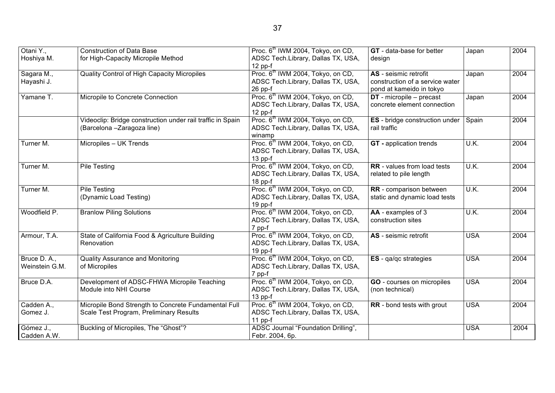| Otani Y.,      | <b>Construction of Data Base</b>                           | Proc. 6 <sup>th</sup> IWM 2004, Tokyo, on CD, | <b>GT</b> - data-base for better | Japan      | 2004 |
|----------------|------------------------------------------------------------|-----------------------------------------------|----------------------------------|------------|------|
| Hoshiya M.     | for High-Capacity Micropile Method                         | ADSC Tech.Library, Dallas TX, USA,            | design                           |            |      |
|                |                                                            | $12$ pp-f                                     |                                  |            |      |
| Sagara M.,     | Quality Control of High Capacity Micropiles                | Proc. 6 <sup>th</sup> IWM 2004, Tokyo, on CD, | AS - seismic retrofit            | Japan      | 2004 |
| Hayashi J.     |                                                            | ADSC Tech.Library, Dallas TX, USA,            | construction of a service water  |            |      |
|                |                                                            | $26$ pp- $f$                                  | pond at kameido in tokyo         |            |      |
| Yamane T.      | Micropile to Concrete Connection                           | Proc. 6 <sup>th</sup> IWM 2004, Tokyo, on CD, | DT - micropile - precast         | Japan      | 2004 |
|                |                                                            | ADSC Tech.Library, Dallas TX, USA,            | concrete element connection      |            |      |
|                |                                                            | $12$ pp-f                                     |                                  |            |      |
|                | Videoclip: Bridge construction under rail traffic in Spain | Proc. 6 <sup>th</sup> IWM 2004, Tokyo, on CD, | ES - bridge construction under   | Spain      | 2004 |
|                | (Barcelona - Zaragoza line)                                | ADSC Tech.Library, Dallas TX, USA,            | rail traffic                     |            |      |
|                |                                                            | winamp                                        |                                  |            |      |
| Turner M.      | Micropiles - UK Trends                                     | Proc. 6 <sup>th</sup> IWM 2004, Tokyo, on CD, | <b>GT</b> - application trends   | U.K.       | 2004 |
|                |                                                            | ADSC Tech.Library, Dallas TX, USA,            |                                  |            |      |
|                |                                                            | $13$ pp-f                                     |                                  |            |      |
| Turner M.      | Pile Testing                                               | Proc. 6 <sup>th</sup> IWM 2004, Tokyo, on CD, | RR - values from load tests      | U.K.       | 2004 |
|                |                                                            | ADSC Tech.Library, Dallas TX, USA,            | related to pile length           |            |      |
|                |                                                            | $18$ pp- $f$                                  |                                  |            |      |
| Turner M.      | <b>Pile Testing</b>                                        | Proc. 6 <sup>th</sup> IWM 2004, Tokyo, on CD, | RR - comparison between          | U.K.       | 2004 |
|                | (Dynamic Load Testing)                                     | ADSC Tech.Library, Dallas TX, USA,            | static and dynamic load tests    |            |      |
|                |                                                            | $19$ pp- $f$                                  |                                  |            |      |
| Woodfield P.   | <b>Branlow Piling Solutions</b>                            | Proc. 6 <sup>th</sup> IWM 2004, Tokyo, on CD, | AA - examples of 3               | U.K.       | 2004 |
|                |                                                            | ADSC Tech.Library, Dallas TX, USA,            | construction sites               |            |      |
|                |                                                            | 7 pp-f                                        |                                  |            |      |
| Armour, T.A.   | State of California Food & Agriculture Building            | Proc. $6^{th}$ IWM 2004, Tokyo, on CD,        | AS - seismic retrofit            | <b>USA</b> | 2004 |
|                | Renovation                                                 | ADSC Tech.Library, Dallas TX, USA,            |                                  |            |      |
|                |                                                            | $19$ pp- $f$                                  |                                  |            |      |
| Bruce D. A.,   | <b>Quality Assurance and Monitoring</b>                    | Proc. 6 <sup>th</sup> IWM 2004, Tokyo, on CD, | ES - qa/qc strategies            | <b>USA</b> | 2004 |
| Weinstein G.M. | of Micropiles                                              | ADSC Tech.Library, Dallas TX, USA,            |                                  |            |      |
|                |                                                            | 7 pp-f                                        |                                  |            |      |
| Bruce D.A.     | Development of ADSC-FHWA Micropile Teaching                | Proc. 6 <sup>th</sup> IWM 2004, Tokyo, on CD, | GO - courses on micropiles       | <b>USA</b> | 2004 |
|                | Module into NHI Course                                     | ADSC Tech.Library, Dallas TX, USA,            | (non technical)                  |            |      |
|                |                                                            | $13$ pp-f                                     |                                  |            |      |
| Cadden A.,     | Micropile Bond Strength to Concrete Fundamental Full       | Proc. 6 <sup>th</sup> IWM 2004, Tokyo, on CD, | RR - bond tests with grout       | <b>USA</b> | 2004 |
| Gomez J.       | Scale Test Program, Preliminary Results                    | ADSC Tech.Library, Dallas TX, USA,            |                                  |            |      |
|                |                                                            | $11$ pp- $f$                                  |                                  |            |      |
| Gómez J.,      | Buckling of Micropiles, The "Ghost"?                       | ADSC Journal "Foundation Drilling",           |                                  | <b>USA</b> | 2004 |

Febr. 2004, 6p.

Cadden A.W.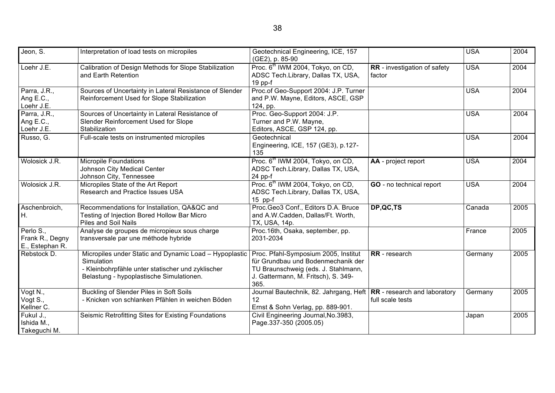| Jeon, S.                                        | Interpretation of load tests on micropiles                                                                                                                                                                   | Geotechnical Engineering, ICE, 157<br>(GE2), p. 85-90                                                                    |                                        | <b>USA</b> | 2004 |
|-------------------------------------------------|--------------------------------------------------------------------------------------------------------------------------------------------------------------------------------------------------------------|--------------------------------------------------------------------------------------------------------------------------|----------------------------------------|------------|------|
| Loehr J.E.                                      | Calibration of Design Methods for Slope Stabilization<br>and Earth Retention                                                                                                                                 | Proc. 6 <sup>th</sup> IWM 2004, Tokyo, on CD,<br>ADSC Tech.Library, Dallas TX, USA,<br>$19$ pp- $f$                      | RR - investigation of safety<br>factor | <b>USA</b> | 2004 |
| Parra, J.R.,<br>Ang $E.C.,$<br>Loehr J.E.       | Sources of Uncertainty in Lateral Resistance of Slender<br>Reinforcement Used for Slope Stabilization                                                                                                        | Proc.of Geo-Support 2004: J.P. Turner<br>and P.W. Mayne, Editors, ASCE, GSP<br>124, pp.                                  |                                        | <b>USA</b> | 2004 |
| Parra, J.R.,<br>Ang $E.C.,$<br>Loehr J.E.       | Sources of Uncertainty in Lateral Resistance of<br>Slender Reinforcement Used for Slope<br>Stabilization                                                                                                     | Proc. Geo-Support 2004: J.P.<br>Turner and P.W. Mayne,<br>Editors, ASCE, GSP 124, pp.                                    |                                        | <b>USA</b> | 2004 |
| Russo, G.                                       | Full-scale tests on instrumented micropiles                                                                                                                                                                  | Geotechnical<br>Engineering, ICE, 157 (GE3), p.127-<br>135                                                               |                                        | <b>USA</b> | 2004 |
| Wolosick J.R.                                   | <b>Micropile Foundations</b><br>Johnson City Medical Center<br>Johnson City, Tennessee                                                                                                                       | Proc. 6 <sup>th</sup> IWM 2004, Tokyo, on CD,<br>ADSC Tech.Library, Dallas TX, USA,<br>$24$ pp- $f$                      | AA - project report                    | <b>USA</b> | 2004 |
| Wolosick J.R.                                   | Micropiles State of the Art Report<br><b>Research and Practice Issues USA</b>                                                                                                                                | Proc. 6 <sup>th</sup> IWM 2004, Tokyo, on CD,<br>ADSC Tech.Library, Dallas TX, USA,<br>$15$ pp-f                         | GO - no technical report               | <b>USA</b> | 2004 |
| Aschenbroich,<br>Η.                             | Recommendations for Installation, QA&QC and<br>Testing of Injection Bored Hollow Bar Micro<br><b>Piles and Soil Nails</b>                                                                                    | Proc. Geo3 Conf., Editors D.A. Bruce<br>and A.W.Cadden, Dallas/Ft. Worth,<br>TX, USA, 14p.                               | DP,QC,TS                               | Canada     | 2005 |
| Perlo S.,<br>Frank R., Degny<br>E., Estephan R. | Analyse de groupes de micropieux sous charge<br>transversale par une méthode hybride                                                                                                                         | Proc.16th, Osaka, september, pp.<br>2031-2034                                                                            |                                        | France     | 2005 |
| Rebstock D.                                     | Micropiles under Static and Dynamic Load - Hypoplastic   Proc. Pfahl-Symposium 2005, Institut<br>Simulation<br>- Kleinbohrpfähle unter statischer und zyklischer<br>Belastung - hypoplastische Simulationen. | für Grundbau und Bodenmechanik der<br>TU Braunschweig (eds. J. Stahlmann,<br>J. Gattermann, M. Fritsch), S. 349-<br>365. | RR - research                          | Germany    | 2005 |
| Vogt N.,<br>Vogt S.,<br>Kellner C.              | Buckling of Slender Piles in Soft Soils<br>- Knicken von schlanken Pfählen in weichen Böden                                                                                                                  | Journal Bautechnik, 82. Jahrgang, Heft   RR - research and laboratory<br>12<br>Ernst & Sohn Verlag, pp. 889-901.         | full scale tests                       | Germany    | 2005 |
| Fukul J.,<br>Ishida M.,<br>Takeguchi M.         | Seismic Retrofitting Sites for Existing Foundations                                                                                                                                                          | Civil Engineering Journal, No.3983,<br>Page.337-350 (2005.05)                                                            |                                        | Japan      | 2005 |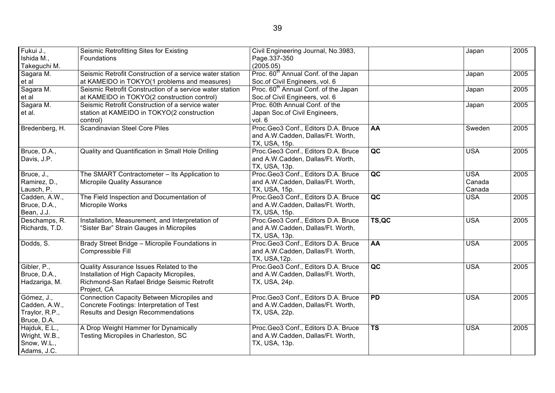| Fukui J.,      | Seismic Retrofitting Sites for Existing                  | Civil Engineering Journal, No.3983,              |                          | Japan      | 2005 |
|----------------|----------------------------------------------------------|--------------------------------------------------|--------------------------|------------|------|
| Ishida M.,     | Foundations                                              | Page.337-350                                     |                          |            |      |
| Takeguchi M.   |                                                          | (2005.05)                                        |                          |            |      |
| Sagara M.      | Seismic Retrofit Construction of a service water station | Proc. 60 <sup>th</sup> Annual Conf. of the Japan |                          | Japan      | 2005 |
| et al          | at KAMEIDO in TOKYO(1 problems and measures)             | Soc.of Civil Engineers, vol. 6                   |                          |            |      |
| Sagara M.      | Seismic Retrofit Construction of a service water station | Proc. 60 <sup>th</sup> Annual Conf. of the Japan |                          | Japan      | 2005 |
| et al          | at KAMEIDO in TOKYO(2 construction control)              | Soc.of Civil Engineers, vol. 6                   |                          |            |      |
| Sagara M.      | Seismic Retrofit Construction of a service water         | Proc. 60th Annual Conf. of the                   |                          | Japan      | 2005 |
| et al.         | station at KAMEIDO in TOKYO(2 construction               | Japan Soc.of Civil Engineers,                    |                          |            |      |
|                | control)                                                 | vol. 6                                           |                          |            |      |
| Bredenberg, H. | Scandinavian Steel Core Piles                            | Proc. Geo3 Conf., Editors D.A. Bruce             | AA                       | Sweden     | 2005 |
|                |                                                          | and A.W.Cadden, Dallas/Ft. Worth,                |                          |            |      |
|                |                                                          | TX, USA, 15p.                                    |                          |            |      |
| Bruce, D.A.,   | Quality and Quantification in Small Hole Drilling        | Proc.Geo3 Conf., Editors D.A. Bruce              | $\overline{AC}$          | <b>USA</b> | 2005 |
| Davis, J.P.    |                                                          | and A.W.Cadden, Dallas/Ft. Worth,                |                          |            |      |
|                |                                                          | TX, USA, 13p.                                    |                          |            |      |
| Bruce, J.,     | The SMART Contractometer - Its Application to            | Proc. Geo3 Conf., Editors D.A. Bruce             | $\overline{ac}$          | <b>USA</b> | 2005 |
| Ramirez, D.,   | <b>Micropile Quality Assurance</b>                       | and A.W.Cadden, Dallas/Ft. Worth,                |                          | Canada     |      |
| Lausch, P.     |                                                          | TX, USA, 15p.                                    |                          | Canada     |      |
| Cadden, A.W.,  | The Field Inspection and Documentation of                | Proc. Geo3 Conf., Editors D.A. Bruce             | $\overline{ac}$          | <b>USA</b> | 2005 |
| Bruce, D.A.,   | Micropile Works                                          | and A.W.Cadden, Dallas/Ft. Worth,                |                          |            |      |
| Bean, J.J.     |                                                          | TX, USA, 15p.                                    |                          |            |      |
| Deschamps, R.  | Installation, Measurement, and Interpretation of         | Proc. Geo3 Conf., Editors D.A. Bruce             | TS,QC                    | <b>USA</b> | 2005 |
| Richards, T.D. | "Sister Bar" Strain Gauges in Micropiles                 | and A.W.Cadden, Dallas/Ft. Worth,                |                          |            |      |
|                |                                                          | TX, USA, 13p.                                    |                          |            |      |
| Dodds, S.      | Brady Street Bridge - Micropile Foundations in           | Proc. Geo3 Conf., Editors D.A. Bruce             | AA                       | <b>USA</b> | 2005 |
|                | Compressible Fill                                        | and A.W.Cadden, Dallas/Ft. Worth,                |                          |            |      |
|                |                                                          | TX, USA, 12p.                                    |                          |            |      |
| Gibler, P.,    | Quality Assurance Issues Related to the                  | Proc. Geo3 Conf., Editors D.A. Bruce             | $\overline{AC}$          | <b>USA</b> | 2005 |
| Bruce, D.A.,   | Installation of High Capacity Micropiles,                | and A.W.Cadden, Dallas/Ft. Worth,                |                          |            |      |
| Hadzariga, M.  | Richmond-San Rafael Bridge Seismic Retrofit              | TX, USA, 24p.                                    |                          |            |      |
|                | Project, CA                                              |                                                  |                          |            |      |
| Gómez, J.,     | Connection Capacity Between Micropiles and               | Proc. Geo3 Conf., Editors D.A. Bruce             | $\overline{PD}$          | <b>USA</b> | 2005 |
| Cadden, A.W.,  | Concrete Footings: Interpretation of Test                | and A.W.Cadden, Dallas/Ft. Worth,                |                          |            |      |
| Traylor, R.P., | <b>Results and Design Recommendations</b>                | TX, USA, 22p.                                    |                          |            |      |
| Bruce, D.A.    |                                                          |                                                  |                          |            |      |
| Hajduk, E.L.,  | A Drop Weight Hammer for Dynamically                     | Proc.Geo3 Conf., Editors D.A. Bruce              | $\overline{\mathsf{TS}}$ | <b>USA</b> | 2005 |
| Wright, W.B.,  | Testing Micropiles in Charleston, SC                     | and A.W.Cadden, Dallas/Ft. Worth,                |                          |            |      |
| Snow, W.L.,    |                                                          | TX, USA, 13p.                                    |                          |            |      |
| Adams, J.C.    |                                                          |                                                  |                          |            |      |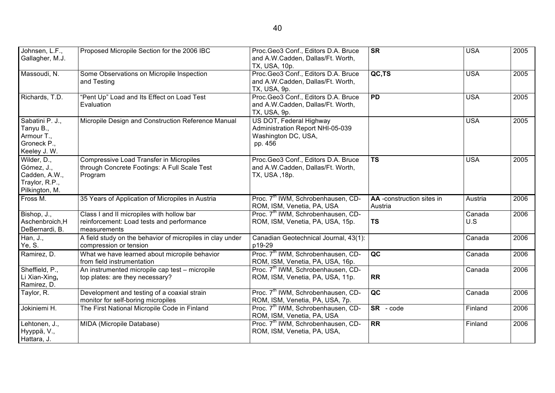| Johnsen, L.F.,<br>Gallagher, M.J.                                              | Proposed Micropile Section for the 2006 IBC                                                               | Proc. Geo3 Conf., Editors D.A. Bruce<br>and A.W.Cadden, Dallas/Ft. Worth,<br>TX, USA, 10p.    | <b>SR</b>                            | <b>USA</b>    | 2005 |
|--------------------------------------------------------------------------------|-----------------------------------------------------------------------------------------------------------|-----------------------------------------------------------------------------------------------|--------------------------------------|---------------|------|
| Massoudi, N.                                                                   | Some Observations on Micropile Inspection<br>and Testing                                                  | Proc. Geo3 Conf., Editors D.A. Bruce<br>and A.W.Cadden, Dallas/Ft. Worth,<br>TX, USA, 9p.     | QC,TS                                | <b>USA</b>    | 2005 |
| Richards, T.D.                                                                 | "Pent Up" Load and Its Effect on Load Test<br>Evaluation                                                  | Proc. Geo3 Conf., Editors D.A. Bruce<br>and A.W.Cadden, Dallas/Ft. Worth,<br>TX, USA, 9p.     | PD                                   | <b>USA</b>    | 2005 |
| Sabatini P. J.,<br>Tanyu B.,<br>Armour T.,<br>Groneck P.,<br>Keeley J. W.      | Micropile Design and Construction Reference Manual                                                        | US DOT, Federal Highway<br>Administration Report NHI-05-039<br>Washington DC, USA,<br>pp. 456 |                                      | <b>USA</b>    | 2005 |
| Wilder, D.,<br>Gómez, J.,<br>Cadden, A.W.,<br>Traylor, R.P.,<br>Pilkington, M. | <b>Compressive Load Transfer in Micropiles</b><br>through Concrete Footings: A Full Scale Test<br>Program | Proc. Geo3 Conf., Editors D.A. Bruce<br>and A.W.Cadden, Dallas/Ft. Worth,<br>TX, USA, 18p.    | $\overline{\mathsf{TS}}$             | <b>USA</b>    | 2005 |
| Fross M.                                                                       | 35 Years of Application of Micropiles in Austria                                                          | Proc. 7 <sup>th</sup> IWM, Schrobenhausen, CD-<br>ROM, ISM, Venetia, PA, USA                  | AA -construction sites in<br>Austria | Austria       | 2006 |
| Bishop, J.,<br>Aschenbroich, H<br>DeBernardi, B.                               | Class I and II micropiles with hollow bar<br>reinforcement: Load tests and performance<br>measurements    | Proc. 7 <sup>th</sup> IWM, Schrobenhausen, CD-<br>ROM, ISM, Venetia, PA, USA, 15p.            | <b>TS</b>                            | Canada<br>U.S | 2006 |
| $\overline{H}$ an, J.,<br>Ye, S.                                               | A field study on the behavior of micropiles in clay under<br>compression or tension                       | Canadian Geotechnical Journal, 43(1):<br>p19-29                                               |                                      | Canada        | 2006 |
| Ramirez, D.                                                                    | What we have learned about micropile behavior<br>from field instrumentation                               | Proc. 7 <sup>th</sup> IWM, Schrobenhausen, CD-<br>ROM, ISM, Venetia, PA, USA, 16p.            | QC                                   | Canada        | 2006 |
| Sheffield, P.,<br>Li Xian-Xing,<br>Ramirez, D.                                 | An instrumented micropile cap test - micropile<br>top plates: are they necessary?                         | Proc. 7 <sup>th</sup> IWM, Schrobenhausen, CD-<br>ROM, ISM, Venetia, PA, USA, 11p.            | <b>RR</b>                            | Canada        | 2006 |
| Taylor, R.                                                                     | Development and testing of a coaxial strain<br>monitor for self-boring micropiles                         | Proc. 7 <sup>th</sup> IWM, Schrobenhausen, CD-<br>ROM, ISM, Venetia, PA, USA, 7p.             | $\overline{ac}$                      | Canada        | 2006 |
| Jokiniemi H.                                                                   | The First National Micropile Code in Finland                                                              | Proc. 7 <sup>th</sup> IWM, Schrobenhausen, CD-<br>ROM, ISM, Venetia, PA, USA                  | SR - code                            | Finland       | 2006 |
| Lehtonen, J.,<br>Hyyppä, V.,<br>Hattara, J.                                    | MIDA (Micropile Database)                                                                                 | Proc. 7 <sup>th</sup> IWM, Schrobenhausen, CD-<br>ROM, ISM, Venetia, PA, USA,                 | <b>RR</b>                            | Finland       | 2006 |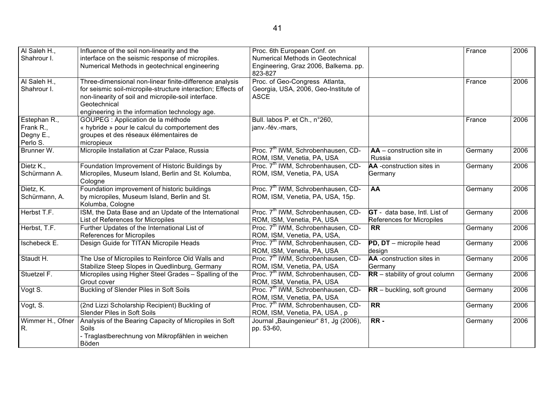| Al Saleh H.,     | Influence of the soil non-linearity and the                  | Proc. 6th European Conf. on                    |                                  | France  | 2006 |
|------------------|--------------------------------------------------------------|------------------------------------------------|----------------------------------|---------|------|
| Shahrour I.      | interface on the seismic response of micropiles.             | Numerical Methods in Geotechnical              |                                  |         |      |
|                  | Numerical Methods in geotechnical engineering                | Engineering, Graz 2006, Balkema. pp.           |                                  |         |      |
|                  |                                                              | 823-827                                        |                                  |         |      |
| Al Saleh H.,     | Three-dimensional non-linear finite-difference analysis      | Proc. of Geo-Congress Atlanta,                 |                                  | France  | 2006 |
| Shahrour I.      | for seismic soil-micropile-structure interaction; Effects of | Georgia, USA, 2006, Geo-Institute of           |                                  |         |      |
|                  | non-linearity of soil and micropile-soil interface.          | <b>ASCE</b>                                    |                                  |         |      |
|                  | Geotechnical                                                 |                                                |                                  |         |      |
|                  | engineering in the information technology age.               |                                                |                                  |         |      |
| Estephan R.,     | GOUPEG : Application de la méthode                           | Bull. labos P. et Ch., n°260,                  |                                  | France  | 2006 |
| Frank R.,        | « hybride » pour le calcul du comportement des               | janv.-fév.-mars,                               |                                  |         |      |
| Degny E.,        | groupes et des réseaux élémentaires de                       |                                                |                                  |         |      |
| Perlo S.         | micropieux                                                   |                                                |                                  |         |      |
| Brunner W.       | Micropile Installation at Czar Palace, Russia                | Proc. 7 <sup>th</sup> IWM, Schrobenhausen, CD- | $AA$ – construction site in      | Germany | 2006 |
|                  |                                                              | ROM, ISM, Venetia, PA, USA                     | Russia                           |         |      |
| Dietz K.,        | Foundation Improvement of Historic Buildings by              | Proc. 7 <sup>th</sup> IWM, Schrobenhausen, CD- | AA -construction sites in        | Germany | 2006 |
| Schürmann A.     | Micropiles, Museum Island, Berlin and St. Kolumba,           | ROM, ISM, Venetia, PA, USA                     | Germany                          |         |      |
|                  | Cologne                                                      |                                                |                                  |         |      |
| Dietz, K.        | Foundation improvement of historic buildings                 | Proc. 7 <sup>th</sup> IWM, Schrobenhausen, CD- | AA                               | Germany | 2006 |
| Schürmann, A.    | by micropiles, Museum Island, Berlin and St.                 | ROM, ISM, Venetia, PA, USA, 15p.               |                                  |         |      |
|                  | Kolumba, Cologne                                             |                                                |                                  |         |      |
| Herbst T.F.      | ISM, the Data Base and an Update of the International        | Proc. 7 <sup>th</sup> IWM, Schrobenhausen, CD- | GT - data base, Intl. List of    | Germany | 2006 |
|                  | List of References for Micropiles                            | ROM, ISM, Venetia, PA, USA                     | References for Micropiles        |         |      |
| Herbst, T.F.     | Further Updates of the International List of                 | Proc. 7 <sup>th</sup> IWM, Schrobenhausen, CD- | <b>RR</b>                        | Germany | 2006 |
|                  | References for Micropiles                                    | ROM, ISM, Venetia, PA, USA,                    |                                  |         |      |
| Ischebeck E.     | Design Guide for TITAN Micropile Heads                       | Proc. 7 <sup>th</sup> IWM, Schrobenhausen, CD- | PD, DT - micropile head          | Germany | 2006 |
|                  |                                                              | ROM, ISM, Venetia, PA, USA                     | design                           |         |      |
| Staudt H.        | The Use of Micropiles to Reinforce Old Walls and             | Proc. 7 <sup>th</sup> IWM, Schrobenhausen, CD- | AA -construction sites in        | Germany | 2006 |
|                  | Stabilize Steep Slopes in Quedlinburg, Germany               | ROM, ISM, Venetia, PA, USA                     | Germany                          |         |      |
| Stuetzel F.      | Micropiles using Higher Steel Grades - Spalling of the       | Proc. 7 <sup>th</sup> IWM, Schrobenhausen, CD- | $RR - stability$ of grout column | Germany | 2006 |
|                  | Grout cover                                                  | ROM, ISM, Venetia, PA, USA                     |                                  |         |      |
| Vogt S.          | Buckling of Slender Piles in Soft Soils                      | Proc. 7 <sup>th</sup> IWM, Schrobenhausen, CD- | $RR$ – buckling, soft ground     | Germany | 2006 |
|                  |                                                              | ROM, ISM, Venetia, PA, USA                     |                                  |         |      |
| Vogt, S.         | (2nd Lizzi Scholarship Recipient) Buckling of                | Proc. 7 <sup>th</sup> IWM, Schrobenhausen, CD- | $\overline{RR}$                  | Germany | 2006 |
|                  | Slender Piles in Soft Soils                                  | ROM, ISM, Venetia, PA, USA, p                  |                                  |         |      |
| Wimmer H., Ofner | Analysis of the Bearing Capacity of Micropiles in Soft       | Journal "Bauingenieur" 81, Jg (2006),          | RR-                              | Germany | 2006 |
| R.               | Soils                                                        | pp. 53-60,                                     |                                  |         |      |
|                  | - Traglastberechnung von Mikropfählen in weichen             |                                                |                                  |         |      |
|                  | Böden                                                        |                                                |                                  |         |      |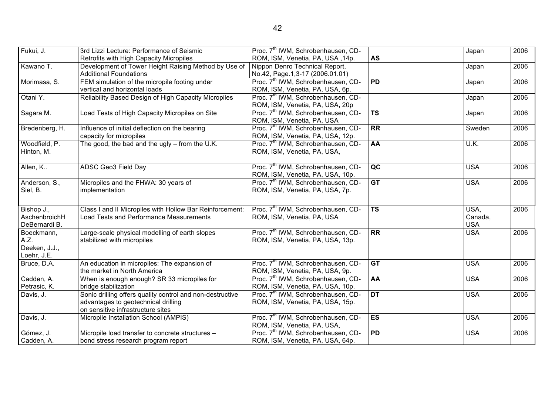| Fukui, J.<br>Proc. 7 <sup>th</sup> IWM, Schrobenhausen, CD-<br>3rd Lizzi Lecture: Performance of Seismic<br>Japan<br>Retrofits with High Capacity Micropiles<br>AS<br>ROM, ISM, Venetia, PA, USA, 14p.<br>Development of Tower Height Raising Method by Use of<br>Kawano T.<br>Nippon Denro Technical Report,<br>Japan<br><b>Additional Foundations</b><br>No.42, Page.1,3-17 (2006.01.01)<br>Morimasa, S.<br>FEM simulation of the micropile footing under<br>Proc. 7 <sup>th</sup> IWM, Schrobenhausen, CD-<br>$\overline{PD}$<br>Japan<br>vertical and horizontal loads<br>ROM, ISM, Venetia, PA, USA, 6p.<br>Otani Y.<br>Reliability Based Design of High Capacity Micropiles<br>Proc. 7 <sup>th</sup> IWM, Schrobenhausen, CD-<br>Japan<br>ROM, ISM, Venetia, PA, USA, 20p<br>$\overline{\text{TS}}$<br>Load Tests of High Capacity Micropiles on Site<br>Proc. 7 <sup>th</sup> IWM, Schrobenhausen, CD-<br>Sagara M.<br>Japan<br>ROM, ISM, Venetia, PA, USA<br>$\overline{RR}$<br>Proc. 7 <sup>th</sup> IWM, Schrobenhausen, CD-<br>Bredenberg, H.<br>Influence of initial deflection on the bearing<br>Sweden | 2006<br>2006<br>2006<br>2006<br>2006<br>2006 |
|----------------------------------------------------------------------------------------------------------------------------------------------------------------------------------------------------------------------------------------------------------------------------------------------------------------------------------------------------------------------------------------------------------------------------------------------------------------------------------------------------------------------------------------------------------------------------------------------------------------------------------------------------------------------------------------------------------------------------------------------------------------------------------------------------------------------------------------------------------------------------------------------------------------------------------------------------------------------------------------------------------------------------------------------------------------------------------------------------------------------|----------------------------------------------|
|                                                                                                                                                                                                                                                                                                                                                                                                                                                                                                                                                                                                                                                                                                                                                                                                                                                                                                                                                                                                                                                                                                                      |                                              |
|                                                                                                                                                                                                                                                                                                                                                                                                                                                                                                                                                                                                                                                                                                                                                                                                                                                                                                                                                                                                                                                                                                                      |                                              |
|                                                                                                                                                                                                                                                                                                                                                                                                                                                                                                                                                                                                                                                                                                                                                                                                                                                                                                                                                                                                                                                                                                                      |                                              |
|                                                                                                                                                                                                                                                                                                                                                                                                                                                                                                                                                                                                                                                                                                                                                                                                                                                                                                                                                                                                                                                                                                                      |                                              |
|                                                                                                                                                                                                                                                                                                                                                                                                                                                                                                                                                                                                                                                                                                                                                                                                                                                                                                                                                                                                                                                                                                                      |                                              |
|                                                                                                                                                                                                                                                                                                                                                                                                                                                                                                                                                                                                                                                                                                                                                                                                                                                                                                                                                                                                                                                                                                                      |                                              |
|                                                                                                                                                                                                                                                                                                                                                                                                                                                                                                                                                                                                                                                                                                                                                                                                                                                                                                                                                                                                                                                                                                                      |                                              |
|                                                                                                                                                                                                                                                                                                                                                                                                                                                                                                                                                                                                                                                                                                                                                                                                                                                                                                                                                                                                                                                                                                                      |                                              |
|                                                                                                                                                                                                                                                                                                                                                                                                                                                                                                                                                                                                                                                                                                                                                                                                                                                                                                                                                                                                                                                                                                                      |                                              |
|                                                                                                                                                                                                                                                                                                                                                                                                                                                                                                                                                                                                                                                                                                                                                                                                                                                                                                                                                                                                                                                                                                                      |                                              |
|                                                                                                                                                                                                                                                                                                                                                                                                                                                                                                                                                                                                                                                                                                                                                                                                                                                                                                                                                                                                                                                                                                                      |                                              |
| ROM, ISM, Venetia, PA, USA, 12p.<br>capacity for micropiles                                                                                                                                                                                                                                                                                                                                                                                                                                                                                                                                                                                                                                                                                                                                                                                                                                                                                                                                                                                                                                                          |                                              |
| Proc. 7 <sup>th</sup> IWM, Schrobenhausen, CD-<br>Woodfield, P.<br>The good, the bad and the ugly $-$ from the U.K.<br>AA<br><b>U.K.</b>                                                                                                                                                                                                                                                                                                                                                                                                                                                                                                                                                                                                                                                                                                                                                                                                                                                                                                                                                                             | 2006                                         |
| Hinton, M.<br>ROM, ISM, Venetia, PA, USA,                                                                                                                                                                                                                                                                                                                                                                                                                                                                                                                                                                                                                                                                                                                                                                                                                                                                                                                                                                                                                                                                            |                                              |
|                                                                                                                                                                                                                                                                                                                                                                                                                                                                                                                                                                                                                                                                                                                                                                                                                                                                                                                                                                                                                                                                                                                      |                                              |
| Proc. 7 <sup>th</sup> IWM, Schrobenhausen, CD-<br>ADSC Geo3 Field Day<br>$\overline{AC}$<br><b>USA</b><br>Allen, K                                                                                                                                                                                                                                                                                                                                                                                                                                                                                                                                                                                                                                                                                                                                                                                                                                                                                                                                                                                                   | 2006                                         |
| ROM, ISM, Venetia, PA, USA, 10p.                                                                                                                                                                                                                                                                                                                                                                                                                                                                                                                                                                                                                                                                                                                                                                                                                                                                                                                                                                                                                                                                                     |                                              |
| Proc. 7 <sup>th</sup> IWM, Schrobenhausen, CD-<br>Anderson, S.,<br>Micropiles and the FHWA: 30 years of<br>GT<br><b>USA</b>                                                                                                                                                                                                                                                                                                                                                                                                                                                                                                                                                                                                                                                                                                                                                                                                                                                                                                                                                                                          | 2006                                         |
| Siel, B.<br>implementation<br>ROM, ISM, Venetia, PA, USA, 7p.                                                                                                                                                                                                                                                                                                                                                                                                                                                                                                                                                                                                                                                                                                                                                                                                                                                                                                                                                                                                                                                        |                                              |
|                                                                                                                                                                                                                                                                                                                                                                                                                                                                                                                                                                                                                                                                                                                                                                                                                                                                                                                                                                                                                                                                                                                      |                                              |
| $\overline{\text{TS}}$<br>Proc. 7 <sup>th</sup> IWM, Schrobenhausen, CD-<br>USA,<br>Bishop J.,<br>Class I and II Micropiles with Hollow Bar Reinforcement:                                                                                                                                                                                                                                                                                                                                                                                                                                                                                                                                                                                                                                                                                                                                                                                                                                                                                                                                                           | 2006                                         |
| Load Tests and Performance Measurements<br>AschenbroichH<br>ROM, ISM, Venetia, PA, USA<br>Canada,                                                                                                                                                                                                                                                                                                                                                                                                                                                                                                                                                                                                                                                                                                                                                                                                                                                                                                                                                                                                                    |                                              |
| <b>USA</b><br>DeBernardi B.                                                                                                                                                                                                                                                                                                                                                                                                                                                                                                                                                                                                                                                                                                                                                                                                                                                                                                                                                                                                                                                                                          |                                              |
| R<br>Proc. 7 <sup>th</sup> IWM, Schrobenhausen, CD-<br><b>USA</b><br>Boeckmann,<br>Large-scale physical modelling of earth slopes                                                                                                                                                                                                                                                                                                                                                                                                                                                                                                                                                                                                                                                                                                                                                                                                                                                                                                                                                                                    | 2006                                         |
| A.Z.<br>stabilized with micropiles<br>ROM, ISM, Venetia, PA, USA, 13p.                                                                                                                                                                                                                                                                                                                                                                                                                                                                                                                                                                                                                                                                                                                                                                                                                                                                                                                                                                                                                                               |                                              |
| Deeken, J.J.,                                                                                                                                                                                                                                                                                                                                                                                                                                                                                                                                                                                                                                                                                                                                                                                                                                                                                                                                                                                                                                                                                                        |                                              |
| Loehr, J.E.                                                                                                                                                                                                                                                                                                                                                                                                                                                                                                                                                                                                                                                                                                                                                                                                                                                                                                                                                                                                                                                                                                          |                                              |
| Proc. 7 <sup>th</sup> IWM, Schrobenhausen, CD-<br>GT<br><b>USA</b><br>An education in micropiles: The expansion of<br>Bruce, D.A.                                                                                                                                                                                                                                                                                                                                                                                                                                                                                                                                                                                                                                                                                                                                                                                                                                                                                                                                                                                    | 2006                                         |
| the market in North America<br>ROM, ISM, Venetia, PA, USA, 9p.                                                                                                                                                                                                                                                                                                                                                                                                                                                                                                                                                                                                                                                                                                                                                                                                                                                                                                                                                                                                                                                       |                                              |
| Proc. 7 <sup>th</sup> IWM, Schrobenhausen, CD-<br>Cadden, A.<br>When is enough enough? SR 33 micropiles for<br>AA<br><b>USA</b>                                                                                                                                                                                                                                                                                                                                                                                                                                                                                                                                                                                                                                                                                                                                                                                                                                                                                                                                                                                      | 2006                                         |
| Petrasic, K.<br>bridge stabilization<br>ROM, ISM, Venetia, PA, USA, 10p.                                                                                                                                                                                                                                                                                                                                                                                                                                                                                                                                                                                                                                                                                                                                                                                                                                                                                                                                                                                                                                             |                                              |
| Sonic drilling offers quality control and non-destructive<br>Proc. 7 <sup>th</sup> IWM, Schrobenhausen, CD-<br>DT<br><b>USA</b><br>Davis, J.                                                                                                                                                                                                                                                                                                                                                                                                                                                                                                                                                                                                                                                                                                                                                                                                                                                                                                                                                                         | 2006                                         |
| advantages to geotechnical drilling<br>ROM, ISM, Venetia, PA, USA, 15p.                                                                                                                                                                                                                                                                                                                                                                                                                                                                                                                                                                                                                                                                                                                                                                                                                                                                                                                                                                                                                                              |                                              |
| on sensitive infrastructure sites                                                                                                                                                                                                                                                                                                                                                                                                                                                                                                                                                                                                                                                                                                                                                                                                                                                                                                                                                                                                                                                                                    |                                              |
| Proc. 7 <sup>th</sup> IWM, Schrobenhausen, CD-<br>ES<br><b>USA</b><br>Davis, J.<br>Micropile Installation School (AMPIS)                                                                                                                                                                                                                                                                                                                                                                                                                                                                                                                                                                                                                                                                                                                                                                                                                                                                                                                                                                                             | 2006                                         |
| ROM, ISM, Venetia, PA, USA,                                                                                                                                                                                                                                                                                                                                                                                                                                                                                                                                                                                                                                                                                                                                                                                                                                                                                                                                                                                                                                                                                          |                                              |
| PD<br>Micropile load transfer to concrete structures -<br>Proc. 7 <sup>th</sup> IWM, Schrobenhausen, CD-<br><b>USA</b><br>Gómez, J.                                                                                                                                                                                                                                                                                                                                                                                                                                                                                                                                                                                                                                                                                                                                                                                                                                                                                                                                                                                  | 2006                                         |
| Cadden, A.<br>ROM, ISM, Venetia, PA, USA, 64p.<br>bond stress research program report                                                                                                                                                                                                                                                                                                                                                                                                                                                                                                                                                                                                                                                                                                                                                                                                                                                                                                                                                                                                                                |                                              |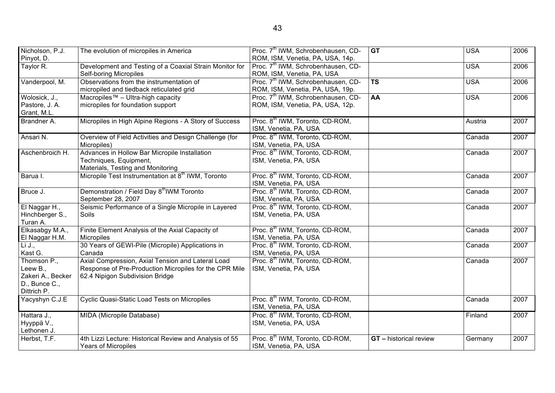| Nicholson, P.J.   | The evolution of micropiles in America                         | Proc. 7 <sup>th</sup> IWM, Schrobenhausen, CD- | <b>GT</b>                     | <b>USA</b> | 2006              |
|-------------------|----------------------------------------------------------------|------------------------------------------------|-------------------------------|------------|-------------------|
| Pinyot, D.        |                                                                | ROM, ISM, Venetia, PA, USA, 14p.               |                               |            |                   |
| Taylor R.         | Development and Testing of a Coaxial Strain Monitor for        | Proc. 7 <sup>th</sup> IWM, Schrobenhausen, CD- |                               | <b>USA</b> | 2006              |
|                   | <b>Self-boring Micropiles</b>                                  | ROM, ISM, Venetia, PA, USA                     |                               |            |                   |
| Vanderpool, M.    | Observations from the instrumentation of                       | Proc. 7 <sup>th</sup> IWM, Schrobenhausen, CD- | $\overline{\text{TS}}$        | <b>USA</b> | 2006              |
|                   | micropiled and tiedback reticulated grid                       | ROM, ISM, Venetia, PA, USA, 19p.               |                               |            |                   |
| Wolosick, J.,     | Macropiles <sup>™</sup> - Ultra-high capacity                  | Proc. 7 <sup>th</sup> IWM, Schrobenhausen, CD- | <b>AA</b>                     | <b>USA</b> | 2006              |
| Pastore, J. A.    | micropiles for foundation support                              | ROM, ISM, Venetia, PA, USA, 12p.               |                               |            |                   |
| Grant, M.L.       |                                                                |                                                |                               |            |                   |
| Brandner A.       | Micropiles in High Alpine Regions - A Story of Success         | Proc. 8 <sup>th</sup> IWM, Toronto, CD-ROM,    |                               | Austria    | 2007              |
|                   |                                                                | ISM, Venetia, PA, USA                          |                               |            |                   |
| Ansari N.         | Overview of Field Activities and Design Challenge (for         | Proc. 8 <sup>th</sup> IWM, Toronto, CD-ROM,    |                               | Canada     | 2007              |
|                   | Micropiles)                                                    | ISM, Venetia, PA, USA                          |                               |            |                   |
| Aschenbroich H.   | Advances in Hollow Bar Micropile Installation                  | Proc. 8 <sup>th</sup> IWM, Toronto, CD-ROM,    |                               | Canada     | $\overline{2007}$ |
|                   | Techniques, Equipment,                                         | ISM, Venetia, PA, USA                          |                               |            |                   |
|                   | Materials, Testing and Monitoring                              |                                                |                               |            |                   |
| Barua I.          | Micropile Test Instrumentation at 8 <sup>th</sup> IWM, Toronto | Proc. 8 <sup>th</sup> IWM, Toronto, CD-ROM,    |                               | Canada     | 2007              |
|                   |                                                                | ISM, Venetia, PA, USA                          |                               |            |                   |
| Bruce J.          | Demonstration / Field Day 8 <sup>th</sup> IWM Toronto          | Proc. 8 <sup>th</sup> IWM, Toronto, CD-ROM,    |                               | Canada     | 2007              |
|                   | September 28, 2007                                             | ISM, Venetia, PA, USA                          |                               |            |                   |
| El Naggar H.,     | Seismic Performance of a Single Micropile in Layered           | Proc. 8 <sup>th</sup> IWM, Toronto, CD-ROM,    |                               | Canada     | 2007              |
| Hinchberger S.,   | <b>Soils</b>                                                   | ISM, Venetia, PA, USA                          |                               |            |                   |
| Turan A.          |                                                                |                                                |                               |            |                   |
| Elkasabgy M.A.,   | Finite Element Analysis of the Axial Capacity of               | Proc. 8 <sup>th</sup> IWM, Toronto, CD-ROM,    |                               | Canada     | 2007              |
| El Naggar H.M.    | Micropiles                                                     | ISM, Venetia, PA, USA                          |                               |            |                   |
| Li J.,            | 30 Years of GEWI-Pile (Micropile) Applications in              | Proc. 8 <sup>th</sup> IWM, Toronto, CD-ROM,    |                               | Canada     | 2007              |
| Kast G.           | Canada                                                         | ISM, Venetia, PA, USA                          |                               |            |                   |
| Thomson P.,       | Axial Compression, Axial Tension and Lateral Load              | Proc. 8 <sup>th</sup> IWM, Toronto, CD-ROM,    |                               | Canada     | 2007              |
| Leew B.,          | Response of Pre-Production Micropiles for the CPR Mile         | ISM, Venetia, PA, USA                          |                               |            |                   |
| Zakeri A., Becker | 62.4 Nipigon Subdivision Bridge                                |                                                |                               |            |                   |
| D., Bunce C.,     |                                                                |                                                |                               |            |                   |
| Dittrich P.       |                                                                |                                                |                               |            |                   |
| Yacyshyn C.J.E    | Cyclic Quasi-Static Load Tests on Micropiles                   | Proc. 8 <sup>th</sup> IWM, Toronto, CD-ROM,    |                               | Canada     | 2007              |
|                   |                                                                | ISM, Venetia, PA, USA                          |                               |            |                   |
| Hattara J.,       | MIDA (Micropile Database)                                      | Proc. 8 <sup>th</sup> IWM, Toronto, CD-ROM,    |                               | Finland    | 2007              |
| Hyyppä V.,        |                                                                | ISM, Venetia, PA, USA                          |                               |            |                   |
| Lethonen J.       |                                                                |                                                |                               |            |                   |
| Herbst, T.F.      | 4th Lizzi Lecture: Historical Review and Analysis of 55        | Proc. 8 <sup>th</sup> IWM, Toronto, CD-ROM,    | <b>GT</b> - historical review | Germany    | 2007              |
|                   | <b>Years of Micropiles</b>                                     | ISM, Venetia, PA, USA                          |                               |            |                   |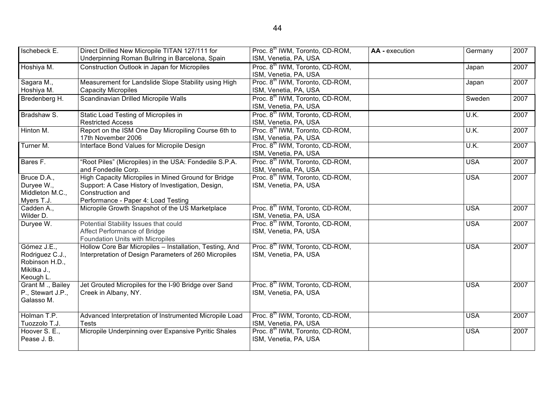| Ischebeck E.                                                                 | Direct Drilled New Micropile TITAN 127/111 for                                                                                                                             | Proc. 8 <sup>th</sup> IWM, Toronto, CD-ROM,                                                   | AA - execution | Germany    | 2007 |
|------------------------------------------------------------------------------|----------------------------------------------------------------------------------------------------------------------------------------------------------------------------|-----------------------------------------------------------------------------------------------|----------------|------------|------|
| Hoshiya M.                                                                   | Underpinning Roman Bullring in Barcelona, Spain<br>Construction Outlook in Japan for Micropiles                                                                            | ISM, Venetia, PA, USA<br>Proc. 8 <sup>th</sup> IWM, Toronto, CD-ROM,<br>ISM, Venetia, PA, USA |                | Japan      | 2007 |
| Sagara M.,<br>Hoshiya M.                                                     | Measurement for Landslide Slope Stability using High<br><b>Capacity Micropiles</b>                                                                                         | Proc. 8 <sup>th</sup> IWM, Toronto, CD-ROM,<br>ISM, Venetia, PA, USA                          |                | Japan      | 2007 |
| Bredenberg H.                                                                | Scandinavian Drilled Micropile Walls                                                                                                                                       | Proc. 8 <sup>th</sup> IWM, Toronto, CD-ROM,<br>ISM, Venetia, PA, USA                          |                | Sweden     | 2007 |
| Bradshaw S.                                                                  | Static Load Testing of Micropiles in<br><b>Restricted Access</b>                                                                                                           | Proc. 8 <sup>th</sup> IWM, Toronto, CD-ROM,<br>ISM, Venetia, PA, USA                          |                | U.K.       | 2007 |
| Hinton M.                                                                    | Report on the ISM One Day Micropiling Course 6th to<br>17th November 2006                                                                                                  | Proc. 8 <sup>th</sup> IWM, Toronto, CD-ROM,<br>ISM, Venetia, PA, USA                          |                | U.K.       | 2007 |
| Turner M.                                                                    | Interface Bond Values for Micropile Design                                                                                                                                 | Proc. 8 <sup>th</sup> IWM, Toronto, CD-ROM,<br>ISM, Venetia, PA, USA                          |                | U.K.       | 2007 |
| Bares F.                                                                     | "Root Piles" (Micropiles) in the USA: Fondedile S.P.A.<br>and Fondedile Corp.                                                                                              | Proc. 8 <sup>th</sup> IWM, Toronto, CD-ROM,<br>ISM, Venetia, PA, USA                          |                | <b>USA</b> | 2007 |
| Bruce D.A.,<br>Duryee W.,<br>Middleton M.C.,<br>Myers T.J.                   | <b>High Capacity Micropiles in Mined Ground for Bridge</b><br>Support: A Case History of Investigation, Design,<br>Construction and<br>Performance - Paper 4: Load Testing | Proc. 8 <sup>th</sup> IWM, Toronto, CD-ROM,<br>ISM, Venetia, PA, USA                          |                | <b>USA</b> | 2007 |
| Cadden A.,<br>Wilder D.                                                      | Micropile Growth Snapshot of the US Marketplace                                                                                                                            | Proc. 8 <sup>th</sup> IWM, Toronto, CD-ROM,<br>ISM, Venetia, PA, USA                          |                | <b>USA</b> | 2007 |
| Duryee W.                                                                    | Potential Stability Issues that could<br>Affect Performance of Bridge<br><b>Foundation Units with Micropiles</b>                                                           | Proc. 8 <sup>th</sup> IWM, Toronto, CD-ROM,<br>ISM, Venetia, PA, USA                          |                | <b>USA</b> | 2007 |
| Gómez J.E.,<br>Rodriguez C.J.,<br>Robinson H.D.,<br>Mikitka J.,<br>Keough L. | Hollow Core Bar Micropiles - Installation, Testing, And<br>Interpretation of Design Parameters of 260 Micropiles                                                           | Proc. 8 <sup>th</sup> IWM, Toronto, CD-ROM,<br>ISM, Venetia, PA, USA                          |                | <b>USA</b> | 2007 |
| Grant M ., Bailey<br>P., Stewart J.P.,<br>Galasso M.                         | Jet Grouted Micropiles for the I-90 Bridge over Sand<br>Creek in Albany, NY.                                                                                               | Proc. 8 <sup>th</sup> IWM, Toronto, CD-ROM,<br>ISM, Venetia, PA, USA                          |                | <b>USA</b> | 2007 |
| Holman T.P.<br>Tuozzolo T.J.                                                 | Advanced Interpretation of Instrumented Micropile Load<br><b>Tests</b>                                                                                                     | Proc. 8 <sup>th</sup> IWM, Toronto, CD-ROM,<br>ISM, Venetia, PA, USA                          |                | <b>USA</b> | 2007 |
| Hoover S. E.,<br>Pease J. B.                                                 | Micropile Underpinning over Expansive Pyritic Shales                                                                                                                       | Proc. 8 <sup>th</sup> IWM, Toronto, CD-ROM,<br>ISM, Venetia, PA, USA                          |                | <b>USA</b> | 2007 |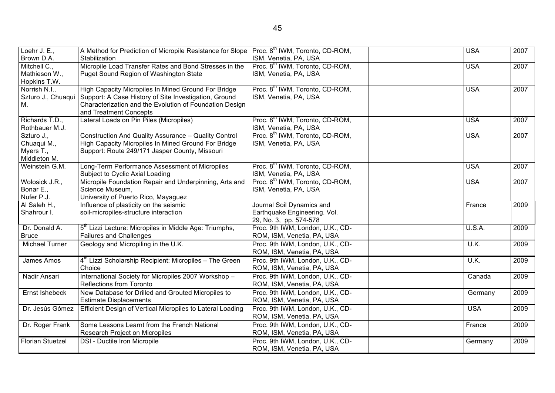| Loehr J. E.,<br>Brown D.A. | A Method for Prediction of Micropile Resistance for Slope<br>Stabilization | Proc. 8 <sup>th</sup> IWM, Toronto, CD-ROM,<br>ISM, Venetia, PA, USA | <b>USA</b> | 2007 |
|----------------------------|----------------------------------------------------------------------------|----------------------------------------------------------------------|------------|------|
| Mitchell C.,               | Micropile Load Transfer Rates and Bond Stresses in the                     | Proc. 8 <sup>th</sup> IWM, Toronto, CD-ROM,                          | <b>USA</b> | 2007 |
| Mathieson W.,              | Puget Sound Region of Washington State                                     | ISM, Venetia, PA, USA                                                |            |      |
| Hopkins T.W.               |                                                                            |                                                                      |            |      |
| Norrish N.I.,              | High Capacity Micropiles In Mined Ground For Bridge                        | Proc. 8 <sup>th</sup> IWM, Toronto, CD-ROM,                          | <b>USA</b> | 2007 |
| Szturo J., Chuaqui         | Support: A Case History of Site Investigation, Ground                      | ISM, Venetia, PA, USA                                                |            |      |
| М.                         | Characterization and the Evolution of Foundation Design                    |                                                                      |            |      |
|                            | and Treatment Concepts                                                     |                                                                      |            |      |
| Richards T.D.,             | Lateral Loads on Pin Piles (Micropiles)                                    | Proc. 8 <sup>th</sup> IWM, Toronto, CD-ROM,                          | <b>USA</b> | 2007 |
| Rothbauer M.J.             |                                                                            | ISM, Venetia, PA, USA                                                |            |      |
| Szturo J.,                 | Construction And Quality Assurance - Quality Control                       | Proc. 8 <sup>th</sup> IWM, Toronto, CD-ROM,                          | <b>USA</b> | 2007 |
| Chuaqui M.,                | High Capacity Micropiles In Mined Ground For Bridge                        | ISM, Venetia, PA, USA                                                |            |      |
| Myers T.,                  | Support: Route 249/171 Jasper County, Missouri                             |                                                                      |            |      |
| Middleton M.               |                                                                            |                                                                      |            |      |
| Weinstein G.M.             | Long-Term Performance Assessment of Micropiles                             | Proc. 8 <sup>th</sup> IWM, Toronto, CD-ROM,                          | <b>USA</b> | 2007 |
|                            | Subject to Cyclic Axial Loading                                            | ISM, Venetia, PA, USA                                                |            |      |
| Wolosick J.R.,             | Micropile Foundation Repair and Underpinning, Arts and                     | Proc. 8 <sup>th</sup> IWM, Toronto, CD-ROM,                          | <b>USA</b> | 2007 |
| Bonar E.,                  | Science Museum,                                                            | ISM, Venetia, PA, USA                                                |            |      |
| Nufer P.J.                 | University of Puerto Rico, Mayaguez                                        |                                                                      |            |      |
| Al Saleh H.,               | Influence of plasticity on the seismic                                     | Journal Soil Dynamics and                                            | France     | 2009 |
| Shahrour I.                | soil-micropiles-structure interaction                                      | Earthquake Engineering. Vol.                                         |            |      |
|                            |                                                                            | 29, No. 3, pp. 574-578                                               |            |      |
| Dr. Donald A.              | 5 <sup>th</sup> Lizzi Lecture: Micropiles in Middle Age: Triumphs,         | Proc. 9th IWM, London, U.K., CD-                                     | U.S.A.     | 2009 |
| <b>Bruce</b>               | <b>Failures and Challenges</b>                                             | ROM, ISM, Venetia, PA, USA                                           |            |      |
| Michael Turner             | Geology and Micropiling in the U.K.                                        | Proc. 9th IWM, London, U.K., CD-                                     | U.K.       | 2009 |
|                            |                                                                            | ROM, ISM, Venetia, PA, USA                                           |            |      |
| James Amos                 | 4 <sup>th</sup> Lizzi Scholarship Recipient: Micropiles – The Green        | Proc. 9th IWM, London, U.K., CD-                                     | U.K.       | 2009 |
|                            | Choice                                                                     | ROM, ISM, Venetia, PA, USA                                           |            |      |
| Nadir Ansari               | International Society for Micropiles 2007 Workshop -                       | Proc. 9th IWM, London, U.K., CD-                                     | Canada     | 2009 |
|                            | Reflections from Toronto                                                   | ROM, ISM, Venetia, PA, USA                                           |            |      |
| Ernst Ishebeck             | New Database for Drilled and Grouted Micropiles to                         | Proc. 9th IWM, London, U.K., CD-                                     | Germany    | 2009 |
|                            | <b>Estimate Displacements</b>                                              | ROM, ISM, Venetia, PA, USA                                           |            |      |
| Dr. Jesús Gómez            | Efficient Design of Vertical Micropiles to Lateral Loading                 | Proc. 9th IWM, London, U.K., CD-                                     | <b>USA</b> | 2009 |
|                            |                                                                            | ROM, ISM, Venetia, PA, USA                                           |            |      |
| Dr. Roger Frank            | Some Lessons Learnt from the French National                               | Proc. 9th IWM, London, U.K., CD-                                     | France     | 2009 |
|                            | Research Project on Micropiles                                             | ROM, ISM, Venetia, PA, USA                                           |            |      |
| <b>Florian Stuetzel</b>    | DSI - Ductile Iron Micropile                                               | Proc. 9th IWM, London, U.K., CD-                                     | Germany    | 2009 |
|                            |                                                                            | ROM, ISM, Venetia, PA, USA                                           |            |      |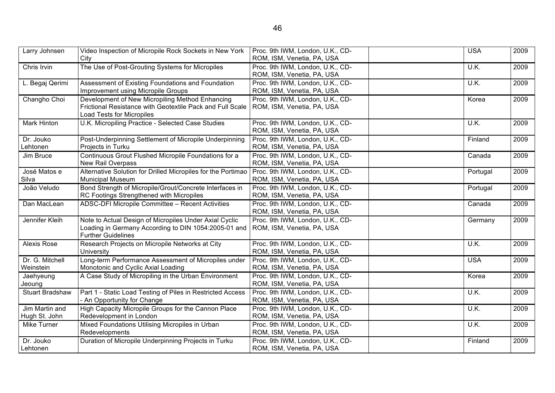| Larry Johnsen                   | Video Inspection of Micropile Rock Sockets in New York<br>City                                                                                   | Proc. 9th IWM, London, U.K., CD-<br>ROM, ISM, Venetia, PA, USA | <b>USA</b> | 2009 |
|---------------------------------|--------------------------------------------------------------------------------------------------------------------------------------------------|----------------------------------------------------------------|------------|------|
| Chris Irvin                     | The Use of Post-Grouting Systems for Micropiles                                                                                                  | Proc. 9th IWM, London, U.K., CD-<br>ROM, ISM, Venetia, PA, USA | U.K.       | 2009 |
| L. Begaj Qerimi                 | Assessment of Existing Foundations and Foundation<br>Improvement using Micropile Groups                                                          | Proc. 9th IWM, London, U.K., CD-<br>ROM, ISM, Venetia, PA, USA | U.K.       | 2009 |
| Changho Choi                    | Development of New Micropiling Method Enhancing<br>Frictional Resistance with Geotextile Pack and Full Scale<br><b>Load Tests for Micropiles</b> | Proc. 9th IWM, London, U.K., CD-<br>ROM, ISM, Venetia, PA, USA | Korea      | 2009 |
| Mark Hinton                     | U.K. Micropiling Practice - Selected Case Studies                                                                                                | Proc. 9th IWM, London, U.K., CD-<br>ROM, ISM, Venetia, PA, USA | U.K.       | 2009 |
| Dr. Jouko<br>Lehtonen           | Post-Underpinning Settlement of Micropile Underpinning<br>Projects in Turku                                                                      | Proc. 9th IWM, London, U.K., CD-<br>ROM, ISM, Venetia, PA, USA | Finland    | 2009 |
| Jim Bruce                       | Continuous Grout Flushed Micropile Foundations for a<br>New Rail Overpass                                                                        | Proc. 9th IWM, London, U.K., CD-<br>ROM, ISM, Venetia, PA, USA | Canada     | 2009 |
| José Matos e<br>Silva           | Alternative Solution for Drilled Micropiles for the Portimao<br><b>Municipal Museum</b>                                                          | Proc. 9th IWM, London, U.K., CD-<br>ROM, ISM, Venetia, PA, USA | Portugal   | 2009 |
| João Veludo                     | Bond Strength of Micropile/Grout/Concrete Interfaces in<br>RC Footings Strengthened with Micropiles                                              | Proc. 9th IWM, London, U.K., CD-<br>ROM, ISM, Venetia, PA, USA | Portugal   | 2009 |
| Dan MacLean                     | ADSC-DFI Micropile Committee - Recent Activities                                                                                                 | Proc. 9th IWM, London, U.K., CD-<br>ROM, ISM, Venetia, PA, USA | Canada     | 2009 |
| Jennifer Kleih                  | Note to Actual Design of Micropiles Under Axial Cyclic<br>Loading in Germany According to DIN 1054:2005-01 and<br><b>Further Guidelines</b>      | Proc. 9th IWM, London, U.K., CD-<br>ROM, ISM, Venetia, PA, USA | Germany    | 2009 |
| Alexis Rose                     | Research Projects on Micropile Networks at City<br>University                                                                                    | Proc. 9th IWM, London, U.K., CD-<br>ROM, ISM, Venetia, PA, USA | U.K.       | 2009 |
| Dr. G. Mitchell<br>Weinstein    | Long-term Performance Assessment of Micropiles under<br>Monotonic and Cyclic Axial Loading                                                       | Proc. 9th IWM, London, U.K., CD-<br>ROM, ISM, Venetia, PA, USA | <b>USA</b> | 2009 |
| Jaehyeung<br>Jeoung             | A Case Study of Micropiling in the Urban Environment                                                                                             | Proc. 9th IWM, London, U.K., CD-<br>ROM, ISM, Venetia, PA, USA | Korea      | 2009 |
| <b>Stuart Bradshaw</b>          | Part 1 - Static Load Testing of Piles in Restricted Access<br>- An Opportunity for Change                                                        | Proc. 9th IWM, London, U.K., CD-<br>ROM, ISM, Venetia, PA, USA | U.K.       | 2009 |
| Jim Martin and<br>Hugh St. John | High Capacity Micropile Groups for the Cannon Place<br>Redevelopment in London                                                                   | Proc. 9th IWM, London, U.K., CD-<br>ROM, ISM, Venetia, PA, USA | U.K.       | 2009 |
| <b>Mike Turner</b>              | Mixed Foundations Utilising Micropiles in Urban<br>Redevelopments                                                                                | Proc. 9th IWM, London, U.K., CD-<br>ROM, ISM, Venetia, PA, USA | U.K.       | 2009 |
| Dr. Jouko<br>Lehtonen           | Duration of Micropile Underpinning Projects in Turku                                                                                             | Proc. 9th IWM, London, U.K., CD-<br>ROM, ISM, Venetia, PA, USA | Finland    | 2009 |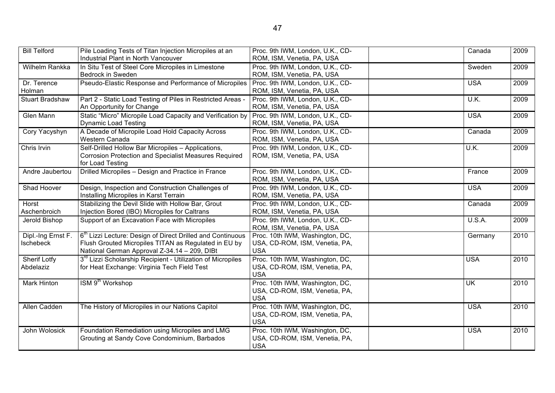| <b>Bill Telford</b>              | Pile Loading Tests of Titan Injection Micropiles at an<br>Industrial Plant in North Vancouver                                                                                  | Proc. 9th IWM, London, U.K., CD-<br>ROM, ISM, Venetia, PA, USA                  | Canada     | 2009 |
|----------------------------------|--------------------------------------------------------------------------------------------------------------------------------------------------------------------------------|---------------------------------------------------------------------------------|------------|------|
| Wilhelm Rankka                   | In Situ Test of Steel Core Micropiles in Limestone<br>Bedrock in Sweden                                                                                                        | Proc. 9th IWM, London, U.K., CD-<br>ROM, ISM, Venetia, PA, USA                  | Sweden     | 2009 |
| Dr. Terence<br>Holman            | Pseudo-Elastic Response and Performance of Micropiles                                                                                                                          | Proc. 9th IWM, London, U.K., CD-<br>ROM, ISM, Venetia, PA, USA                  | <b>USA</b> | 2009 |
| <b>Stuart Bradshaw</b>           | Part 2 - Static Load Testing of Piles in Restricted Areas -<br>An Opportunity for Change                                                                                       | Proc. 9th IWM, London, U.K., CD-<br>ROM, ISM, Venetia, PA, USA                  | U.K.       | 2009 |
| Glen Mann                        | Static "Micro" Micropile Load Capacity and Verification by<br><b>Dynamic Load Testing</b>                                                                                      | Proc. 9th IWM, London, U.K., CD-<br>ROM, ISM, Venetia, PA, USA                  | <b>USA</b> | 2009 |
| Cory Yacyshyn                    | A Decade of Micropile Load Hold Capacity Across<br>Western Canada                                                                                                              | Proc. 9th IWM, London, U.K., CD-<br>ROM, ISM, Venetia, PA, USA                  | Canada     | 2009 |
| Chris Irvin                      | Self-Drilled Hollow Bar Micropiles - Applications,<br><b>Corrosion Protection and Specialist Measures Required</b><br>for Load Testing                                         | Proc. 9th IWM, London, U.K., CD-<br>ROM, ISM, Venetia, PA, USA                  | U.K.       | 2009 |
| Andre Jaubertou                  | Drilled Micropiles - Design and Practice in France                                                                                                                             | Proc. 9th IWM, London, U.K., CD-<br>ROM, ISM, Venetia, PA, USA                  | France     | 2009 |
| Shad Hoover                      | Design, Inspection and Construction Challenges of<br>Installing Micropiles in Karst Terrain                                                                                    | Proc. 9th IWM, London, U.K., CD-<br>ROM, ISM, Venetia, PA, USA                  | <b>USA</b> | 2009 |
| Horst<br>Aschenbroich            | Stabilizing the Devil Slide with Hollow Bar, Grout<br>Injection Bored (IBO) Micropiles for Caltrans                                                                            | Proc. 9th IWM, London, U.K., CD-<br>ROM, ISM, Venetia, PA, USA                  | Canada     | 2009 |
| Jerold Bishop                    | Support of an Excavation Face with Micropiles                                                                                                                                  | Proc. 9th IWM, London, U.K., CD-<br>ROM, ISM, Venetia, PA, USA                  | U.S.A.     | 2009 |
| Dipl.-Ing Ernst F.<br>Ischebeck  | 6 <sup>th</sup> Lizzi Lecture: Design of Direct Drilled and Continuous<br>Flush Grouted Micropiles TITAN as Regulated in EU by<br>National German Approval Z-34.14 - 209, DIBt | Proc. 10th IWM, Washington, DC,<br>USA, CD-ROM, ISM, Venetia, PA,<br><b>USA</b> | Germany    | 2010 |
| <b>Sherif Lotfy</b><br>Abdelaziz | 3 <sup>rd</sup> Lizzi Scholarship Recipient - Utilization of Micropiles<br>for Heat Exchange: Virginia Tech Field Test                                                         | Proc. 10th IWM, Washington, DC,<br>USA, CD-ROM, ISM, Venetia, PA,<br><b>USA</b> | <b>USA</b> | 2010 |
| <b>Mark Hinton</b>               | ISM 9 <sup>th</sup> Workshop                                                                                                                                                   | Proc. 10th IWM, Washington, DC,<br>USA, CD-ROM, ISM, Venetia, PA,<br><b>USA</b> | <b>UK</b>  | 2010 |
| Allen Cadden                     | The History of Micropiles in our Nations Capitol                                                                                                                               | Proc. 10th IWM, Washington, DC,<br>USA, CD-ROM, ISM, Venetia, PA,<br><b>USA</b> | <b>USA</b> | 2010 |
| John Wolosick                    | Foundation Remediation using Micropiles and LMG<br>Grouting at Sandy Cove Condominium, Barbados                                                                                | Proc. 10th IWM, Washington, DC,<br>USA, CD-ROM, ISM, Venetia, PA,<br><b>USA</b> | <b>USA</b> | 2010 |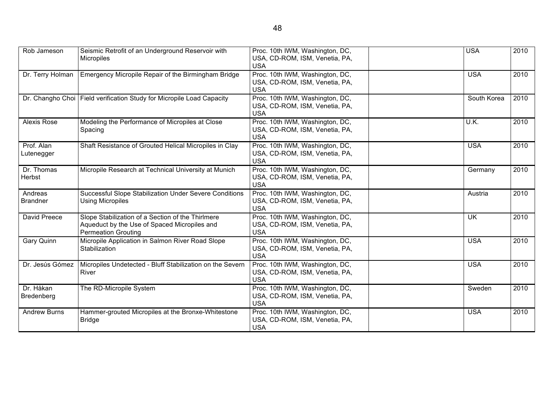| Rob Jameson                | Seismic Retrofit of an Underground Reservoir with<br>Micropiles                                                          | Proc. 10th IWM, Washington, DC,<br>USA, CD-ROM, ISM, Venetia, PA,<br><b>USA</b> | <b>USA</b>  | 2010 |
|----------------------------|--------------------------------------------------------------------------------------------------------------------------|---------------------------------------------------------------------------------|-------------|------|
| Dr. Terry Holman           | Emergency Micropile Repair of the Birmingham Bridge                                                                      | Proc. 10th IWM, Washington, DC,<br>USA, CD-ROM, ISM, Venetia, PA,<br><b>USA</b> | <b>USA</b>  | 2010 |
|                            | Dr. Changho Choi   Field verification Study for Micropile Load Capacity                                                  | Proc. 10th IWM, Washington, DC,<br>USA, CD-ROM, ISM, Venetia, PA,<br><b>USA</b> | South Korea | 2010 |
| Alexis Rose                | Modeling the Performance of Micropiles at Close<br>Spacing                                                               | Proc. 10th IWM, Washington, DC,<br>USA, CD-ROM, ISM, Venetia, PA,<br><b>USA</b> | U.K.        | 2010 |
| Prof. Alan<br>Lutenegger   | Shaft Resistance of Grouted Helical Micropiles in Clay                                                                   | Proc. 10th IWM, Washington, DC,<br>USA, CD-ROM, ISM, Venetia, PA,<br><b>USA</b> | <b>USA</b>  | 2010 |
| Dr. Thomas<br>Herbst       | Micropile Research at Technical University at Munich                                                                     | Proc. 10th IWM, Washington, DC,<br>USA, CD-ROM, ISM, Venetia, PA,<br><b>USA</b> | Germany     | 2010 |
| Andreas<br><b>Brandner</b> | Successful Slope Stabilization Under Severe Conditions<br><b>Using Micropiles</b>                                        | Proc. 10th IWM, Washington, DC,<br>USA, CD-ROM, ISM, Venetia, PA,<br><b>USA</b> | Austria     | 2010 |
| David Preece               | Slope Stabilization of a Section of the Thirlmere<br>Aqueduct by the Use of Spaced Micropiles and<br>Permeation Grouting | Proc. 10th IWM, Washington, DC,<br>USA, CD-ROM, ISM, Venetia, PA,<br><b>USA</b> | <b>UK</b>   | 2010 |
| Gary Quinn                 | Micropile Application in Salmon River Road Slope<br>Stabilization                                                        | Proc. 10th IWM, Washington, DC,<br>USA, CD-ROM, ISM, Venetia, PA,<br><b>USA</b> | <b>USA</b>  | 2010 |
| Dr. Jesús Gómez            | Micropiles Undetected - Bluff Stabilization on the Severn<br>River                                                       | Proc. 10th IWM, Washington, DC,<br>USA, CD-ROM, ISM, Venetia, PA,<br><b>USA</b> | <b>USA</b>  | 2010 |
| Dr. Håkan<br>Bredenberg    | The RD-Micropile System                                                                                                  | Proc. 10th IWM, Washington, DC,<br>USA, CD-ROM, ISM, Venetia, PA,<br><b>USA</b> | Sweden      | 2010 |
| <b>Andrew Burns</b>        | Hammer-grouted Micropiles at the Bronxe-Whitestone<br><b>Bridge</b>                                                      | Proc. 10th IWM, Washington, DC,<br>USA, CD-ROM, ISM, Venetia, PA,<br><b>USA</b> | <b>USA</b>  | 2010 |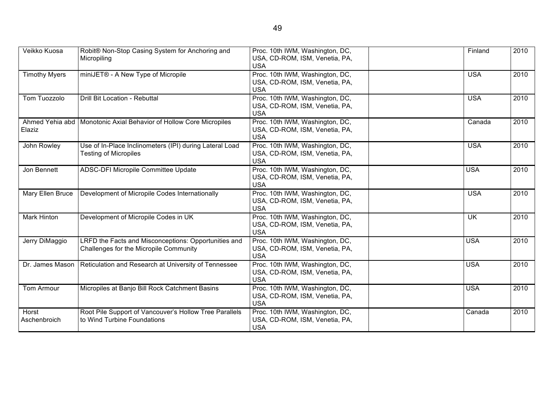| Veikko Kuosa          | Robit® Non-Stop Casing System for Anchoring and<br>Micropiling                                 | Proc. 10th IWM, Washington, DC,<br>USA, CD-ROM, ISM, Venetia, PA,<br><b>USA</b> | Finland                  | 2010 |
|-----------------------|------------------------------------------------------------------------------------------------|---------------------------------------------------------------------------------|--------------------------|------|
| <b>Timothy Myers</b>  | miniJET® - A New Type of Micropile                                                             | Proc. 10th IWM, Washington, DC,<br>USA, CD-ROM, ISM, Venetia, PA,<br><b>USA</b> | <b>USA</b>               | 2010 |
| Tom Tuozzolo          | Drill Bit Location - Rebuttal                                                                  | Proc. 10th IWM, Washington, DC,<br>USA, CD-ROM, ISM, Venetia, PA,<br><b>USA</b> | <b>USA</b>               | 2010 |
| Elaziz                | Ahmed Yehia abd   Monotonic Axial Behavior of Hollow Core Micropiles                           | Proc. 10th IWM, Washington, DC,<br>USA, CD-ROM, ISM, Venetia, PA,<br><b>USA</b> | Canada                   | 2010 |
| John Rowley           | Use of In-Place Inclinometers (IPI) during Lateral Load<br><b>Testing of Micropiles</b>        | Proc. 10th IWM, Washington, DC,<br>USA, CD-ROM, ISM, Venetia, PA,<br><b>USA</b> | <b>USA</b>               | 2010 |
| Jon Bennett           | ADSC-DFI Micropile Committee Update                                                            | Proc. 10th IWM, Washington, DC,<br>USA, CD-ROM, ISM, Venetia, PA,<br><b>USA</b> | <b>USA</b>               | 2010 |
| Mary Ellen Bruce      | Development of Micropile Codes Internationally                                                 | Proc. 10th IWM, Washington, DC,<br>USA, CD-ROM, ISM, Venetia, PA,<br><b>USA</b> | <b>USA</b>               | 2010 |
| <b>Mark Hinton</b>    | Development of Micropile Codes in UK                                                           | Proc. 10th IWM, Washington, DC,<br>USA, CD-ROM, ISM, Venetia, PA,<br><b>USA</b> | $\overline{\mathsf{UK}}$ | 2010 |
| Jerry DiMaggio        | LRFD the Facts and Misconceptions: Opportunities and<br>Challenges for the Micropile Community | Proc. 10th IWM, Washington, DC,<br>USA, CD-ROM, ISM, Venetia, PA,<br><b>USA</b> | <b>USA</b>               | 2010 |
| Dr. James Mason       | Reticulation and Research at University of Tennessee                                           | Proc. 10th IWM, Washington, DC,<br>USA, CD-ROM, ISM, Venetia, PA,<br><b>USA</b> | <b>USA</b>               | 2010 |
| Tom Armour            | Micropiles at Banjo Bill Rock Catchment Basins                                                 | Proc. 10th IWM, Washington, DC,<br>USA, CD-ROM, ISM, Venetia, PA,<br><b>USA</b> | <b>USA</b>               | 2010 |
| Horst<br>Aschenbroich | Root Pile Support of Vancouver's Hollow Tree Parallels<br>to Wind Turbine Foundations          | Proc. 10th IWM, Washington, DC,<br>USA, CD-ROM, ISM, Venetia, PA,<br><b>USA</b> | Canada                   | 2010 |